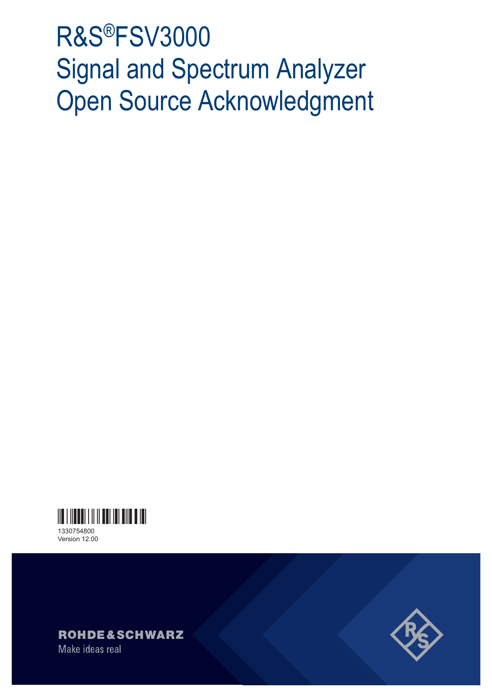# R&S®FSV3000 Signal and Spectrum Analyzer Open Source Acknowledgment



Version 12.00





Make ideas real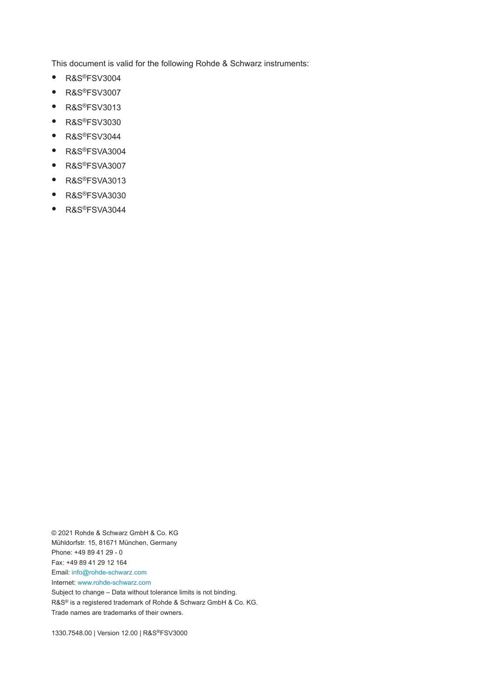This document is valid for the following Rohde & Schwarz instruments:

- R&S®FSV3004
- R&S®FSV3007
- R&S<sup>®</sup>FSV3013
- R&S®FSV3030
- R&S®FSV3044
- R&S<sup>®</sup>FSVA3004
- R&S<sup>®</sup>FSVA3007
- R&S®FSVA3013
- R&S<sup>®</sup>FSVA3030
- R&S<sup>®</sup>FSVA3044

© 2021 Rohde & Schwarz GmbH & Co. KG Mühldorfstr. 15, 81671 München, Germany Phone: +49 89 41 29 - 0 Fax: +49 89 41 29 12 164 Email: [info@rohde-schwarz.com](mailto:info@rohde-schwarz.com) Internet: [www.rohde-schwarz.com](http://www.rohde-schwarz.com) Subject to change – Data without tolerance limits is not binding.

R&S® is a registered trademark of Rohde & Schwarz GmbH & Co. KG. Trade names are trademarks of their owners.

1330.7548.00 | Version 12.00 | R&S®FSV3000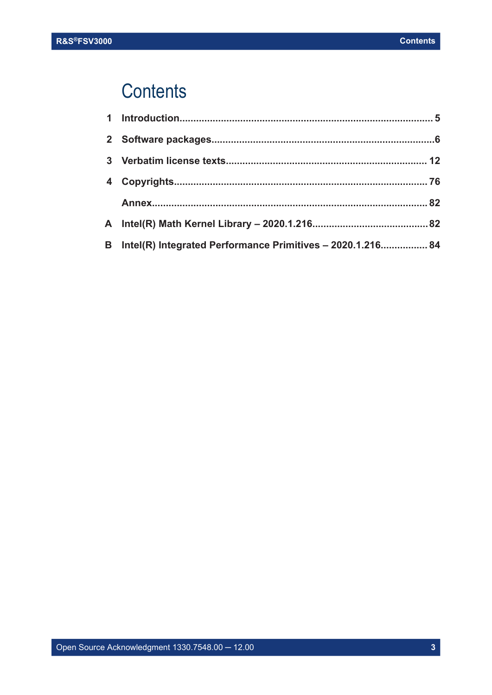## **Contents**

| B Intel(R) Integrated Performance Primitives - 2020.1.216 84 |  |
|--------------------------------------------------------------|--|
|                                                              |  |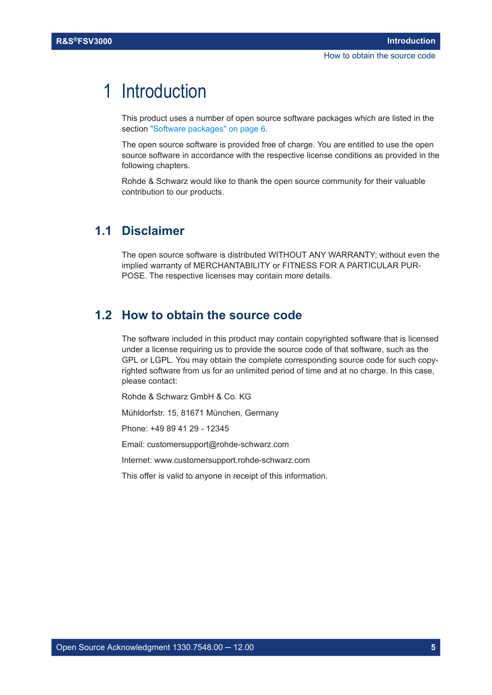## <span id="page-4-0"></span>1 Introduction

This product uses a number of open source software packages which are listed in the section ["Software packages" on page 6](#page-5-0).

The open source software is provided free of charge. You are entitled to use the open source software in accordance with the respective license conditions as provided in the following chapters.

Rohde & Schwarz would like to thank the open source community for their valuable contribution to our products.

## **1.1 Disclaimer**

The open source software is distributed WITHOUT ANY WARRANTY; without even the implied warranty of MERCHANTABILITY or FITNESS FOR A PARTICULAR PUR-POSE. The respective licenses may contain more details.

## **1.2 How to obtain the source code**

The software included in this product may contain copyrighted software that is licensed under a license requiring us to provide the source code of that software, such as the GPL or LGPL. You may obtain the complete corresponding source code for such copyrighted software from us for an unlimited period of time and at no charge. In this case, please contact:

Rohde & Schwarz GmbH & Co. KG

Mühldorfstr. 15, 81671 München, Germany

Phone: +49 89 41 29 - 12345

Email: customersupport@rohde-schwarz.com

Internet: www.customersupport.rohde-schwarz.com

This offer is valid to anyone in receipt of this information.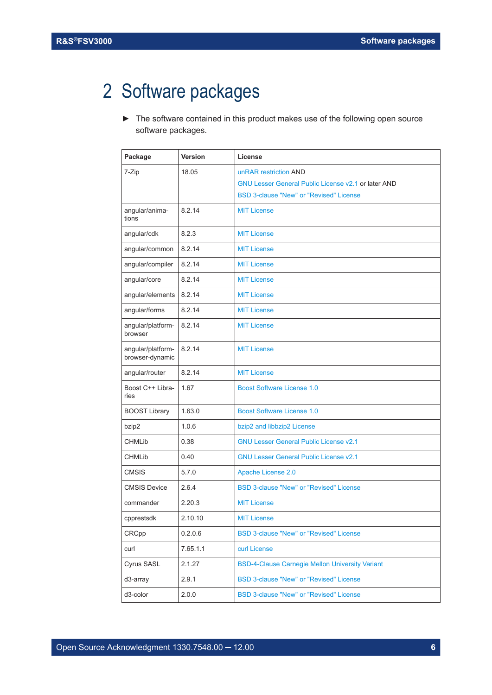## <span id="page-5-0"></span>2 Software packages

► The software contained in this product makes use of the following open source software packages.

| Package                              | <b>Version</b> | License                                                    |
|--------------------------------------|----------------|------------------------------------------------------------|
| 7-Zip                                | 18.05          | unRAR restriction AND                                      |
|                                      |                | <b>GNU Lesser General Public License v2.1 or later AND</b> |
|                                      |                | <b>BSD 3-clause "New" or "Revised" License</b>             |
| angular/anima-<br>tions              | 8.2.14         | <b>MIT License</b>                                         |
| angular/cdk                          | 8.2.3          | <b>MIT License</b>                                         |
| angular/common                       | 8.2.14         | <b>MIT License</b>                                         |
| angular/compiler                     | 8.2.14         | <b>MIT License</b>                                         |
| angular/core                         | 8.2.14         | <b>MIT License</b>                                         |
| angular/elements                     | 8.2.14         | <b>MIT License</b>                                         |
| angular/forms                        | 8.2.14         | <b>MIT License</b>                                         |
| angular/platform-<br>browser         | 8.2.14         | <b>MIT License</b>                                         |
| angular/platform-<br>browser-dynamic | 8.2.14         | <b>MIT License</b>                                         |
| angular/router                       | 8.2.14         | <b>MIT License</b>                                         |
| Boost C++ Libra-<br>ries             | 167            | <b>Boost Software License 1.0</b>                          |
| <b>BOOST Library</b>                 | 1.63.0         | <b>Boost Software License 1.0</b>                          |
| bzip2                                | 1.0.6          | bzip2 and libbzip2 License                                 |
| <b>CHMLib</b>                        | 0.38           | <b>GNU Lesser General Public License v2.1</b>              |
| <b>CHMLib</b>                        | 0.40           | <b>GNU Lesser General Public License v2.1</b>              |
| <b>CMSIS</b>                         | 5.7.0          | Apache License 2.0                                         |
| <b>CMSIS Device</b>                  | 2.6.4          | <b>BSD 3-clause "New" or "Revised" License</b>             |
| commander                            | 2.20.3         | <b>MIT License</b>                                         |
| cpprestsdk                           | 2.10.10        | <b>MIT License</b>                                         |
| <b>CRCpp</b>                         | 0.2.0.6        | <b>BSD 3-clause "New" or "Revised" License</b>             |
| curl                                 | 7.65.1.1       | curl License                                               |
| Cyrus SASL                           | 2.1.27         | <b>BSD-4-Clause Carnegie Mellon University Variant</b>     |
| d3-array                             | 2.9.1          | BSD 3-clause "New" or "Revised" License                    |
| d3-color                             | 2.0.0          | <b>BSD 3-clause "New" or "Revised" License</b>             |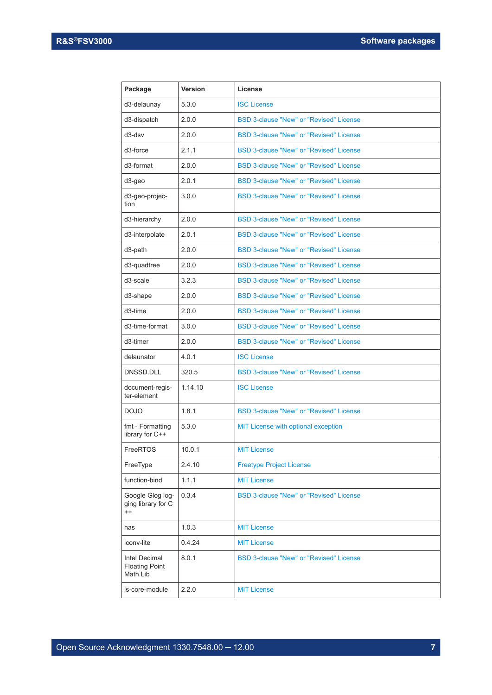| Package                                            | <b>Version</b> | License                                        |
|----------------------------------------------------|----------------|------------------------------------------------|
| d3-delaunay                                        | 5.3.0          | <b>ISC License</b>                             |
| d3-dispatch                                        | 2.0.0          | <b>BSD 3-clause "New" or "Revised" License</b> |
| d3-dsv                                             | 2.0.0          | BSD 3-clause "New" or "Revised" License        |
| d3-force                                           | 2.1.1          | <b>BSD 3-clause "New" or "Revised" License</b> |
| d3-format                                          | 2.0.0          | BSD 3-clause "New" or "Revised" License        |
| d3-geo                                             | 2.0.1          | <b>BSD 3-clause "New" or "Revised" License</b> |
| d3-geo-projec-<br>tion                             | 3.0.0          | <b>BSD 3-clause "New" or "Revised" License</b> |
| d3-hierarchy                                       | 2.0.0          | <b>BSD 3-clause "New" or "Revised" License</b> |
| d3-interpolate                                     | 2.0.1          | <b>BSD 3-clause "New" or "Revised" License</b> |
| d3-path                                            | 2.0.0          | <b>BSD 3-clause "New" or "Revised" License</b> |
| d3-quadtree                                        | 2.0.0          | <b>BSD 3-clause "New" or "Revised" License</b> |
| d3-scale                                           | 3.2.3          | <b>BSD 3-clause "New" or "Revised" License</b> |
| d3-shape                                           | 2.0.0          | <b>BSD 3-clause "New" or "Revised" License</b> |
| d3-time                                            | 2.0.0          | <b>BSD 3-clause "New" or "Revised" License</b> |
| d3-time-format                                     | 3.0.0          | <b>BSD 3-clause "New" or "Revised" License</b> |
| d3-timer                                           | 2.0.0          | <b>BSD 3-clause "New" or "Revised" License</b> |
| delaunator                                         | 4.0.1          | <b>ISC License</b>                             |
| DNSSD.DLL                                          | 320.5          | <b>BSD 3-clause "New" or "Revised" License</b> |
| document-regis-<br>ter-element                     | 1.14.10        | <b>ISC License</b>                             |
| <b>DOJO</b>                                        | 1.8.1          | <b>BSD 3-clause "New" or "Revised" License</b> |
| fmt - Formatting<br>library for C++                | 5.3.0          | MIT License with optional exception            |
| FreeRTOS                                           | 10.0.1         | <b>MIT License</b>                             |
| FreeType                                           | 2.4.10         | <b>Freetype Project License</b>                |
| function-bind                                      | 1.1.1          | <b>MIT License</b>                             |
| Google Glog log-<br>ging library for C<br>$^{++}$  | 0.3.4          | BSD 3-clause "New" or "Revised" License        |
| has                                                | 1.0.3          | <b>MIT License</b>                             |
| iconv-lite                                         | 0.4.24         | <b>MIT License</b>                             |
| Intel Decimal<br><b>Floating Point</b><br>Math Lib | 8.0.1          | <b>BSD 3-clause "New" or "Revised" License</b> |
| is-core-module                                     | 2.2.0          | <b>MIT License</b>                             |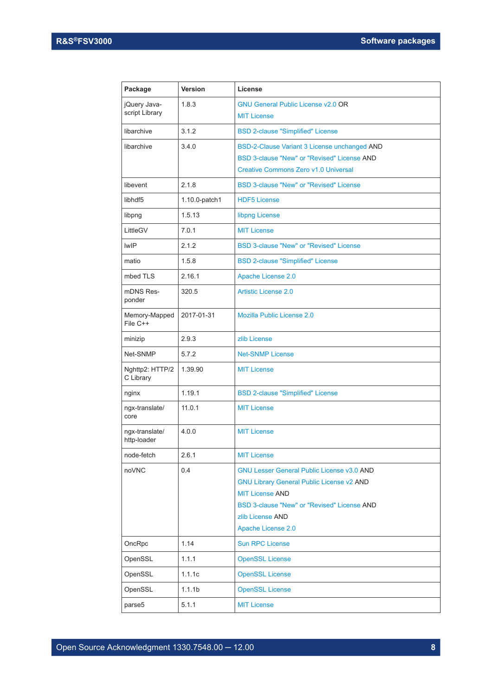| Package                       | <b>Version</b>     | License                                                                                               |
|-------------------------------|--------------------|-------------------------------------------------------------------------------------------------------|
| jQuery Java-                  | 1.8.3              | <b>GNU General Public License v2.0 OR</b>                                                             |
| script Library                |                    | <b>MIT License</b>                                                                                    |
| libarchive                    | 3.1.2              | <b>BSD 2-clause "Simplified" License</b>                                                              |
| libarchive                    | 3.4.0              | BSD-2-Clause Variant 3 License unchanged AND                                                          |
|                               |                    | BSD 3-clause "New" or "Revised" License AND                                                           |
|                               |                    | Creative Commons Zero v1.0 Universal                                                                  |
| libevent                      | 2.1.8              | <b>BSD 3-clause "New" or "Revised" License</b>                                                        |
| libhdf5                       | 1.10.0-patch1      | <b>HDF5 License</b>                                                                                   |
| libpng                        | 1.5.13             | libpng License                                                                                        |
| LittleGV                      | 7.0.1              | <b>MIT License</b>                                                                                    |
| <b>IwIP</b>                   | 2.1.2              | <b>BSD 3-clause "New" or "Revised" License</b>                                                        |
| matio                         | 1.5.8              | <b>BSD 2-clause "Simplified" License</b>                                                              |
| mbed TLS                      | 2.16.1             | Apache License 2.0                                                                                    |
| mDNS Res-<br>ponder           | 320.5              | <b>Artistic License 2.0</b>                                                                           |
| Memory-Mapped<br>File C++     | 2017-01-31         | <b>Mozilla Public License 2.0</b>                                                                     |
| minizip                       | 2.9.3              | zlib License                                                                                          |
| Net-SNMP                      | 5.7.2              | <b>Net-SNMP License</b>                                                                               |
| Nghttp2: HTTP/2<br>C Library  | 1.39.90            | <b>MIT License</b>                                                                                    |
| nginx                         | 1.19.1             | <b>BSD 2-clause "Simplified" License</b>                                                              |
| ngx-translate/<br>core        | 11.0.1             | <b>MIT License</b>                                                                                    |
| ngx-translate/<br>http-loader | 4.0.0              | <b>MIT License</b>                                                                                    |
| node-fetch                    | 2.6.1              | <b>MIT License</b>                                                                                    |
| noVNC                         | 0.4                | <b>GNU Lesser General Public License v3.0 AND</b><br><b>GNU Library General Public License v2 AND</b> |
|                               |                    | <b>MIT License AND</b>                                                                                |
|                               |                    | BSD 3-clause "New" or "Revised" License AND                                                           |
|                               |                    | zlib License AND                                                                                      |
|                               |                    | Apache License 2.0                                                                                    |
| OncRpc                        | 1.14               | <b>Sun RPC License</b>                                                                                |
| OpenSSL                       | 1.1.1              | <b>OpenSSL License</b>                                                                                |
| OpenSSL                       | 1.1.1c             | <b>OpenSSL License</b>                                                                                |
| OpenSSL                       | 1.1.1 <sub>b</sub> | <b>OpenSSL License</b>                                                                                |
| parse5                        | 5.1.1              | <b>MIT License</b>                                                                                    |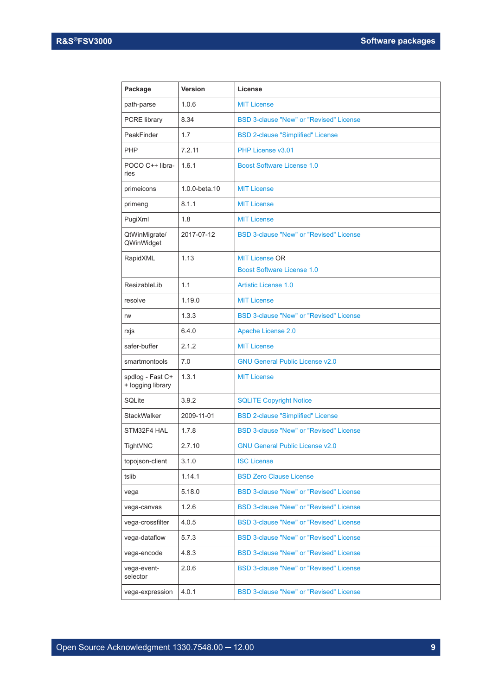| Package                               | <b>Version</b> | License                                        |
|---------------------------------------|----------------|------------------------------------------------|
| path-parse                            | 1.0.6          | <b>MIT License</b>                             |
| PCRE library                          | 8.34           | <b>BSD 3-clause "New" or "Revised" License</b> |
| PeakFinder                            | 1.7            | <b>BSD 2-clause "Simplified" License</b>       |
| <b>PHP</b>                            | 7.2.11         | PHP License v3.01                              |
| POCO C++ libra-<br>ries               | 1.6.1          | <b>Boost Software License 1.0</b>              |
| primeicons                            | 1.0.0-beta.10  | <b>MIT License</b>                             |
| primeng                               | 8.1.1          | <b>MIT License</b>                             |
| PugiXml                               | 1.8            | <b>MIT License</b>                             |
| QtWinMigrate/<br>QWinWidget           | 2017-07-12     | <b>BSD 3-clause "New" or "Revised" License</b> |
| RapidXML                              | 1.13           | <b>MIT License OR</b>                          |
|                                       |                | <b>Boost Software License 1.0</b>              |
| ResizableLib                          | 1.1            | <b>Artistic License 1.0</b>                    |
| resolve                               | 1.19.0         | <b>MIT License</b>                             |
| rw                                    | 1.3.3          | <b>BSD 3-clause "New" or "Revised" License</b> |
| rxjs                                  | 6.4.0          | Apache License 2.0                             |
| safer-buffer                          | 2.1.2          | <b>MIT License</b>                             |
| smartmontools                         | 7.0            | <b>GNU General Public License v2.0</b>         |
| spdlog - Fast C+<br>+ logging library | 1.3.1          | <b>MIT License</b>                             |
| SQLite                                | 3.9.2          | <b>SQLITE Copyright Notice</b>                 |
| <b>StackWalker</b>                    | 2009-11-01     | <b>BSD 2-clause "Simplified" License</b>       |
| STM32F4 HAL                           | 1.7.8          | <b>BSD 3-clause "New" or "Revised" License</b> |
| TightVNC                              | 2.7.10         | <b>GNU General Public License v2.0</b>         |
| topojson-client                       | 3.1.0          | <b>ISC License</b>                             |
| tslib                                 | 1.14.1         | <b>BSD Zero Clause License</b>                 |
| vega                                  | 5.18.0         | BSD 3-clause "New" or "Revised" License        |
| vega-canvas                           | 1.2.6          | <b>BSD 3-clause "New" or "Revised" License</b> |
| vega-crossfilter                      | 4.0.5          | BSD 3-clause "New" or "Revised" License        |
| vega-dataflow                         | 5.7.3          | BSD 3-clause "New" or "Revised" License        |
| vega-encode                           | 4.8.3          | <b>BSD 3-clause "New" or "Revised" License</b> |
| vega-event-<br>selector               | 2.0.6          | <b>BSD 3-clause "New" or "Revised" License</b> |
| vega-expression                       | 4.0.1          | <b>BSD 3-clause "New" or "Revised" License</b> |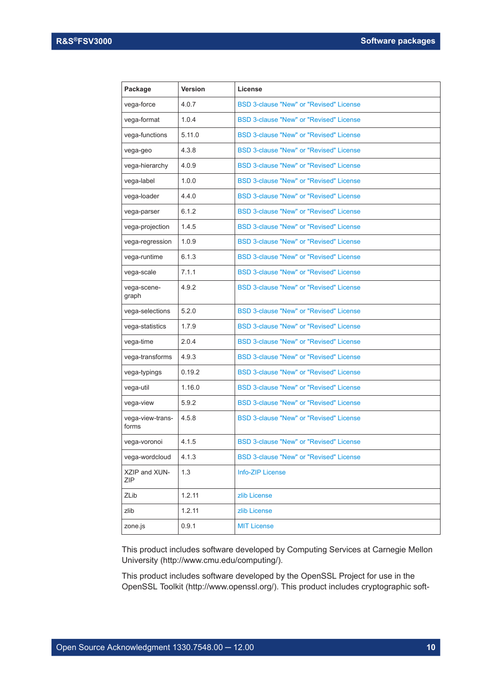| Package                   | <b>Version</b> | License                                        |
|---------------------------|----------------|------------------------------------------------|
| vega-force                | 407            | <b>BSD 3-clause "New" or "Revised" License</b> |
| vega-format               | 1.0.4          | <b>BSD 3-clause "New" or "Revised" License</b> |
| vega-functions            | 5.11.0         | <b>BSD 3-clause "New" or "Revised" License</b> |
| vega-geo                  | 4.3.8          | <b>BSD 3-clause "New" or "Revised" License</b> |
| vega-hierarchy            | 4.0.9          | <b>BSD 3-clause "New" or "Revised" License</b> |
| vega-label                | 1.0.0          | <b>BSD 3-clause "New" or "Revised" License</b> |
| vega-loader               | 4.4.0          | <b>BSD 3-clause "New" or "Revised" License</b> |
| vega-parser               | 6.1.2          | <b>BSD 3-clause "New" or "Revised" License</b> |
| vega-projection           | 1.4.5          | <b>BSD 3-clause "New" or "Revised" License</b> |
| vega-regression           | 1.0.9          | <b>BSD 3-clause "New" or "Revised" License</b> |
| vega-runtime              | 6.1.3          | <b>BSD 3-clause "New" or "Revised" License</b> |
| vega-scale                | 7.1.1          | BSD 3-clause "New" or "Revised" License        |
| vega-scene-<br>graph      | 4.9.2          | <b>BSD 3-clause "New" or "Revised" License</b> |
| vega-selections           | 5.2.0          | <b>BSD 3-clause "New" or "Revised" License</b> |
| vega-statistics           | 1.7.9          | <b>BSD 3-clause "New" or "Revised" License</b> |
| vega-time                 | 2.0.4          | <b>BSD 3-clause "New" or "Revised" License</b> |
| vega-transforms           | 4.9.3          | <b>BSD 3-clause "New" or "Revised" License</b> |
| vega-typings              | 0.19.2         | <b>BSD 3-clause "New" or "Revised" License</b> |
| vega-util                 | 1.16.0         | BSD 3-clause "New" or "Revised" License        |
| vega-view                 | 5.9.2          | <b>BSD 3-clause "New" or "Revised" License</b> |
| vega-view-trans-<br>forms | 4.5.8          | <b>BSD 3-clause "New" or "Revised" License</b> |
| vega-voronoi              | 4.1.5          | BSD 3-clause "New" or "Revised" License        |
| vega-wordcloud            | 4.1.3          | BSD 3-clause "New" or "Revised" License        |
| XZIP and XUN-<br>ZIP      | 1.3            | Info-ZIP License                               |
| ZLib                      | 1.2.11         | zlib License                                   |
| zlib                      | 1.2.11         | zlib License                                   |
| zone.js                   | 0.9.1          | <b>MIT License</b>                             |

This product includes software developed by Computing Services at Carnegie Mellon University (http://www.cmu.edu/computing/).

This product includes software developed by the OpenSSL Project for use in the OpenSSL Toolkit (http://www.openssl.org/). This product includes cryptographic soft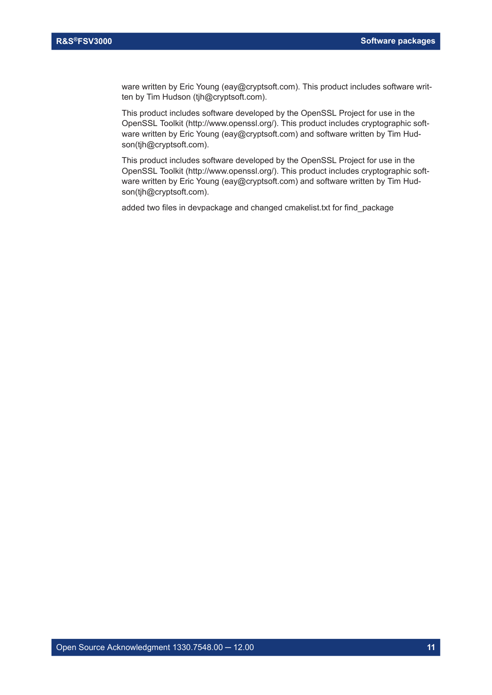ware written by Eric Young (eay@cryptsoft.com). This product includes software written by Tim Hudson (tjh@cryptsoft.com).

This product includes software developed by the OpenSSL Project for use in the OpenSSL Toolkit (http://www.openssl.org/). This product includes cryptographic software written by Eric Young (eay@cryptsoft.com) and software written by Tim Hudson(tjh@cryptsoft.com).

This product includes software developed by the OpenSSL Project for use in the OpenSSL Toolkit (http://www.openssl.org/). This product includes cryptographic software written by Eric Young (eay@cryptsoft.com) and software written by Tim Hudson(tjh@cryptsoft.com).

added two files in devpackage and changed cmakelist.txt for find\_package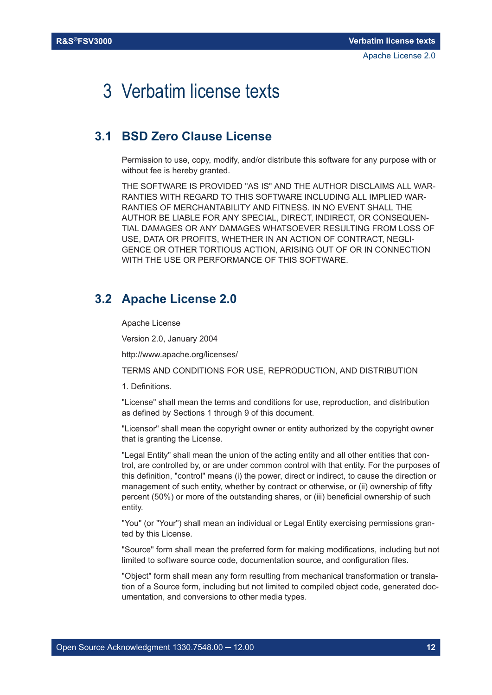## <span id="page-11-0"></span>3 Verbatim license texts

## **3.1 BSD Zero Clause License**

Permission to use, copy, modify, and/or distribute this software for any purpose with or without fee is hereby granted.

THE SOFTWARE IS PROVIDED "AS IS" AND THE AUTHOR DISCLAIMS ALL WAR-RANTIES WITH REGARD TO THIS SOFTWARE INCLUDING ALL IMPLIED WAR-RANTIES OF MERCHANTABILITY AND FITNESS. IN NO EVENT SHALL THE AUTHOR BE LIABLE FOR ANY SPECIAL, DIRECT, INDIRECT, OR CONSEQUEN-TIAL DAMAGES OR ANY DAMAGES WHATSOEVER RESULTING FROM LOSS OF USE, DATA OR PROFITS, WHETHER IN AN ACTION OF CONTRACT, NEGLI-GENCE OR OTHER TORTIOUS ACTION, ARISING OUT OF OR IN CONNECTION WITH THE USE OR PERFORMANCE OF THIS SOFTWARE.

## **3.2 Apache License 2.0**

Apache License

Version 2.0, January 2004

http://www.apache.org/licenses/

TERMS AND CONDITIONS FOR USE, REPRODUCTION, AND DISTRIBUTION

1. Definitions.

"License" shall mean the terms and conditions for use, reproduction, and distribution as defined by Sections 1 through 9 of this document.

"Licensor" shall mean the copyright owner or entity authorized by the copyright owner that is granting the License.

"Legal Entity" shall mean the union of the acting entity and all other entities that control, are controlled by, or are under common control with that entity. For the purposes of this definition, "control" means (i) the power, direct or indirect, to cause the direction or management of such entity, whether by contract or otherwise, or (ii) ownership of fifty percent (50%) or more of the outstanding shares, or (iii) beneficial ownership of such entity.

"You" (or "Your") shall mean an individual or Legal Entity exercising permissions granted by this License.

"Source" form shall mean the preferred form for making modifications, including but not limited to software source code, documentation source, and configuration files.

"Object" form shall mean any form resulting from mechanical transformation or translation of a Source form, including but not limited to compiled object code, generated documentation, and conversions to other media types.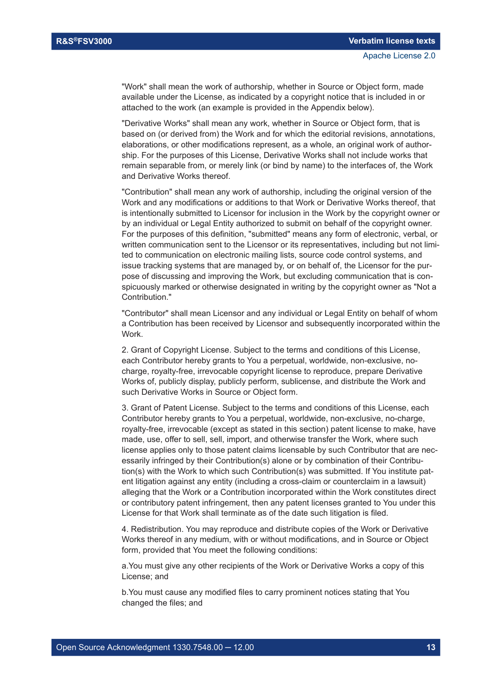"Work" shall mean the work of authorship, whether in Source or Object form, made available under the License, as indicated by a copyright notice that is included in or attached to the work (an example is provided in the Appendix below).

"Derivative Works" shall mean any work, whether in Source or Object form, that is based on (or derived from) the Work and for which the editorial revisions, annotations, elaborations, or other modifications represent, as a whole, an original work of authorship. For the purposes of this License, Derivative Works shall not include works that remain separable from, or merely link (or bind by name) to the interfaces of, the Work and Derivative Works thereof.

"Contribution" shall mean any work of authorship, including the original version of the Work and any modifications or additions to that Work or Derivative Works thereof, that is intentionally submitted to Licensor for inclusion in the Work by the copyright owner or by an individual or Legal Entity authorized to submit on behalf of the copyright owner. For the purposes of this definition, "submitted" means any form of electronic, verbal, or written communication sent to the Licensor or its representatives, including but not limited to communication on electronic mailing lists, source code control systems, and issue tracking systems that are managed by, or on behalf of, the Licensor for the purpose of discussing and improving the Work, but excluding communication that is conspicuously marked or otherwise designated in writing by the copyright owner as "Not a Contribution."

"Contributor" shall mean Licensor and any individual or Legal Entity on behalf of whom a Contribution has been received by Licensor and subsequently incorporated within the Work.

2. Grant of Copyright License. Subject to the terms and conditions of this License, each Contributor hereby grants to You a perpetual, worldwide, non-exclusive, nocharge, royalty-free, irrevocable copyright license to reproduce, prepare Derivative Works of, publicly display, publicly perform, sublicense, and distribute the Work and such Derivative Works in Source or Object form.

3. Grant of Patent License. Subject to the terms and conditions of this License, each Contributor hereby grants to You a perpetual, worldwide, non-exclusive, no-charge, royalty-free, irrevocable (except as stated in this section) patent license to make, have made, use, offer to sell, sell, import, and otherwise transfer the Work, where such license applies only to those patent claims licensable by such Contributor that are necessarily infringed by their Contribution(s) alone or by combination of their Contribution(s) with the Work to which such Contribution(s) was submitted. If You institute patent litigation against any entity (including a cross-claim or counterclaim in a lawsuit) alleging that the Work or a Contribution incorporated within the Work constitutes direct or contributory patent infringement, then any patent licenses granted to You under this License for that Work shall terminate as of the date such litigation is filed.

4. Redistribution. You may reproduce and distribute copies of the Work or Derivative Works thereof in any medium, with or without modifications, and in Source or Object form, provided that You meet the following conditions:

a.You must give any other recipients of the Work or Derivative Works a copy of this License; and

b.You must cause any modified files to carry prominent notices stating that You changed the files; and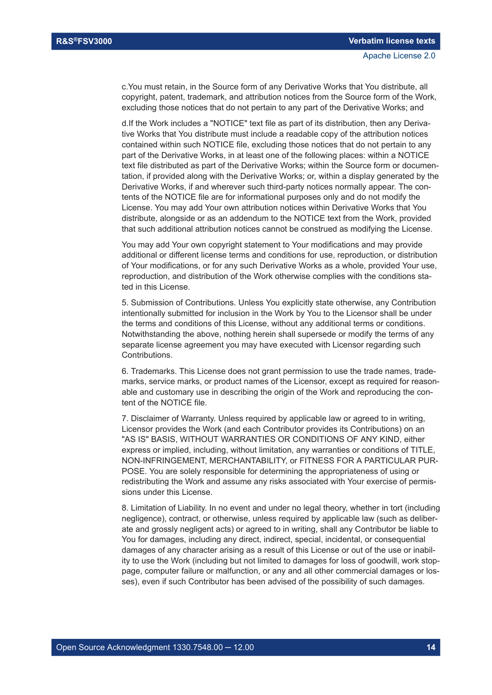c.You must retain, in the Source form of any Derivative Works that You distribute, all copyright, patent, trademark, and attribution notices from the Source form of the Work, excluding those notices that do not pertain to any part of the Derivative Works; and

d.If the Work includes a "NOTICE" text file as part of its distribution, then any Derivative Works that You distribute must include a readable copy of the attribution notices contained within such NOTICE file, excluding those notices that do not pertain to any part of the Derivative Works, in at least one of the following places: within a NOTICE text file distributed as part of the Derivative Works; within the Source form or documentation, if provided along with the Derivative Works; or, within a display generated by the Derivative Works, if and wherever such third-party notices normally appear. The contents of the NOTICE file are for informational purposes only and do not modify the License. You may add Your own attribution notices within Derivative Works that You distribute, alongside or as an addendum to the NOTICE text from the Work, provided that such additional attribution notices cannot be construed as modifying the License.

You may add Your own copyright statement to Your modifications and may provide additional or different license terms and conditions for use, reproduction, or distribution of Your modifications, or for any such Derivative Works as a whole, provided Your use, reproduction, and distribution of the Work otherwise complies with the conditions stated in this License.

5. Submission of Contributions. Unless You explicitly state otherwise, any Contribution intentionally submitted for inclusion in the Work by You to the Licensor shall be under the terms and conditions of this License, without any additional terms or conditions. Notwithstanding the above, nothing herein shall supersede or modify the terms of any separate license agreement you may have executed with Licensor regarding such Contributions.

6. Trademarks. This License does not grant permission to use the trade names, trademarks, service marks, or product names of the Licensor, except as required for reasonable and customary use in describing the origin of the Work and reproducing the content of the NOTICE file.

7. Disclaimer of Warranty. Unless required by applicable law or agreed to in writing, Licensor provides the Work (and each Contributor provides its Contributions) on an "AS IS" BASIS, WITHOUT WARRANTIES OR CONDITIONS OF ANY KIND, either express or implied, including, without limitation, any warranties or conditions of TITLE, NON-INFRINGEMENT, MERCHANTABILITY, or FITNESS FOR A PARTICULAR PUR-POSE. You are solely responsible for determining the appropriateness of using or redistributing the Work and assume any risks associated with Your exercise of permissions under this License.

8. Limitation of Liability. In no event and under no legal theory, whether in tort (including negligence), contract, or otherwise, unless required by applicable law (such as deliberate and grossly negligent acts) or agreed to in writing, shall any Contributor be liable to You for damages, including any direct, indirect, special, incidental, or consequential damages of any character arising as a result of this License or out of the use or inability to use the Work (including but not limited to damages for loss of goodwill, work stoppage, computer failure or malfunction, or any and all other commercial damages or losses), even if such Contributor has been advised of the possibility of such damages.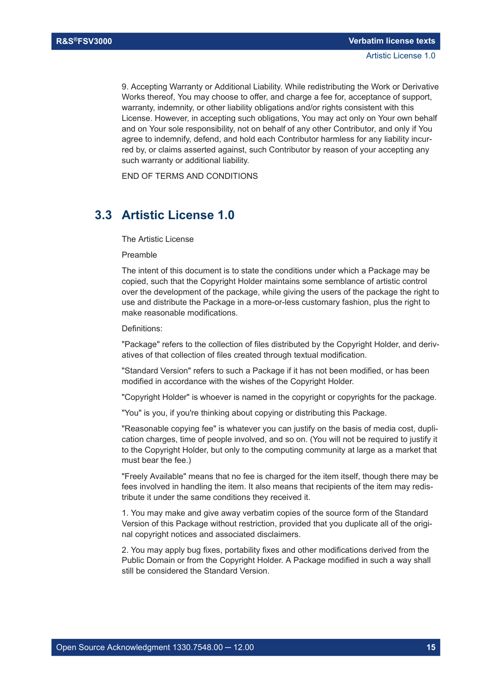<span id="page-14-0"></span>9. Accepting Warranty or Additional Liability. While redistributing the Work or Derivative Works thereof, You may choose to offer, and charge a fee for, acceptance of support, warranty, indemnity, or other liability obligations and/or rights consistent with this License. However, in accepting such obligations, You may act only on Your own behalf and on Your sole responsibility, not on behalf of any other Contributor, and only if You agree to indemnify, defend, and hold each Contributor harmless for any liability incurred by, or claims asserted against, such Contributor by reason of your accepting any such warranty or additional liability.

END OF TERMS AND CONDITIONS

## **3.3 Artistic License 1.0**

The Artistic License

#### Preamble

The intent of this document is to state the conditions under which a Package may be copied, such that the Copyright Holder maintains some semblance of artistic control over the development of the package, while giving the users of the package the right to use and distribute the Package in a more-or-less customary fashion, plus the right to make reasonable modifications.

Definitions:

"Package" refers to the collection of files distributed by the Copyright Holder, and derivatives of that collection of files created through textual modification.

"Standard Version" refers to such a Package if it has not been modified, or has been modified in accordance with the wishes of the Copyright Holder.

"Copyright Holder" is whoever is named in the copyright or copyrights for the package.

"You" is you, if you're thinking about copying or distributing this Package.

"Reasonable copying fee" is whatever you can justify on the basis of media cost, duplication charges, time of people involved, and so on. (You will not be required to justify it to the Copyright Holder, but only to the computing community at large as a market that must bear the fee.)

"Freely Available" means that no fee is charged for the item itself, though there may be fees involved in handling the item. It also means that recipients of the item may redistribute it under the same conditions they received it.

1. You may make and give away verbatim copies of the source form of the Standard Version of this Package without restriction, provided that you duplicate all of the original copyright notices and associated disclaimers.

2. You may apply bug fixes, portability fixes and other modifications derived from the Public Domain or from the Copyright Holder. A Package modified in such a way shall still be considered the Standard Version.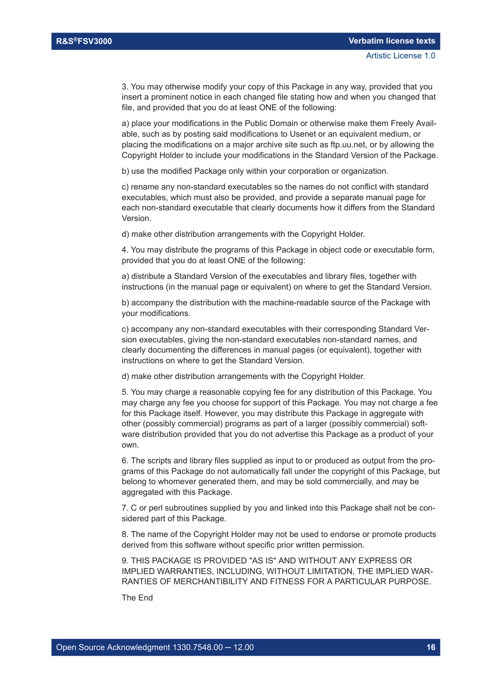3. You may otherwise modify your copy of this Package in any way, provided that you insert a prominent notice in each changed file stating how and when you changed that file, and provided that you do at least ONE of the following:

a) place your modifications in the Public Domain or otherwise make them Freely Available, such as by posting said modifications to Usenet or an equivalent medium, or placing the modifications on a major archive site such as ftp.uu.net, or by allowing the Copyright Holder to include your modifications in the Standard Version of the Package.

b) use the modified Package only within your corporation or organization.

c) rename any non-standard executables so the names do not conflict with standard executables, which must also be provided, and provide a separate manual page for each non-standard executable that clearly documents how it differs from the Standard Version.

d) make other distribution arrangements with the Copyright Holder.

4. You may distribute the programs of this Package in object code or executable form, provided that you do at least ONE of the following:

a) distribute a Standard Version of the executables and library files, together with instructions (in the manual page or equivalent) on where to get the Standard Version.

b) accompany the distribution with the machine-readable source of the Package with your modifications.

c) accompany any non-standard executables with their corresponding Standard Version executables, giving the non-standard executables non-standard names, and clearly documenting the differences in manual pages (or equivalent), together with instructions on where to get the Standard Version.

d) make other distribution arrangements with the Copyright Holder.

5. You may charge a reasonable copying fee for any distribution of this Package. You may charge any fee you choose for support of this Package. You may not charge a fee for this Package itself. However, you may distribute this Package in aggregate with other (possibly commercial) programs as part of a larger (possibly commercial) software distribution provided that you do not advertise this Package as a product of your own.

6. The scripts and library files supplied as input to or produced as output from the programs of this Package do not automatically fall under the copyright of this Package, but belong to whomever generated them, and may be sold commercially, and may be aggregated with this Package.

7. C or perl subroutines supplied by you and linked into this Package shall not be considered part of this Package.

8. The name of the Copyright Holder may not be used to endorse or promote products derived from this software without specific prior written permission.

9. THIS PACKAGE IS PROVIDED "AS IS" AND WITHOUT ANY EXPRESS OR IMPLIED WARRANTIES, INCLUDING, WITHOUT LIMITATION, THE IMPLIED WAR-RANTIES OF MERCHANTIBILITY AND FITNESS FOR A PARTICULAR PURPOSE.

The End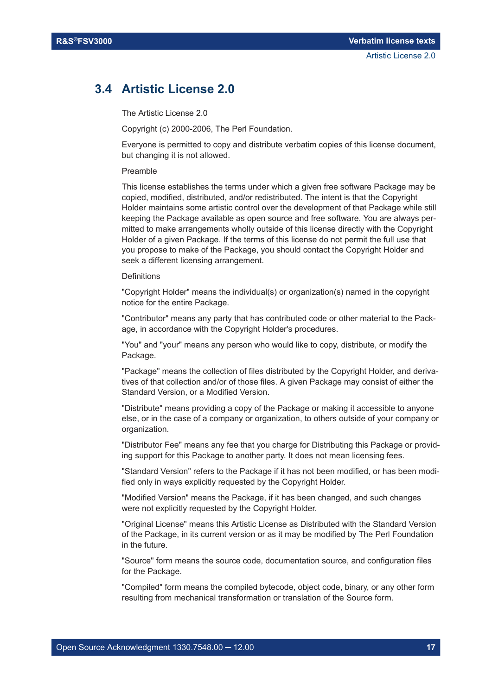## <span id="page-16-0"></span>**3.4 Artistic License 2.0**

The Artistic License 2.0

Copyright (c) 2000-2006, The Perl Foundation.

Everyone is permitted to copy and distribute verbatim copies of this license document, but changing it is not allowed.

#### Preamble

This license establishes the terms under which a given free software Package may be copied, modified, distributed, and/or redistributed. The intent is that the Copyright Holder maintains some artistic control over the development of that Package while still keeping the Package available as open source and free software. You are always permitted to make arrangements wholly outside of this license directly with the Copyright Holder of a given Package. If the terms of this license do not permit the full use that you propose to make of the Package, you should contact the Copyright Holder and seek a different licensing arrangement.

#### Definitions

"Copyright Holder" means the individual(s) or organization(s) named in the copyright notice for the entire Package.

"Contributor" means any party that has contributed code or other material to the Package, in accordance with the Copyright Holder's procedures.

"You" and "your" means any person who would like to copy, distribute, or modify the Package.

"Package" means the collection of files distributed by the Copyright Holder, and derivatives of that collection and/or of those files. A given Package may consist of either the Standard Version, or a Modified Version.

"Distribute" means providing a copy of the Package or making it accessible to anyone else, or in the case of a company or organization, to others outside of your company or organization.

"Distributor Fee" means any fee that you charge for Distributing this Package or providing support for this Package to another party. It does not mean licensing fees.

"Standard Version" refers to the Package if it has not been modified, or has been modified only in ways explicitly requested by the Copyright Holder.

"Modified Version" means the Package, if it has been changed, and such changes were not explicitly requested by the Copyright Holder.

"Original License" means this Artistic License as Distributed with the Standard Version of the Package, in its current version or as it may be modified by The Perl Foundation in the future.

"Source" form means the source code, documentation source, and configuration files for the Package.

"Compiled" form means the compiled bytecode, object code, binary, or any other form resulting from mechanical transformation or translation of the Source form.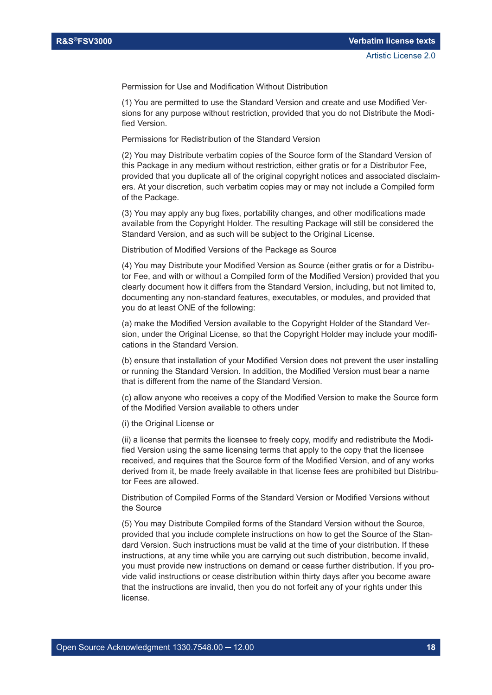Permission for Use and Modification Without Distribution

(1) You are permitted to use the Standard Version and create and use Modified Versions for any purpose without restriction, provided that you do not Distribute the Modified Version.

Permissions for Redistribution of the Standard Version

(2) You may Distribute verbatim copies of the Source form of the Standard Version of this Package in any medium without restriction, either gratis or for a Distributor Fee, provided that you duplicate all of the original copyright notices and associated disclaimers. At your discretion, such verbatim copies may or may not include a Compiled form of the Package.

(3) You may apply any bug fixes, portability changes, and other modifications made available from the Copyright Holder. The resulting Package will still be considered the Standard Version, and as such will be subject to the Original License.

Distribution of Modified Versions of the Package as Source

(4) You may Distribute your Modified Version as Source (either gratis or for a Distributor Fee, and with or without a Compiled form of the Modified Version) provided that you clearly document how it differs from the Standard Version, including, but not limited to, documenting any non-standard features, executables, or modules, and provided that you do at least ONE of the following:

(a) make the Modified Version available to the Copyright Holder of the Standard Version, under the Original License, so that the Copyright Holder may include your modifications in the Standard Version.

(b) ensure that installation of your Modified Version does not prevent the user installing or running the Standard Version. In addition, the Modified Version must bear a name that is different from the name of the Standard Version.

(c) allow anyone who receives a copy of the Modified Version to make the Source form of the Modified Version available to others under

(i) the Original License or

(ii) a license that permits the licensee to freely copy, modify and redistribute the Modified Version using the same licensing terms that apply to the copy that the licensee received, and requires that the Source form of the Modified Version, and of any works derived from it, be made freely available in that license fees are prohibited but Distributor Fees are allowed.

Distribution of Compiled Forms of the Standard Version or Modified Versions without the Source

(5) You may Distribute Compiled forms of the Standard Version without the Source, provided that you include complete instructions on how to get the Source of the Standard Version. Such instructions must be valid at the time of your distribution. If these instructions, at any time while you are carrying out such distribution, become invalid, you must provide new instructions on demand or cease further distribution. If you provide valid instructions or cease distribution within thirty days after you become aware that the instructions are invalid, then you do not forfeit any of your rights under this license.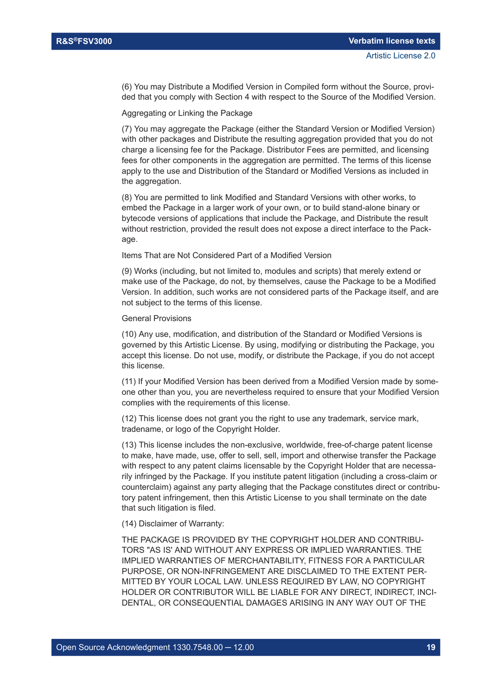(6) You may Distribute a Modified Version in Compiled form without the Source, provided that you comply with Section 4 with respect to the Source of the Modified Version.

Aggregating or Linking the Package

(7) You may aggregate the Package (either the Standard Version or Modified Version) with other packages and Distribute the resulting aggregation provided that you do not charge a licensing fee for the Package. Distributor Fees are permitted, and licensing fees for other components in the aggregation are permitted. The terms of this license apply to the use and Distribution of the Standard or Modified Versions as included in the aggregation.

(8) You are permitted to link Modified and Standard Versions with other works, to embed the Package in a larger work of your own, or to build stand-alone binary or bytecode versions of applications that include the Package, and Distribute the result without restriction, provided the result does not expose a direct interface to the Package.

Items That are Not Considered Part of a Modified Version

(9) Works (including, but not limited to, modules and scripts) that merely extend or make use of the Package, do not, by themselves, cause the Package to be a Modified Version. In addition, such works are not considered parts of the Package itself, and are not subject to the terms of this license.

#### General Provisions

(10) Any use, modification, and distribution of the Standard or Modified Versions is governed by this Artistic License. By using, modifying or distributing the Package, you accept this license. Do not use, modify, or distribute the Package, if you do not accept this license.

(11) If your Modified Version has been derived from a Modified Version made by someone other than you, you are nevertheless required to ensure that your Modified Version complies with the requirements of this license.

(12) This license does not grant you the right to use any trademark, service mark, tradename, or logo of the Copyright Holder.

(13) This license includes the non-exclusive, worldwide, free-of-charge patent license to make, have made, use, offer to sell, sell, import and otherwise transfer the Package with respect to any patent claims licensable by the Copyright Holder that are necessarily infringed by the Package. If you institute patent litigation (including a cross-claim or counterclaim) against any party alleging that the Package constitutes direct or contributory patent infringement, then this Artistic License to you shall terminate on the date that such litigation is filed.

#### (14) Disclaimer of Warranty:

THE PACKAGE IS PROVIDED BY THE COPYRIGHT HOLDER AND CONTRIBU-TORS "AS IS' AND WITHOUT ANY EXPRESS OR IMPLIED WARRANTIES. THE IMPLIED WARRANTIES OF MERCHANTABILITY, FITNESS FOR A PARTICULAR PURPOSE, OR NON-INFRINGEMENT ARE DISCLAIMED TO THE EXTENT PER-MITTED BY YOUR LOCAL LAW. UNLESS REQUIRED BY LAW, NO COPYRIGHT HOLDER OR CONTRIBUTOR WILL BE LIABLE FOR ANY DIRECT, INDIRECT, INCI-DENTAL, OR CONSEQUENTIAL DAMAGES ARISING IN ANY WAY OUT OF THE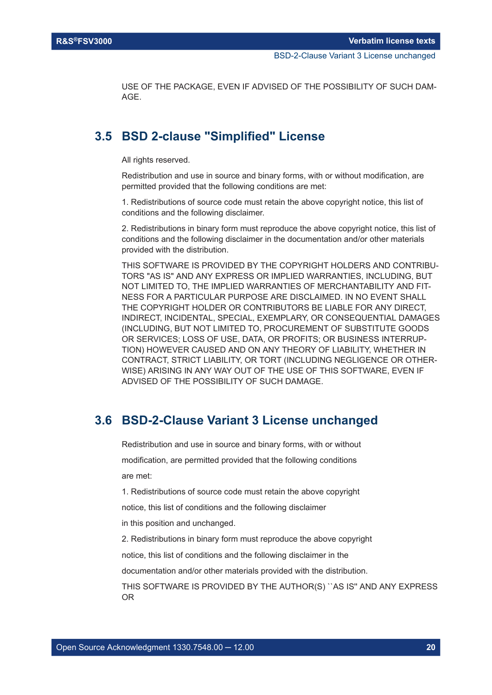<span id="page-19-0"></span>USE OF THE PACKAGE, EVEN IF ADVISED OF THE POSSIBILITY OF SUCH DAM-AGE.

## **3.5 BSD 2-clause "Simplified" License**

All rights reserved.

Redistribution and use in source and binary forms, with or without modification, are permitted provided that the following conditions are met:

1. Redistributions of source code must retain the above copyright notice, this list of conditions and the following disclaimer.

2. Redistributions in binary form must reproduce the above copyright notice, this list of conditions and the following disclaimer in the documentation and/or other materials provided with the distribution.

THIS SOFTWARE IS PROVIDED BY THE COPYRIGHT HOLDERS AND CONTRIBU-TORS "AS IS" AND ANY EXPRESS OR IMPLIED WARRANTIES, INCLUDING, BUT NOT LIMITED TO, THE IMPLIED WARRANTIES OF MERCHANTABILITY AND FIT-NESS FOR A PARTICULAR PURPOSE ARE DISCLAIMED. IN NO EVENT SHALL THE COPYRIGHT HOLDER OR CONTRIBUTORS BE LIABLE FOR ANY DIRECT, INDIRECT, INCIDENTAL, SPECIAL, EXEMPLARY, OR CONSEQUENTIAL DAMAGES (INCLUDING, BUT NOT LIMITED TO, PROCUREMENT OF SUBSTITUTE GOODS OR SERVICES; LOSS OF USE, DATA, OR PROFITS; OR BUSINESS INTERRUP-TION) HOWEVER CAUSED AND ON ANY THEORY OF LIABILITY, WHETHER IN CONTRACT, STRICT LIABILITY, OR TORT (INCLUDING NEGLIGENCE OR OTHER-WISE) ARISING IN ANY WAY OUT OF THE USE OF THIS SOFTWARE, EVEN IF ADVISED OF THE POSSIBILITY OF SUCH DAMAGE.

#### **3.6 BSD-2-Clause Variant 3 License unchanged**

Redistribution and use in source and binary forms, with or without modification, are permitted provided that the following conditions are met:

1. Redistributions of source code must retain the above copyright

notice, this list of conditions and the following disclaimer

in this position and unchanged.

2. Redistributions in binary form must reproduce the above copyright

notice, this list of conditions and the following disclaimer in the

documentation and/or other materials provided with the distribution.

THIS SOFTWARE IS PROVIDED BY THE AUTHOR(S) ``AS IS'' AND ANY EXPRESS OR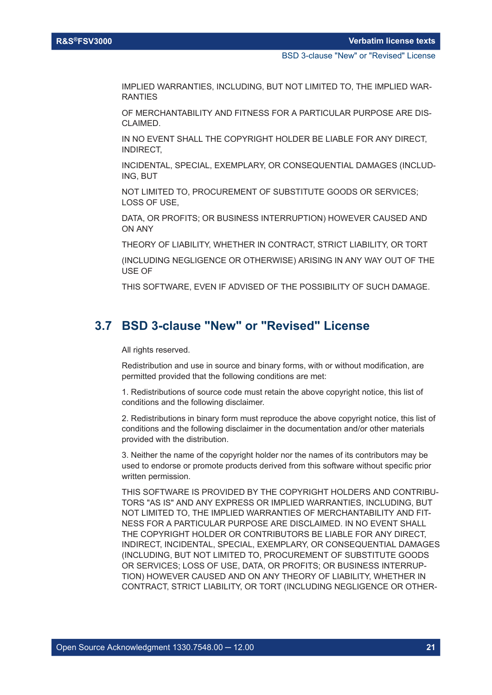<span id="page-20-0"></span>IMPLIED WARRANTIES, INCLUDING, BUT NOT LIMITED TO, THE IMPLIED WAR-RANTIES

OF MERCHANTABILITY AND FITNESS FOR A PARTICULAR PURPOSE ARE DIS-CLAIMED.

IN NO EVENT SHALL THE COPYRIGHT HOLDER BE LIABLE FOR ANY DIRECT, INDIRECT,

INCIDENTAL, SPECIAL, EXEMPLARY, OR CONSEQUENTIAL DAMAGES (INCLUD-ING, BUT

NOT LIMITED TO, PROCUREMENT OF SUBSTITUTE GOODS OR SERVICES; LOSS OF USE,

DATA, OR PROFITS; OR BUSINESS INTERRUPTION) HOWEVER CAUSED AND ON ANY

THEORY OF LIABILITY, WHETHER IN CONTRACT, STRICT LIABILITY, OR TORT

(INCLUDING NEGLIGENCE OR OTHERWISE) ARISING IN ANY WAY OUT OF THE USE OF

THIS SOFTWARE, EVEN IF ADVISED OF THE POSSIBILITY OF SUCH DAMAGE.

## **3.7 BSD 3-clause "New" or "Revised" License**

All rights reserved.

Redistribution and use in source and binary forms, with or without modification, are permitted provided that the following conditions are met:

1. Redistributions of source code must retain the above copyright notice, this list of conditions and the following disclaimer.

2. Redistributions in binary form must reproduce the above copyright notice, this list of conditions and the following disclaimer in the documentation and/or other materials provided with the distribution.

3. Neither the name of the copyright holder nor the names of its contributors may be used to endorse or promote products derived from this software without specific prior written permission.

THIS SOFTWARE IS PROVIDED BY THE COPYRIGHT HOLDERS AND CONTRIBU-TORS "AS IS" AND ANY EXPRESS OR IMPLIED WARRANTIES, INCLUDING, BUT NOT LIMITED TO, THE IMPLIED WARRANTIES OF MERCHANTABILITY AND FIT-NESS FOR A PARTICULAR PURPOSE ARE DISCLAIMED. IN NO EVENT SHALL THE COPYRIGHT HOLDER OR CONTRIBUTORS BE LIABLE FOR ANY DIRECT, INDIRECT, INCIDENTAL, SPECIAL, EXEMPLARY, OR CONSEQUENTIAL DAMAGES (INCLUDING, BUT NOT LIMITED TO, PROCUREMENT OF SUBSTITUTE GOODS OR SERVICES; LOSS OF USE, DATA, OR PROFITS; OR BUSINESS INTERRUP-TION) HOWEVER CAUSED AND ON ANY THEORY OF LIABILITY, WHETHER IN CONTRACT, STRICT LIABILITY, OR TORT (INCLUDING NEGLIGENCE OR OTHER-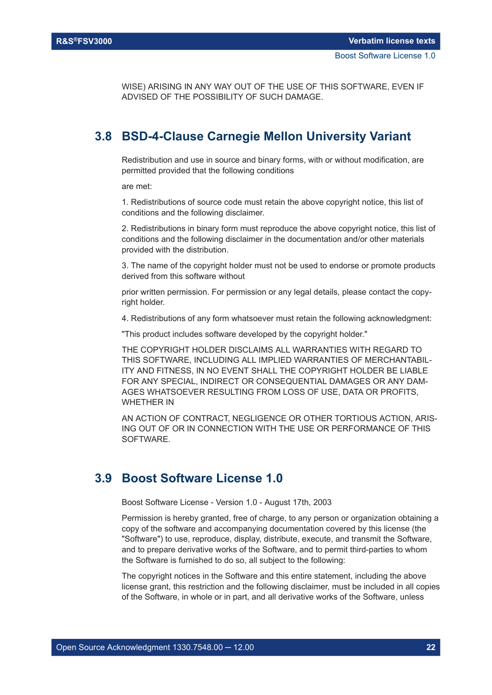<span id="page-21-0"></span>WISE) ARISING IN ANY WAY OUT OF THE USE OF THIS SOFTWARE, EVEN IF ADVISED OF THE POSSIBILITY OF SUCH DAMAGE.

#### **3.8 BSD-4-Clause Carnegie Mellon University Variant**

Redistribution and use in source and binary forms, with or without modification, are permitted provided that the following conditions

are met:

1. Redistributions of source code must retain the above copyright notice, this list of conditions and the following disclaimer.

2. Redistributions in binary form must reproduce the above copyright notice, this list of conditions and the following disclaimer in the documentation and/or other materials provided with the distribution.

3. The name of the copyright holder must not be used to endorse or promote products derived from this software without

prior written permission. For permission or any legal details, please contact the copyright holder.

4. Redistributions of any form whatsoever must retain the following acknowledgment:

"This product includes software developed by the copyright holder."

THE COPYRIGHT HOLDER DISCLAIMS ALL WARRANTIES WITH REGARD TO THIS SOFTWARE, INCLUDING ALL IMPLIED WARRANTIES OF MERCHANTABIL-ITY AND FITNESS, IN NO EVENT SHALL THE COPYRIGHT HOLDER BE LIABLE FOR ANY SPECIAL, INDIRECT OR CONSEQUENTIAL DAMAGES OR ANY DAM-AGES WHATSOEVER RESULTING FROM LOSS OF USE, DATA OR PROFITS, WHETHER IN

AN ACTION OF CONTRACT, NEGLIGENCE OR OTHER TORTIOUS ACTION, ARIS-ING OUT OF OR IN CONNECTION WITH THE USE OR PERFORMANCE OF THIS SOFTWARE.

#### **3.9 Boost Software License 1.0**

Boost Software License - Version 1.0 - August 17th, 2003

Permission is hereby granted, free of charge, to any person or organization obtaining a copy of the software and accompanying documentation covered by this license (the "Software") to use, reproduce, display, distribute, execute, and transmit the Software, and to prepare derivative works of the Software, and to permit third-parties to whom the Software is furnished to do so, all subject to the following:

The copyright notices in the Software and this entire statement, including the above license grant, this restriction and the following disclaimer, must be included in all copies of the Software, in whole or in part, and all derivative works of the Software, unless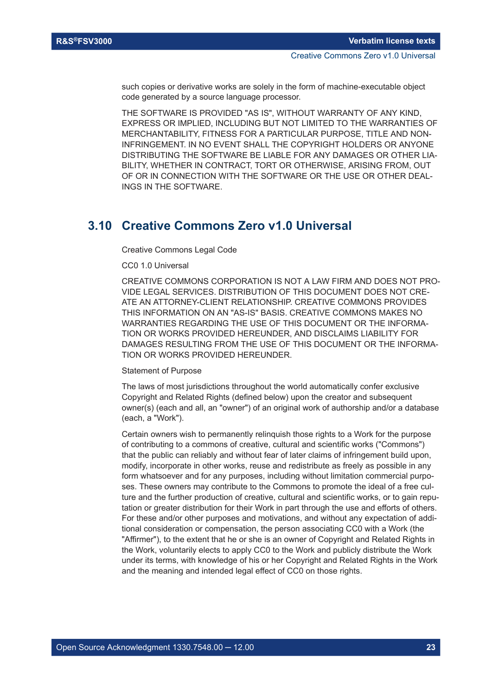<span id="page-22-0"></span>such copies or derivative works are solely in the form of machine-executable object code generated by a source language processor.

THE SOFTWARE IS PROVIDED "AS IS", WITHOUT WARRANTY OF ANY KIND, EXPRESS OR IMPLIED, INCLUDING BUT NOT LIMITED TO THE WARRANTIES OF MERCHANTABILITY, FITNESS FOR A PARTICULAR PURPOSE, TITLE AND NON-INFRINGEMENT. IN NO EVENT SHALL THE COPYRIGHT HOLDERS OR ANYONE DISTRIBUTING THE SOFTWARE BE LIABLE FOR ANY DAMAGES OR OTHER LIA-BILITY, WHETHER IN CONTRACT, TORT OR OTHERWISE, ARISING FROM, OUT OF OR IN CONNECTION WITH THE SOFTWARE OR THE USE OR OTHER DEAL-INGS IN THE SOFTWARE.

#### **3.10 Creative Commons Zero v1.0 Universal**

Creative Commons Legal Code

CC0 1.0 Universal

CREATIVE COMMONS CORPORATION IS NOT A LAW FIRM AND DOES NOT PRO-VIDE LEGAL SERVICES. DISTRIBUTION OF THIS DOCUMENT DOES NOT CRE-ATE AN ATTORNEY-CLIENT RELATIONSHIP. CREATIVE COMMONS PROVIDES THIS INFORMATION ON AN "AS-IS" BASIS. CREATIVE COMMONS MAKES NO WARRANTIES REGARDING THE USE OF THIS DOCUMENT OR THE INFORMA-TION OR WORKS PROVIDED HEREUNDER, AND DISCLAIMS LIABILITY FOR DAMAGES RESULTING FROM THE USE OF THIS DOCUMENT OR THE INFORMA-TION OR WORKS PROVIDED HEREUNDER.

Statement of Purpose

The laws of most jurisdictions throughout the world automatically confer exclusive Copyright and Related Rights (defined below) upon the creator and subsequent owner(s) (each and all, an "owner") of an original work of authorship and/or a database (each, a "Work").

Certain owners wish to permanently relinquish those rights to a Work for the purpose of contributing to a commons of creative, cultural and scientific works ("Commons") that the public can reliably and without fear of later claims of infringement build upon, modify, incorporate in other works, reuse and redistribute as freely as possible in any form whatsoever and for any purposes, including without limitation commercial purposes. These owners may contribute to the Commons to promote the ideal of a free culture and the further production of creative, cultural and scientific works, or to gain reputation or greater distribution for their Work in part through the use and efforts of others. For these and/or other purposes and motivations, and without any expectation of additional consideration or compensation, the person associating CC0 with a Work (the "Affirmer"), to the extent that he or she is an owner of Copyright and Related Rights in the Work, voluntarily elects to apply CC0 to the Work and publicly distribute the Work under its terms, with knowledge of his or her Copyright and Related Rights in the Work and the meaning and intended legal effect of CC0 on those rights.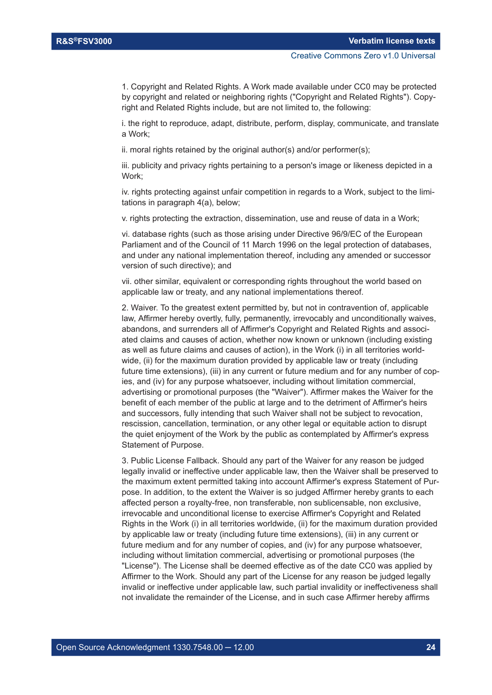1. Copyright and Related Rights. A Work made available under CC0 may be protected by copyright and related or neighboring rights ("Copyright and Related Rights"). Copyright and Related Rights include, but are not limited to, the following:

i. the right to reproduce, adapt, distribute, perform, display, communicate, and translate a Work;

ii. moral rights retained by the original author(s) and/or performer(s);

iii. publicity and privacy rights pertaining to a person's image or likeness depicted in a Work;

iv. rights protecting against unfair competition in regards to a Work, subject to the limitations in paragraph 4(a), below;

v. rights protecting the extraction, dissemination, use and reuse of data in a Work;

vi. database rights (such as those arising under Directive 96/9/EC of the European Parliament and of the Council of 11 March 1996 on the legal protection of databases, and under any national implementation thereof, including any amended or successor version of such directive); and

vii. other similar, equivalent or corresponding rights throughout the world based on applicable law or treaty, and any national implementations thereof.

2. Waiver. To the greatest extent permitted by, but not in contravention of, applicable law, Affirmer hereby overtly, fully, permanently, irrevocably and unconditionally waives, abandons, and surrenders all of Affirmer's Copyright and Related Rights and associated claims and causes of action, whether now known or unknown (including existing as well as future claims and causes of action), in the Work (i) in all territories worldwide, (ii) for the maximum duration provided by applicable law or treaty (including future time extensions), (iii) in any current or future medium and for any number of copies, and (iv) for any purpose whatsoever, including without limitation commercial, advertising or promotional purposes (the "Waiver"). Affirmer makes the Waiver for the benefit of each member of the public at large and to the detriment of Affirmer's heirs and successors, fully intending that such Waiver shall not be subject to revocation, rescission, cancellation, termination, or any other legal or equitable action to disrupt the quiet enjoyment of the Work by the public as contemplated by Affirmer's express Statement of Purpose.

3. Public License Fallback. Should any part of the Waiver for any reason be judged legally invalid or ineffective under applicable law, then the Waiver shall be preserved to the maximum extent permitted taking into account Affirmer's express Statement of Purpose. In addition, to the extent the Waiver is so judged Affirmer hereby grants to each affected person a royalty-free, non transferable, non sublicensable, non exclusive, irrevocable and unconditional license to exercise Affirmer's Copyright and Related Rights in the Work (i) in all territories worldwide, (ii) for the maximum duration provided by applicable law or treaty (including future time extensions), (iii) in any current or future medium and for any number of copies, and (iv) for any purpose whatsoever, including without limitation commercial, advertising or promotional purposes (the "License"). The License shall be deemed effective as of the date CC0 was applied by Affirmer to the Work. Should any part of the License for any reason be judged legally invalid or ineffective under applicable law, such partial invalidity or ineffectiveness shall not invalidate the remainder of the License, and in such case Affirmer hereby affirms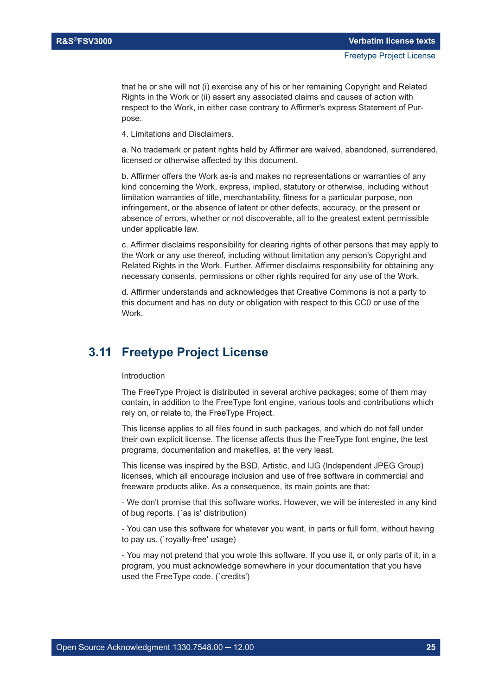<span id="page-24-0"></span>that he or she will not (i) exercise any of his or her remaining Copyright and Related Rights in the Work or (ii) assert any associated claims and causes of action with respect to the Work, in either case contrary to Affirmer's express Statement of Purpose.

4. Limitations and Disclaimers.

a. No trademark or patent rights held by Affirmer are waived, abandoned, surrendered, licensed or otherwise affected by this document.

b. Affirmer offers the Work as-is and makes no representations or warranties of any kind concerning the Work, express, implied, statutory or otherwise, including without limitation warranties of title, merchantability, fitness for a particular purpose, non infringement, or the absence of latent or other defects, accuracy, or the present or absence of errors, whether or not discoverable, all to the greatest extent permissible under applicable law.

c. Affirmer disclaims responsibility for clearing rights of other persons that may apply to the Work or any use thereof, including without limitation any person's Copyright and Related Rights in the Work. Further, Affirmer disclaims responsibility for obtaining any necessary consents, permissions or other rights required for any use of the Work.

d. Affirmer understands and acknowledges that Creative Commons is not a party to this document and has no duty or obligation with respect to this CC0 or use of the Work.

## **3.11 Freetype Project License**

#### Introduction

The FreeType Project is distributed in several archive packages; some of them may contain, in addition to the FreeType font engine, various tools and contributions which rely on, or relate to, the FreeType Project.

This license applies to all files found in such packages, and which do not fall under their own explicit license. The license affects thus the FreeType font engine, the test programs, documentation and makefiles, at the very least.

This license was inspired by the BSD, Artistic, and IJG (Independent JPEG Group) licenses, which all encourage inclusion and use of free software in commercial and freeware products alike. As a consequence, its main points are that:

- We don't promise that this software works. However, we will be interested in any kind of bug reports. (`as is' distribution)

- You can use this software for whatever you want, in parts or full form, without having to pay us. (`royalty-free' usage)

- You may not pretend that you wrote this software. If you use it, or only parts of it, in a program, you must acknowledge somewhere in your documentation that you have used the FreeType code. (`credits')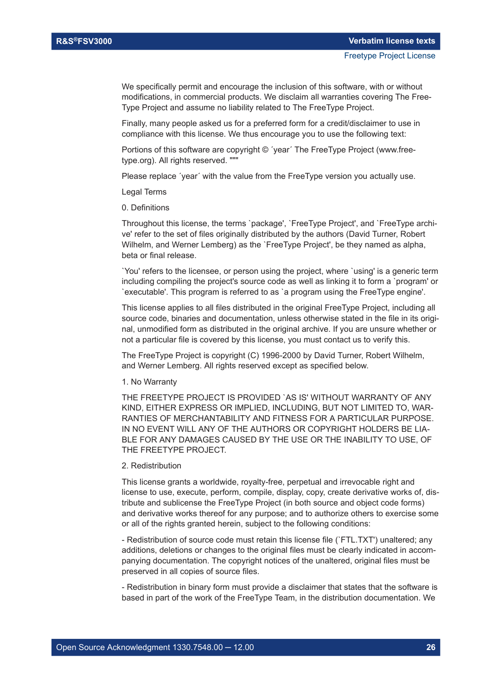We specifically permit and encourage the inclusion of this software, with or without modifications, in commercial products. We disclaim all warranties covering The Free-Type Project and assume no liability related to The FreeType Project.

Finally, many people asked us for a preferred form for a credit/disclaimer to use in compliance with this license. We thus encourage you to use the following text:

Portions of this software are copyright © ´year´ The FreeType Project (www.freetype.org). All rights reserved. """

Please replace 'year' with the value from the FreeType version you actually use.

Legal Terms

0. Definitions

Throughout this license, the terms `package', `FreeType Project', and `FreeType archive' refer to the set of files originally distributed by the authors (David Turner, Robert Wilhelm, and Werner Lemberg) as the `FreeType Project', be they named as alpha, beta or final release.

`You' refers to the licensee, or person using the project, where `using' is a generic term including compiling the project's source code as well as linking it to form a `program' or `executable'. This program is referred to as `a program using the FreeType engine'.

This license applies to all files distributed in the original FreeType Project, including all source code, binaries and documentation, unless otherwise stated in the file in its original, unmodified form as distributed in the original archive. If you are unsure whether or not a particular file is covered by this license, you must contact us to verify this.

The FreeType Project is copyright (C) 1996-2000 by David Turner, Robert Wilhelm, and Werner Lemberg. All rights reserved except as specified below.

#### 1. No Warranty

THE FREETYPE PROJECT IS PROVIDED `AS IS' WITHOUT WARRANTY OF ANY KIND, EITHER EXPRESS OR IMPLIED, INCLUDING, BUT NOT LIMITED TO, WAR-RANTIES OF MERCHANTABILITY AND FITNESS FOR A PARTICULAR PURPOSE. IN NO EVENT WILL ANY OF THE AUTHORS OR COPYRIGHT HOLDERS BE LIA-BLE FOR ANY DAMAGES CAUSED BY THE USE OR THE INABILITY TO USE, OF THE FREETYPE PROJECT.

#### 2. Redistribution

This license grants a worldwide, royalty-free, perpetual and irrevocable right and license to use, execute, perform, compile, display, copy, create derivative works of, distribute and sublicense the FreeType Project (in both source and object code forms) and derivative works thereof for any purpose; and to authorize others to exercise some or all of the rights granted herein, subject to the following conditions:

- Redistribution of source code must retain this license file (`FTL.TXT') unaltered; any additions, deletions or changes to the original files must be clearly indicated in accompanying documentation. The copyright notices of the unaltered, original files must be preserved in all copies of source files.

- Redistribution in binary form must provide a disclaimer that states that the software is based in part of the work of the FreeType Team, in the distribution documentation. We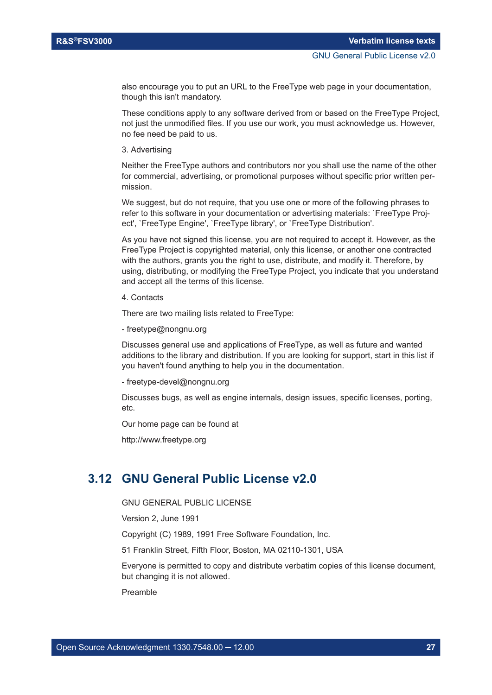<span id="page-26-0"></span>also encourage you to put an URL to the FreeType web page in your documentation, though this isn't mandatory.

These conditions apply to any software derived from or based on the FreeType Project, not just the unmodified files. If you use our work, you must acknowledge us. However, no fee need be paid to us.

3. Advertising

Neither the FreeType authors and contributors nor you shall use the name of the other for commercial, advertising, or promotional purposes without specific prior written permission.

We suggest, but do not require, that you use one or more of the following phrases to refer to this software in your documentation or advertising materials: `FreeType Project', `FreeType Engine', `FreeType library', or `FreeType Distribution'.

As you have not signed this license, you are not required to accept it. However, as the FreeType Project is copyrighted material, only this license, or another one contracted with the authors, grants you the right to use, distribute, and modify it. Therefore, by using, distributing, or modifying the FreeType Project, you indicate that you understand and accept all the terms of this license.

4. Contacts

There are two mailing lists related to FreeType:

- freetype@nongnu.org

Discusses general use and applications of FreeType, as well as future and wanted additions to the library and distribution. If you are looking for support, start in this list if you haven't found anything to help you in the documentation.

- freetype-devel@nongnu.org

Discusses bugs, as well as engine internals, design issues, specific licenses, porting, etc.

Our home page can be found at

http://www.freetype.org

## **3.12 GNU General Public License v2.0**

GNU GENERAL PUBLIC LICENSE

Version 2, June 1991

Copyright (C) 1989, 1991 Free Software Foundation, Inc.

51 Franklin Street, Fifth Floor, Boston, MA 02110-1301, USA

Everyone is permitted to copy and distribute verbatim copies of this license document, but changing it is not allowed.

Preamble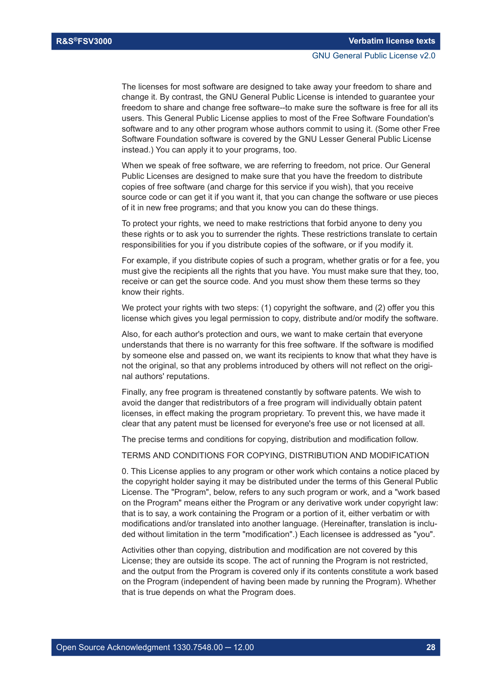The licenses for most software are designed to take away your freedom to share and change it. By contrast, the GNU General Public License is intended to guarantee your freedom to share and change free software--to make sure the software is free for all its users. This General Public License applies to most of the Free Software Foundation's software and to any other program whose authors commit to using it. (Some other Free Software Foundation software is covered by the GNU Lesser General Public License instead.) You can apply it to your programs, too.

When we speak of free software, we are referring to freedom, not price. Our General Public Licenses are designed to make sure that you have the freedom to distribute copies of free software (and charge for this service if you wish), that you receive source code or can get it if you want it, that you can change the software or use pieces of it in new free programs; and that you know you can do these things.

To protect your rights, we need to make restrictions that forbid anyone to deny you these rights or to ask you to surrender the rights. These restrictions translate to certain responsibilities for you if you distribute copies of the software, or if you modify it.

For example, if you distribute copies of such a program, whether gratis or for a fee, you must give the recipients all the rights that you have. You must make sure that they, too, receive or can get the source code. And you must show them these terms so they know their rights.

We protect your rights with two steps: (1) copyright the software, and (2) offer you this license which gives you legal permission to copy, distribute and/or modify the software.

Also, for each author's protection and ours, we want to make certain that everyone understands that there is no warranty for this free software. If the software is modified by someone else and passed on, we want its recipients to know that what they have is not the original, so that any problems introduced by others will not reflect on the original authors' reputations.

Finally, any free program is threatened constantly by software patents. We wish to avoid the danger that redistributors of a free program will individually obtain patent licenses, in effect making the program proprietary. To prevent this, we have made it clear that any patent must be licensed for everyone's free use or not licensed at all.

The precise terms and conditions for copying, distribution and modification follow.

TERMS AND CONDITIONS FOR COPYING, DISTRIBUTION AND MODIFICATION

0. This License applies to any program or other work which contains a notice placed by the copyright holder saying it may be distributed under the terms of this General Public License. The "Program", below, refers to any such program or work, and a "work based on the Program" means either the Program or any derivative work under copyright law: that is to say, a work containing the Program or a portion of it, either verbatim or with modifications and/or translated into another language. (Hereinafter, translation is included without limitation in the term "modification".) Each licensee is addressed as "you".

Activities other than copying, distribution and modification are not covered by this License; they are outside its scope. The act of running the Program is not restricted, and the output from the Program is covered only if its contents constitute a work based on the Program (independent of having been made by running the Program). Whether that is true depends on what the Program does.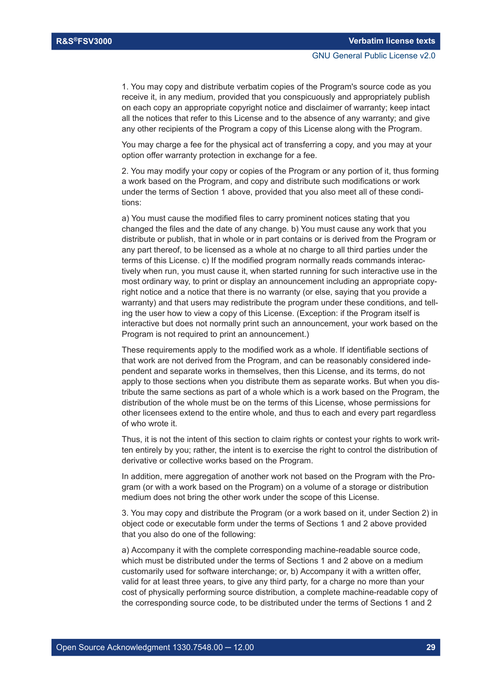1. You may copy and distribute verbatim copies of the Program's source code as you receive it, in any medium, provided that you conspicuously and appropriately publish on each copy an appropriate copyright notice and disclaimer of warranty; keep intact all the notices that refer to this License and to the absence of any warranty; and give any other recipients of the Program a copy of this License along with the Program.

You may charge a fee for the physical act of transferring a copy, and you may at your option offer warranty protection in exchange for a fee.

2. You may modify your copy or copies of the Program or any portion of it, thus forming a work based on the Program, and copy and distribute such modifications or work under the terms of Section 1 above, provided that you also meet all of these conditions:

a) You must cause the modified files to carry prominent notices stating that you changed the files and the date of any change. b) You must cause any work that you distribute or publish, that in whole or in part contains or is derived from the Program or any part thereof, to be licensed as a whole at no charge to all third parties under the terms of this License. c) If the modified program normally reads commands interactively when run, you must cause it, when started running for such interactive use in the most ordinary way, to print or display an announcement including an appropriate copyright notice and a notice that there is no warranty (or else, saying that you provide a warranty) and that users may redistribute the program under these conditions, and telling the user how to view a copy of this License. (Exception: if the Program itself is interactive but does not normally print such an announcement, your work based on the Program is not required to print an announcement.)

These requirements apply to the modified work as a whole. If identifiable sections of that work are not derived from the Program, and can be reasonably considered independent and separate works in themselves, then this License, and its terms, do not apply to those sections when you distribute them as separate works. But when you distribute the same sections as part of a whole which is a work based on the Program, the distribution of the whole must be on the terms of this License, whose permissions for other licensees extend to the entire whole, and thus to each and every part regardless of who wrote it.

Thus, it is not the intent of this section to claim rights or contest your rights to work written entirely by you; rather, the intent is to exercise the right to control the distribution of derivative or collective works based on the Program.

In addition, mere aggregation of another work not based on the Program with the Program (or with a work based on the Program) on a volume of a storage or distribution medium does not bring the other work under the scope of this License.

3. You may copy and distribute the Program (or a work based on it, under Section 2) in object code or executable form under the terms of Sections 1 and 2 above provided that you also do one of the following:

a) Accompany it with the complete corresponding machine-readable source code, which must be distributed under the terms of Sections 1 and 2 above on a medium customarily used for software interchange; or, b) Accompany it with a written offer, valid for at least three years, to give any third party, for a charge no more than your cost of physically performing source distribution, a complete machine-readable copy of the corresponding source code, to be distributed under the terms of Sections 1 and 2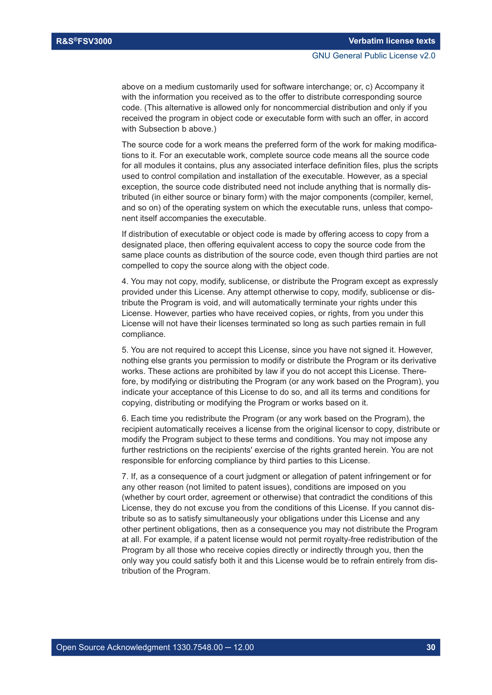above on a medium customarily used for software interchange; or, c) Accompany it with the information you received as to the offer to distribute corresponding source code. (This alternative is allowed only for noncommercial distribution and only if you received the program in object code or executable form with such an offer, in accord with Subsection b above.)

The source code for a work means the preferred form of the work for making modifications to it. For an executable work, complete source code means all the source code for all modules it contains, plus any associated interface definition files, plus the scripts used to control compilation and installation of the executable. However, as a special exception, the source code distributed need not include anything that is normally distributed (in either source or binary form) with the major components (compiler, kernel, and so on) of the operating system on which the executable runs, unless that component itself accompanies the executable.

If distribution of executable or object code is made by offering access to copy from a designated place, then offering equivalent access to copy the source code from the same place counts as distribution of the source code, even though third parties are not compelled to copy the source along with the object code.

4. You may not copy, modify, sublicense, or distribute the Program except as expressly provided under this License. Any attempt otherwise to copy, modify, sublicense or distribute the Program is void, and will automatically terminate your rights under this License. However, parties who have received copies, or rights, from you under this License will not have their licenses terminated so long as such parties remain in full compliance.

5. You are not required to accept this License, since you have not signed it. However, nothing else grants you permission to modify or distribute the Program or its derivative works. These actions are prohibited by law if you do not accept this License. Therefore, by modifying or distributing the Program (or any work based on the Program), you indicate your acceptance of this License to do so, and all its terms and conditions for copying, distributing or modifying the Program or works based on it.

6. Each time you redistribute the Program (or any work based on the Program), the recipient automatically receives a license from the original licensor to copy, distribute or modify the Program subject to these terms and conditions. You may not impose any further restrictions on the recipients' exercise of the rights granted herein. You are not responsible for enforcing compliance by third parties to this License.

7. If, as a consequence of a court judgment or allegation of patent infringement or for any other reason (not limited to patent issues), conditions are imposed on you (whether by court order, agreement or otherwise) that contradict the conditions of this License, they do not excuse you from the conditions of this License. If you cannot distribute so as to satisfy simultaneously your obligations under this License and any other pertinent obligations, then as a consequence you may not distribute the Program at all. For example, if a patent license would not permit royalty-free redistribution of the Program by all those who receive copies directly or indirectly through you, then the only way you could satisfy both it and this License would be to refrain entirely from distribution of the Program.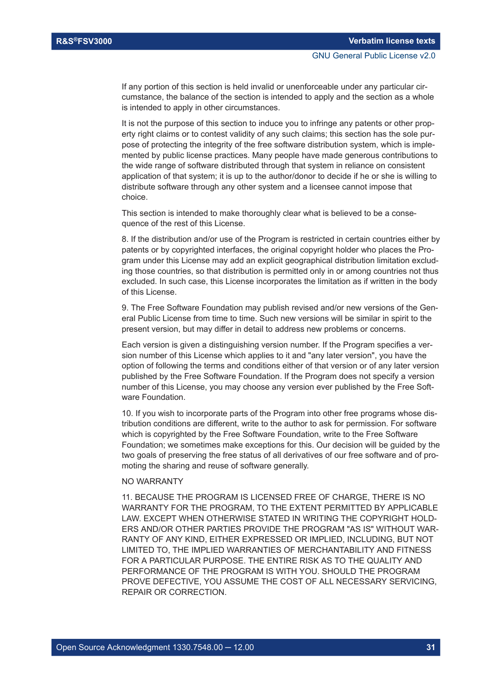If any portion of this section is held invalid or unenforceable under any particular circumstance, the balance of the section is intended to apply and the section as a whole is intended to apply in other circumstances.

It is not the purpose of this section to induce you to infringe any patents or other property right claims or to contest validity of any such claims; this section has the sole purpose of protecting the integrity of the free software distribution system, which is implemented by public license practices. Many people have made generous contributions to the wide range of software distributed through that system in reliance on consistent application of that system; it is up to the author/donor to decide if he or she is willing to distribute software through any other system and a licensee cannot impose that choice.

This section is intended to make thoroughly clear what is believed to be a consequence of the rest of this License.

8. If the distribution and/or use of the Program is restricted in certain countries either by patents or by copyrighted interfaces, the original copyright holder who places the Program under this License may add an explicit geographical distribution limitation excluding those countries, so that distribution is permitted only in or among countries not thus excluded. In such case, this License incorporates the limitation as if written in the body of this License.

9. The Free Software Foundation may publish revised and/or new versions of the General Public License from time to time. Such new versions will be similar in spirit to the present version, but may differ in detail to address new problems or concerns.

Each version is given a distinguishing version number. If the Program specifies a version number of this License which applies to it and "any later version", you have the option of following the terms and conditions either of that version or of any later version published by the Free Software Foundation. If the Program does not specify a version number of this License, you may choose any version ever published by the Free Software Foundation.

10. If you wish to incorporate parts of the Program into other free programs whose distribution conditions are different, write to the author to ask for permission. For software which is copyrighted by the Free Software Foundation, write to the Free Software Foundation; we sometimes make exceptions for this. Our decision will be guided by the two goals of preserving the free status of all derivatives of our free software and of promoting the sharing and reuse of software generally.

#### NO WARRANTY

11. BECAUSE THE PROGRAM IS LICENSED FREE OF CHARGE, THERE IS NO WARRANTY FOR THE PROGRAM, TO THE EXTENT PERMITTED BY APPLICABLE LAW. EXCEPT WHEN OTHERWISE STATED IN WRITING THE COPYRIGHT HOLD-ERS AND/OR OTHER PARTIES PROVIDE THE PROGRAM "AS IS" WITHOUT WAR-RANTY OF ANY KIND, EITHER EXPRESSED OR IMPLIED, INCLUDING, BUT NOT LIMITED TO, THE IMPLIED WARRANTIES OF MERCHANTABILITY AND FITNESS FOR A PARTICULAR PURPOSE. THE ENTIRE RISK AS TO THE QUALITY AND PERFORMANCE OF THE PROGRAM IS WITH YOU. SHOULD THE PROGRAM PROVE DEFECTIVE, YOU ASSUME THE COST OF ALL NECESSARY SERVICING, REPAIR OR CORRECTION.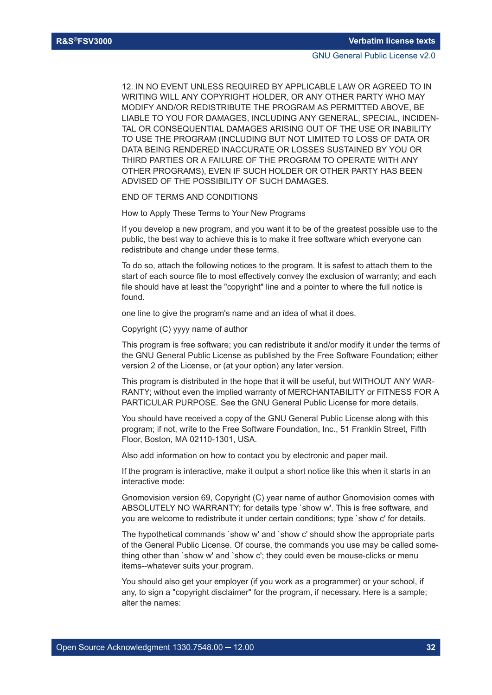12. IN NO EVENT UNLESS REQUIRED BY APPLICABLE LAW OR AGREED TO IN WRITING WILL ANY COPYRIGHT HOLDER, OR ANY OTHER PARTY WHO MAY MODIFY AND/OR REDISTRIBUTE THE PROGRAM AS PERMITTED ABOVE, BE LIABLE TO YOU FOR DAMAGES, INCLUDING ANY GENERAL, SPECIAL, INCIDEN-TAL OR CONSEQUENTIAL DAMAGES ARISING OUT OF THE USE OR INABILITY TO USE THE PROGRAM (INCLUDING BUT NOT LIMITED TO LOSS OF DATA OR DATA BEING RENDERED INACCURATE OR LOSSES SUSTAINED BY YOU OR THIRD PARTIES OR A FAILURE OF THE PROGRAM TO OPERATE WITH ANY OTHER PROGRAMS), EVEN IF SUCH HOLDER OR OTHER PARTY HAS BEEN ADVISED OF THE POSSIBILITY OF SUCH DAMAGES.

END OF TERMS AND CONDITIONS

How to Apply These Terms to Your New Programs

If you develop a new program, and you want it to be of the greatest possible use to the public, the best way to achieve this is to make it free software which everyone can redistribute and change under these terms.

To do so, attach the following notices to the program. It is safest to attach them to the start of each source file to most effectively convey the exclusion of warranty; and each file should have at least the "copyright" line and a pointer to where the full notice is found.

one line to give the program's name and an idea of what it does.

Copyright (C) yyyy name of author

This program is free software; you can redistribute it and/or modify it under the terms of the GNU General Public License as published by the Free Software Foundation; either version 2 of the License, or (at your option) any later version.

This program is distributed in the hope that it will be useful, but WITHOUT ANY WAR-RANTY; without even the implied warranty of MERCHANTABILITY or FITNESS FOR A PARTICULAR PURPOSE. See the GNU General Public License for more details.

You should have received a copy of the GNU General Public License along with this program; if not, write to the Free Software Foundation, Inc., 51 Franklin Street, Fifth Floor, Boston, MA 02110-1301, USA.

Also add information on how to contact you by electronic and paper mail.

If the program is interactive, make it output a short notice like this when it starts in an interactive mode:

Gnomovision version 69, Copyright (C) year name of author Gnomovision comes with ABSOLUTELY NO WARRANTY; for details type `show w'. This is free software, and you are welcome to redistribute it under certain conditions; type `show c' for details.

The hypothetical commands `show w' and `show c' should show the appropriate parts of the General Public License. Of course, the commands you use may be called something other than `show w' and `show c'; they could even be mouse-clicks or menu items--whatever suits your program.

You should also get your employer (if you work as a programmer) or your school, if any, to sign a "copyright disclaimer" for the program, if necessary. Here is a sample; alter the names: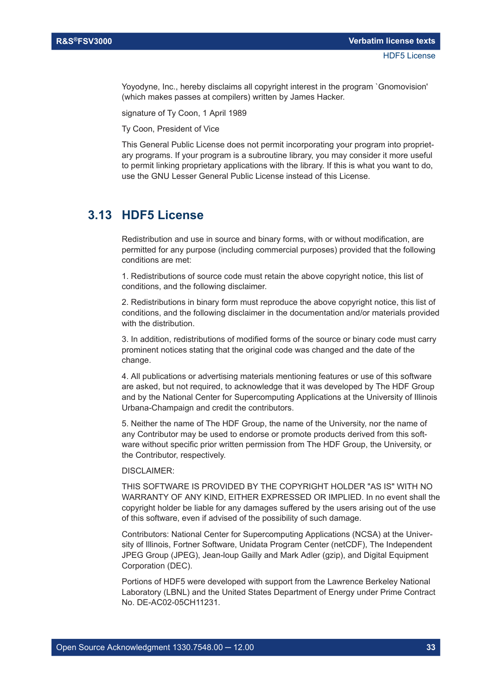<span id="page-32-0"></span>Yoyodyne, Inc., hereby disclaims all copyright interest in the program `Gnomovision' (which makes passes at compilers) written by James Hacker.

signature of Ty Coon, 1 April 1989

Ty Coon, President of Vice

This General Public License does not permit incorporating your program into proprietary programs. If your program is a subroutine library, you may consider it more useful to permit linking proprietary applications with the library. If this is what you want to do, use the GNU Lesser General Public License instead of this License.

## **3.13 HDF5 License**

Redistribution and use in source and binary forms, with or without modification, are permitted for any purpose (including commercial purposes) provided that the following conditions are met:

1. Redistributions of source code must retain the above copyright notice, this list of conditions, and the following disclaimer.

2. Redistributions in binary form must reproduce the above copyright notice, this list of conditions, and the following disclaimer in the documentation and/or materials provided with the distribution.

3. In addition, redistributions of modified forms of the source or binary code must carry prominent notices stating that the original code was changed and the date of the change.

4. All publications or advertising materials mentioning features or use of this software are asked, but not required, to acknowledge that it was developed by The HDF Group and by the National Center for Supercomputing Applications at the University of Illinois Urbana-Champaign and credit the contributors.

5. Neither the name of The HDF Group, the name of the University, nor the name of any Contributor may be used to endorse or promote products derived from this software without specific prior written permission from The HDF Group, the University, or the Contributor, respectively.

#### DISCLAIMER:

THIS SOFTWARE IS PROVIDED BY THE COPYRIGHT HOLDER "AS IS" WITH NO WARRANTY OF ANY KIND, EITHER EXPRESSED OR IMPLIED. In no event shall the copyright holder be liable for any damages suffered by the users arising out of the use of this software, even if advised of the possibility of such damage.

Contributors: National Center for Supercomputing Applications (NCSA) at the University of Illinois, Fortner Software, Unidata Program Center (netCDF), The Independent JPEG Group (JPEG), Jean-loup Gailly and Mark Adler (gzip), and Digital Equipment Corporation (DEC).

Portions of HDF5 were developed with support from the Lawrence Berkeley National Laboratory (LBNL) and the United States Department of Energy under Prime Contract No. DE-AC02-05CH11231.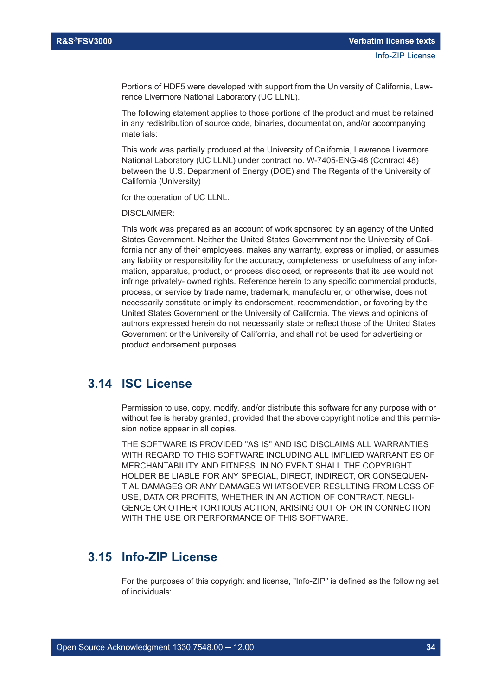<span id="page-33-0"></span>Portions of HDF5 were developed with support from the University of California, Lawrence Livermore National Laboratory (UC LLNL).

The following statement applies to those portions of the product and must be retained in any redistribution of source code, binaries, documentation, and/or accompanying materials:

This work was partially produced at the University of California, Lawrence Livermore National Laboratory (UC LLNL) under contract no. W-7405-ENG-48 (Contract 48) between the U.S. Department of Energy (DOE) and The Regents of the University of California (University)

for the operation of UC LLNL.

DISCLAIMER:

This work was prepared as an account of work sponsored by an agency of the United States Government. Neither the United States Government nor the University of California nor any of their employees, makes any warranty, express or implied, or assumes any liability or responsibility for the accuracy, completeness, or usefulness of any information, apparatus, product, or process disclosed, or represents that its use would not infringe privately- owned rights. Reference herein to any specific commercial products, process, or service by trade name, trademark, manufacturer, or otherwise, does not necessarily constitute or imply its endorsement, recommendation, or favoring by the United States Government or the University of California. The views and opinions of authors expressed herein do not necessarily state or reflect those of the United States Government or the University of California, and shall not be used for advertising or product endorsement purposes.

## **3.14 ISC License**

Permission to use, copy, modify, and/or distribute this software for any purpose with or without fee is hereby granted, provided that the above copyright notice and this permission notice appear in all copies.

THE SOFTWARE IS PROVIDED "AS IS" AND ISC DISCLAIMS ALL WARRANTIES WITH REGARD TO THIS SOFTWARE INCLUDING ALL IMPLIED WARRANTIES OF MERCHANTABILITY AND FITNESS. IN NO EVENT SHALL THE COPYRIGHT HOLDER BE LIABLE FOR ANY SPECIAL, DIRECT, INDIRECT, OR CONSEQUEN-TIAL DAMAGES OR ANY DAMAGES WHATSOEVER RESULTING FROM LOSS OF USE, DATA OR PROFITS, WHETHER IN AN ACTION OF CONTRACT, NEGLI-GENCE OR OTHER TORTIOUS ACTION, ARISING OUT OF OR IN CONNECTION WITH THE USE OR PERFORMANCE OF THIS SOFTWARE.

## **3.15 Info-ZIP License**

For the purposes of this copyright and license, "Info-ZIP" is defined as the following set of individuals: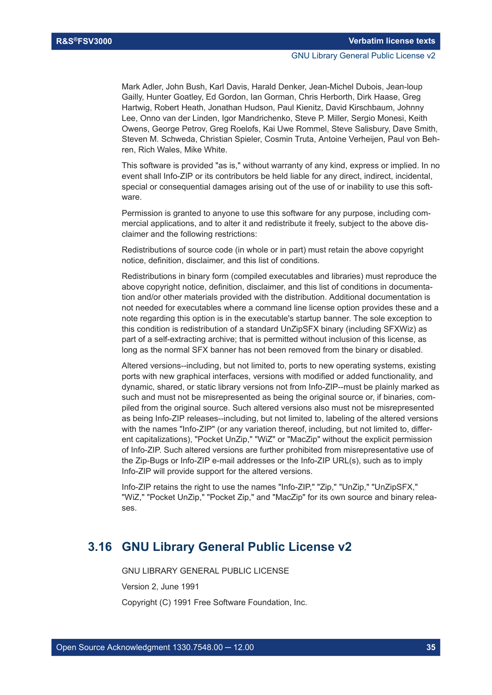<span id="page-34-0"></span>Mark Adler, John Bush, Karl Davis, Harald Denker, Jean-Michel Dubois, Jean-loup Gailly, Hunter Goatley, Ed Gordon, Ian Gorman, Chris Herborth, Dirk Haase, Greg Hartwig, Robert Heath, Jonathan Hudson, Paul Kienitz, David Kirschbaum, Johnny Lee, Onno van der Linden, Igor Mandrichenko, Steve P. Miller, Sergio Monesi, Keith Owens, George Petrov, Greg Roelofs, Kai Uwe Rommel, Steve Salisbury, Dave Smith, Steven M. Schweda, Christian Spieler, Cosmin Truta, Antoine Verheijen, Paul von Behren, Rich Wales, Mike White.

This software is provided "as is," without warranty of any kind, express or implied. In no event shall Info-ZIP or its contributors be held liable for any direct, indirect, incidental, special or consequential damages arising out of the use of or inability to use this software.

Permission is granted to anyone to use this software for any purpose, including commercial applications, and to alter it and redistribute it freely, subject to the above disclaimer and the following restrictions:

Redistributions of source code (in whole or in part) must retain the above copyright notice, definition, disclaimer, and this list of conditions.

Redistributions in binary form (compiled executables and libraries) must reproduce the above copyright notice, definition, disclaimer, and this list of conditions in documentation and/or other materials provided with the distribution. Additional documentation is not needed for executables where a command line license option provides these and a note regarding this option is in the executable's startup banner. The sole exception to this condition is redistribution of a standard UnZipSFX binary (including SFXWiz) as part of a self-extracting archive; that is permitted without inclusion of this license, as long as the normal SFX banner has not been removed from the binary or disabled.

Altered versions--including, but not limited to, ports to new operating systems, existing ports with new graphical interfaces, versions with modified or added functionality, and dynamic, shared, or static library versions not from Info-ZIP--must be plainly marked as such and must not be misrepresented as being the original source or, if binaries, compiled from the original source. Such altered versions also must not be misrepresented as being Info-ZIP releases--including, but not limited to, labeling of the altered versions with the names "Info-ZIP" (or any variation thereof, including, but not limited to, different capitalizations), "Pocket UnZip," "WiZ" or "MacZip" without the explicit permission of Info-ZIP. Such altered versions are further prohibited from misrepresentative use of the Zip-Bugs or Info-ZIP e-mail addresses or the Info-ZIP URL(s), such as to imply Info-ZIP will provide support for the altered versions.

Info-ZIP retains the right to use the names "Info-ZIP," "Zip," "UnZip," "UnZipSFX," "WiZ," "Pocket UnZip," "Pocket Zip," and "MacZip" for its own source and binary releases.

## **3.16 GNU Library General Public License v2**

GNU LIBRARY GENERAL PUBLIC LICENSE Version 2, June 1991 Copyright (C) 1991 Free Software Foundation, Inc.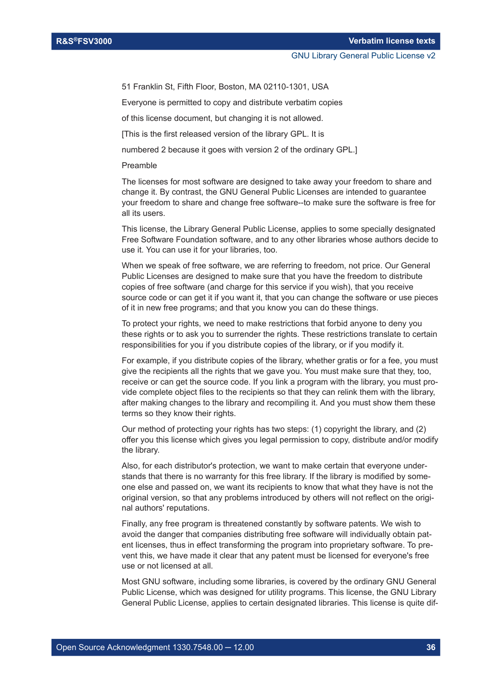#### GNU Library General Public License v2

51 Franklin St, Fifth Floor, Boston, MA 02110-1301, USA

Everyone is permitted to copy and distribute verbatim copies

of this license document, but changing it is not allowed.

[This is the first released version of the library GPL. It is

numbered 2 because it goes with version 2 of the ordinary GPL.]

#### Preamble

The licenses for most software are designed to take away your freedom to share and change it. By contrast, the GNU General Public Licenses are intended to guarantee your freedom to share and change free software--to make sure the software is free for all its users.

This license, the Library General Public License, applies to some specially designated Free Software Foundation software, and to any other libraries whose authors decide to use it. You can use it for your libraries, too.

When we speak of free software, we are referring to freedom, not price. Our General Public Licenses are designed to make sure that you have the freedom to distribute copies of free software (and charge for this service if you wish), that you receive source code or can get it if you want it, that you can change the software or use pieces of it in new free programs; and that you know you can do these things.

To protect your rights, we need to make restrictions that forbid anyone to deny you these rights or to ask you to surrender the rights. These restrictions translate to certain responsibilities for you if you distribute copies of the library, or if you modify it.

For example, if you distribute copies of the library, whether gratis or for a fee, you must give the recipients all the rights that we gave you. You must make sure that they, too, receive or can get the source code. If you link a program with the library, you must provide complete object files to the recipients so that they can relink them with the library, after making changes to the library and recompiling it. And you must show them these terms so they know their rights.

Our method of protecting your rights has two steps: (1) copyright the library, and (2) offer you this license which gives you legal permission to copy, distribute and/or modify the library.

Also, for each distributor's protection, we want to make certain that everyone understands that there is no warranty for this free library. If the library is modified by someone else and passed on, we want its recipients to know that what they have is not the original version, so that any problems introduced by others will not reflect on the original authors' reputations.

Finally, any free program is threatened constantly by software patents. We wish to avoid the danger that companies distributing free software will individually obtain patent licenses, thus in effect transforming the program into proprietary software. To prevent this, we have made it clear that any patent must be licensed for everyone's free use or not licensed at all.

Most GNU software, including some libraries, is covered by the ordinary GNU General Public License, which was designed for utility programs. This license, the GNU Library General Public License, applies to certain designated libraries. This license is quite dif-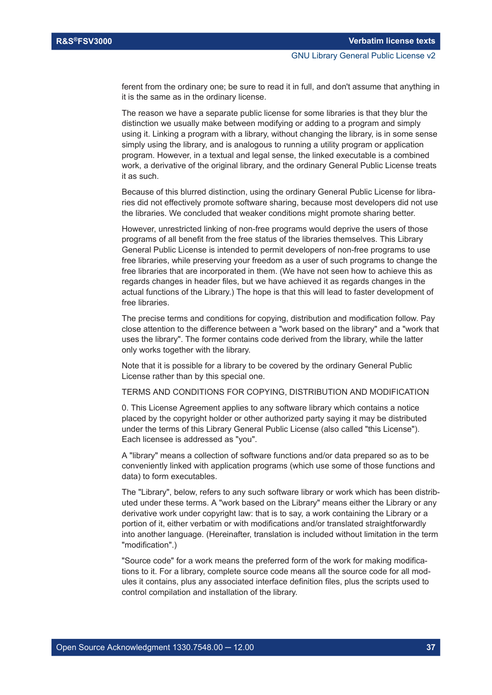ferent from the ordinary one; be sure to read it in full, and don't assume that anything in it is the same as in the ordinary license.

The reason we have a separate public license for some libraries is that they blur the distinction we usually make between modifying or adding to a program and simply using it. Linking a program with a library, without changing the library, is in some sense simply using the library, and is analogous to running a utility program or application program. However, in a textual and legal sense, the linked executable is a combined work, a derivative of the original library, and the ordinary General Public License treats it as such.

Because of this blurred distinction, using the ordinary General Public License for libraries did not effectively promote software sharing, because most developers did not use the libraries. We concluded that weaker conditions might promote sharing better.

However, unrestricted linking of non-free programs would deprive the users of those programs of all benefit from the free status of the libraries themselves. This Library General Public License is intended to permit developers of non-free programs to use free libraries, while preserving your freedom as a user of such programs to change the free libraries that are incorporated in them. (We have not seen how to achieve this as regards changes in header files, but we have achieved it as regards changes in the actual functions of the Library.) The hope is that this will lead to faster development of free libraries.

The precise terms and conditions for copying, distribution and modification follow. Pay close attention to the difference between a "work based on the library" and a "work that uses the library". The former contains code derived from the library, while the latter only works together with the library.

Note that it is possible for a library to be covered by the ordinary General Public License rather than by this special one.

TERMS AND CONDITIONS FOR COPYING, DISTRIBUTION AND MODIFICATION

0. This License Agreement applies to any software library which contains a notice placed by the copyright holder or other authorized party saying it may be distributed under the terms of this Library General Public License (also called "this License"). Each licensee is addressed as "you".

A "library" means a collection of software functions and/or data prepared so as to be conveniently linked with application programs (which use some of those functions and data) to form executables.

The "Library", below, refers to any such software library or work which has been distributed under these terms. A "work based on the Library" means either the Library or any derivative work under copyright law: that is to say, a work containing the Library or a portion of it, either verbatim or with modifications and/or translated straightforwardly into another language. (Hereinafter, translation is included without limitation in the term "modification".)

"Source code" for a work means the preferred form of the work for making modifications to it. For a library, complete source code means all the source code for all modules it contains, plus any associated interface definition files, plus the scripts used to control compilation and installation of the library.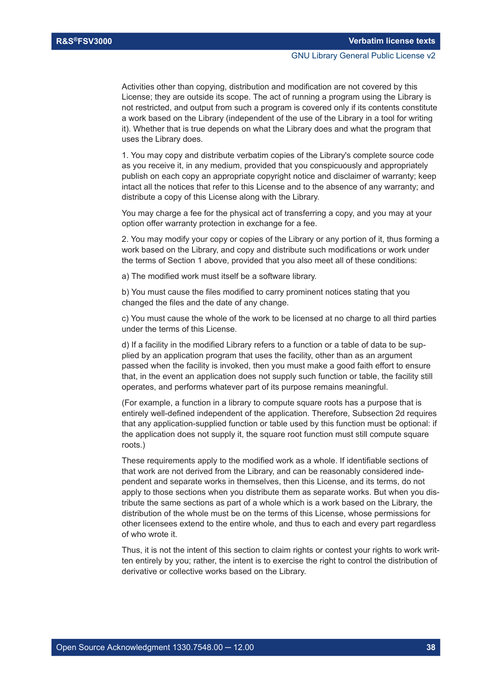Activities other than copying, distribution and modification are not covered by this License; they are outside its scope. The act of running a program using the Library is not restricted, and output from such a program is covered only if its contents constitute a work based on the Library (independent of the use of the Library in a tool for writing it). Whether that is true depends on what the Library does and what the program that uses the Library does.

1. You may copy and distribute verbatim copies of the Library's complete source code as you receive it, in any medium, provided that you conspicuously and appropriately publish on each copy an appropriate copyright notice and disclaimer of warranty; keep intact all the notices that refer to this License and to the absence of any warranty; and distribute a copy of this License along with the Library.

You may charge a fee for the physical act of transferring a copy, and you may at your option offer warranty protection in exchange for a fee.

2. You may modify your copy or copies of the Library or any portion of it, thus forming a work based on the Library, and copy and distribute such modifications or work under the terms of Section 1 above, provided that you also meet all of these conditions:

a) The modified work must itself be a software library.

b) You must cause the files modified to carry prominent notices stating that you changed the files and the date of any change.

c) You must cause the whole of the work to be licensed at no charge to all third parties under the terms of this License.

d) If a facility in the modified Library refers to a function or a table of data to be supplied by an application program that uses the facility, other than as an argument passed when the facility is invoked, then you must make a good faith effort to ensure that, in the event an application does not supply such function or table, the facility still operates, and performs whatever part of its purpose remains meaningful.

(For example, a function in a library to compute square roots has a purpose that is entirely well-defined independent of the application. Therefore, Subsection 2d requires that any application-supplied function or table used by this function must be optional: if the application does not supply it, the square root function must still compute square roots.)

These requirements apply to the modified work as a whole. If identifiable sections of that work are not derived from the Library, and can be reasonably considered independent and separate works in themselves, then this License, and its terms, do not apply to those sections when you distribute them as separate works. But when you distribute the same sections as part of a whole which is a work based on the Library, the distribution of the whole must be on the terms of this License, whose permissions for other licensees extend to the entire whole, and thus to each and every part regardless of who wrote it.

Thus, it is not the intent of this section to claim rights or contest your rights to work written entirely by you; rather, the intent is to exercise the right to control the distribution of derivative or collective works based on the Library.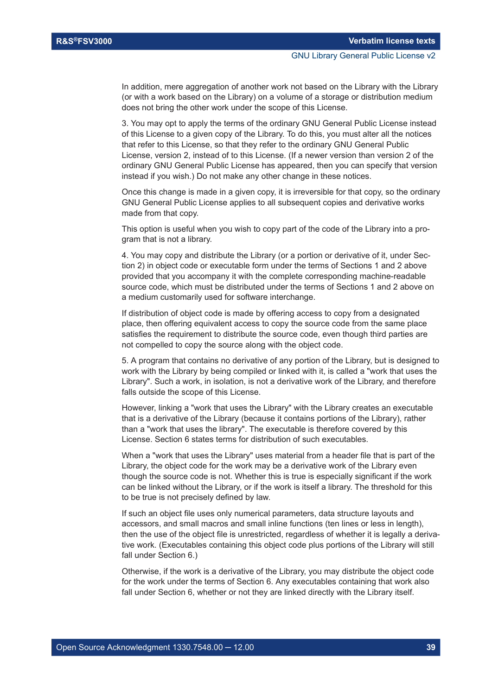In addition, mere aggregation of another work not based on the Library with the Library (or with a work based on the Library) on a volume of a storage or distribution medium does not bring the other work under the scope of this License.

3. You may opt to apply the terms of the ordinary GNU General Public License instead of this License to a given copy of the Library. To do this, you must alter all the notices that refer to this License, so that they refer to the ordinary GNU General Public License, version 2, instead of to this License. (If a newer version than version 2 of the ordinary GNU General Public License has appeared, then you can specify that version instead if you wish.) Do not make any other change in these notices.

Once this change is made in a given copy, it is irreversible for that copy, so the ordinary GNU General Public License applies to all subsequent copies and derivative works made from that copy.

This option is useful when you wish to copy part of the code of the Library into a program that is not a library.

4. You may copy and distribute the Library (or a portion or derivative of it, under Section 2) in object code or executable form under the terms of Sections 1 and 2 above provided that you accompany it with the complete corresponding machine-readable source code, which must be distributed under the terms of Sections 1 and 2 above on a medium customarily used for software interchange.

If distribution of object code is made by offering access to copy from a designated place, then offering equivalent access to copy the source code from the same place satisfies the requirement to distribute the source code, even though third parties are not compelled to copy the source along with the object code.

5. A program that contains no derivative of any portion of the Library, but is designed to work with the Library by being compiled or linked with it, is called a "work that uses the Library". Such a work, in isolation, is not a derivative work of the Library, and therefore falls outside the scope of this License.

However, linking a "work that uses the Library" with the Library creates an executable that is a derivative of the Library (because it contains portions of the Library), rather than a "work that uses the library". The executable is therefore covered by this License. Section 6 states terms for distribution of such executables.

When a "work that uses the Library" uses material from a header file that is part of the Library, the object code for the work may be a derivative work of the Library even though the source code is not. Whether this is true is especially significant if the work can be linked without the Library, or if the work is itself a library. The threshold for this to be true is not precisely defined by law.

If such an object file uses only numerical parameters, data structure layouts and accessors, and small macros and small inline functions (ten lines or less in length), then the use of the object file is unrestricted, regardless of whether it is legally a derivative work. (Executables containing this object code plus portions of the Library will still fall under Section 6.)

Otherwise, if the work is a derivative of the Library, you may distribute the object code for the work under the terms of Section 6. Any executables containing that work also fall under Section 6, whether or not they are linked directly with the Library itself.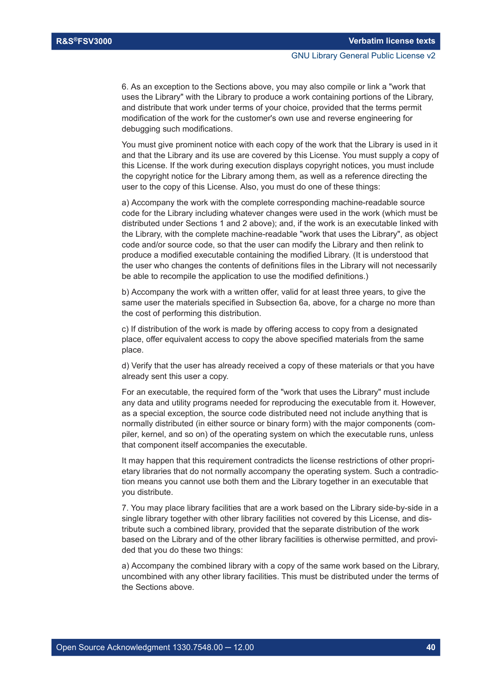6. As an exception to the Sections above, you may also compile or link a "work that uses the Library" with the Library to produce a work containing portions of the Library, and distribute that work under terms of your choice, provided that the terms permit modification of the work for the customer's own use and reverse engineering for debugging such modifications.

You must give prominent notice with each copy of the work that the Library is used in it and that the Library and its use are covered by this License. You must supply a copy of this License. If the work during execution displays copyright notices, you must include the copyright notice for the Library among them, as well as a reference directing the user to the copy of this License. Also, you must do one of these things:

a) Accompany the work with the complete corresponding machine-readable source code for the Library including whatever changes were used in the work (which must be distributed under Sections 1 and 2 above); and, if the work is an executable linked with the Library, with the complete machine-readable "work that uses the Library", as object code and/or source code, so that the user can modify the Library and then relink to produce a modified executable containing the modified Library. (It is understood that the user who changes the contents of definitions files in the Library will not necessarily be able to recompile the application to use the modified definitions.)

b) Accompany the work with a written offer, valid for at least three years, to give the same user the materials specified in Subsection 6a, above, for a charge no more than the cost of performing this distribution.

c) If distribution of the work is made by offering access to copy from a designated place, offer equivalent access to copy the above specified materials from the same place.

d) Verify that the user has already received a copy of these materials or that you have already sent this user a copy.

For an executable, the required form of the "work that uses the Library" must include any data and utility programs needed for reproducing the executable from it. However, as a special exception, the source code distributed need not include anything that is normally distributed (in either source or binary form) with the major components (compiler, kernel, and so on) of the operating system on which the executable runs, unless that component itself accompanies the executable.

It may happen that this requirement contradicts the license restrictions of other proprietary libraries that do not normally accompany the operating system. Such a contradiction means you cannot use both them and the Library together in an executable that you distribute.

7. You may place library facilities that are a work based on the Library side-by-side in a single library together with other library facilities not covered by this License, and distribute such a combined library, provided that the separate distribution of the work based on the Library and of the other library facilities is otherwise permitted, and provided that you do these two things:

a) Accompany the combined library with a copy of the same work based on the Library, uncombined with any other library facilities. This must be distributed under the terms of the Sections above.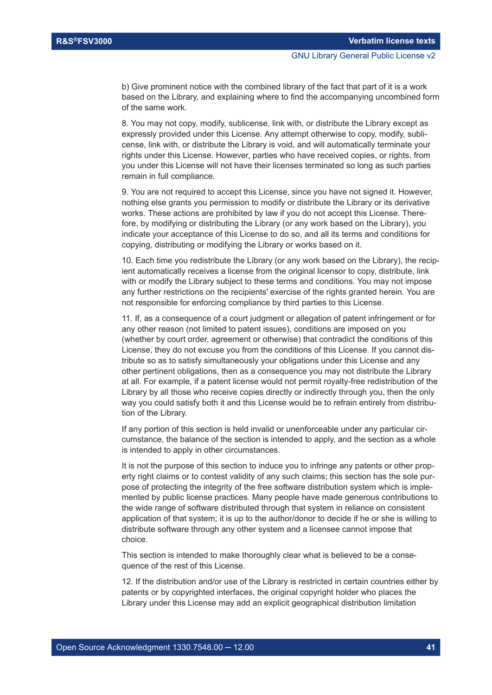b) Give prominent notice with the combined library of the fact that part of it is a work based on the Library, and explaining where to find the accompanying uncombined form of the same work.

8. You may not copy, modify, sublicense, link with, or distribute the Library except as expressly provided under this License. Any attempt otherwise to copy, modify, sublicense, link with, or distribute the Library is void, and will automatically terminate your rights under this License. However, parties who have received copies, or rights, from you under this License will not have their licenses terminated so long as such parties remain in full compliance.

9. You are not required to accept this License, since you have not signed it. However, nothing else grants you permission to modify or distribute the Library or its derivative works. These actions are prohibited by law if you do not accept this License. Therefore, by modifying or distributing the Library (or any work based on the Library), you indicate your acceptance of this License to do so, and all its terms and conditions for copying, distributing or modifying the Library or works based on it.

10. Each time you redistribute the Library (or any work based on the Library), the recipient automatically receives a license from the original licensor to copy, distribute, link with or modify the Library subject to these terms and conditions. You may not impose any further restrictions on the recipients' exercise of the rights granted herein. You are not responsible for enforcing compliance by third parties to this License.

11. If, as a consequence of a court judgment or allegation of patent infringement or for any other reason (not limited to patent issues), conditions are imposed on you (whether by court order, agreement or otherwise) that contradict the conditions of this License, they do not excuse you from the conditions of this License. If you cannot distribute so as to satisfy simultaneously your obligations under this License and any other pertinent obligations, then as a consequence you may not distribute the Library at all. For example, if a patent license would not permit royalty-free redistribution of the Library by all those who receive copies directly or indirectly through you, then the only way you could satisfy both it and this License would be to refrain entirely from distribution of the Library.

If any portion of this section is held invalid or unenforceable under any particular circumstance, the balance of the section is intended to apply, and the section as a whole is intended to apply in other circumstances.

It is not the purpose of this section to induce you to infringe any patents or other property right claims or to contest validity of any such claims; this section has the sole purpose of protecting the integrity of the free software distribution system which is implemented by public license practices. Many people have made generous contributions to the wide range of software distributed through that system in reliance on consistent application of that system; it is up to the author/donor to decide if he or she is willing to distribute software through any other system and a licensee cannot impose that choice.

This section is intended to make thoroughly clear what is believed to be a consequence of the rest of this License.

12. If the distribution and/or use of the Library is restricted in certain countries either by patents or by copyrighted interfaces, the original copyright holder who places the Library under this License may add an explicit geographical distribution limitation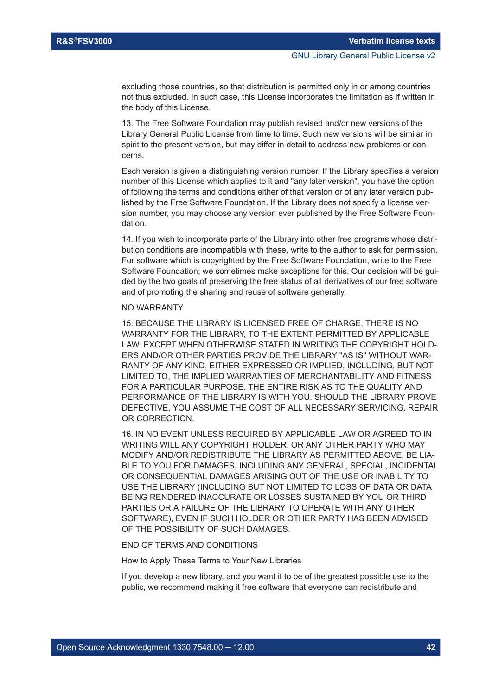excluding those countries, so that distribution is permitted only in or among countries not thus excluded. In such case, this License incorporates the limitation as if written in the body of this License.

13. The Free Software Foundation may publish revised and/or new versions of the Library General Public License from time to time. Such new versions will be similar in spirit to the present version, but may differ in detail to address new problems or concerns.

Each version is given a distinguishing version number. If the Library specifies a version number of this License which applies to it and "any later version", you have the option of following the terms and conditions either of that version or of any later version published by the Free Software Foundation. If the Library does not specify a license version number, you may choose any version ever published by the Free Software Foundation.

14. If you wish to incorporate parts of the Library into other free programs whose distribution conditions are incompatible with these, write to the author to ask for permission. For software which is copyrighted by the Free Software Foundation, write to the Free Software Foundation; we sometimes make exceptions for this. Our decision will be guided by the two goals of preserving the free status of all derivatives of our free software and of promoting the sharing and reuse of software generally.

#### NO WARRANTY

15. BECAUSE THE LIBRARY IS LICENSED FREE OF CHARGE, THERE IS NO WARRANTY FOR THE LIBRARY, TO THE EXTENT PERMITTED BY APPLICABLE LAW. EXCEPT WHEN OTHERWISE STATED IN WRITING THE COPYRIGHT HOLD-ERS AND/OR OTHER PARTIES PROVIDE THE LIBRARY "AS IS" WITHOUT WAR-RANTY OF ANY KIND, EITHER EXPRESSED OR IMPLIED, INCLUDING, BUT NOT LIMITED TO, THE IMPLIED WARRANTIES OF MERCHANTABILITY AND FITNESS FOR A PARTICULAR PURPOSE. THE ENTIRE RISK AS TO THE QUALITY AND PERFORMANCE OF THE LIBRARY IS WITH YOU. SHOULD THE LIBRARY PROVE DEFECTIVE, YOU ASSUME THE COST OF ALL NECESSARY SERVICING, REPAIR OR CORRECTION.

16. IN NO EVENT UNLESS REQUIRED BY APPLICABLE LAW OR AGREED TO IN WRITING WILL ANY COPYRIGHT HOLDER, OR ANY OTHER PARTY WHO MAY MODIFY AND/OR REDISTRIBUTE THE LIBRARY AS PERMITTED ABOVE, BE LIA-BLE TO YOU FOR DAMAGES, INCLUDING ANY GENERAL, SPECIAL, INCIDENTAL OR CONSEQUENTIAL DAMAGES ARISING OUT OF THE USE OR INABILITY TO USE THE LIBRARY (INCLUDING BUT NOT LIMITED TO LOSS OF DATA OR DATA BEING RENDERED INACCURATE OR LOSSES SUSTAINED BY YOU OR THIRD PARTIES OR A FAILURE OF THE LIBRARY TO OPERATE WITH ANY OTHER SOFTWARE), EVEN IF SUCH HOLDER OR OTHER PARTY HAS BEEN ADVISED OF THE POSSIBILITY OF SUCH DAMAGES.

#### END OF TERMS AND CONDITIONS

How to Apply These Terms to Your New Libraries

If you develop a new library, and you want it to be of the greatest possible use to the public, we recommend making it free software that everyone can redistribute and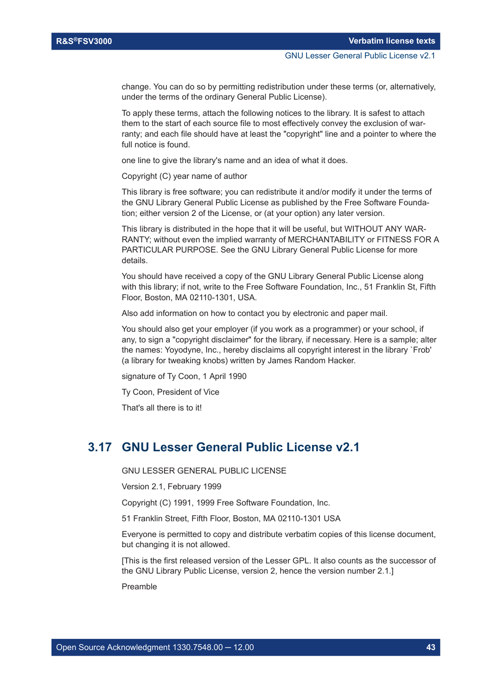change. You can do so by permitting redistribution under these terms (or, alternatively, under the terms of the ordinary General Public License).

To apply these terms, attach the following notices to the library. It is safest to attach them to the start of each source file to most effectively convey the exclusion of warranty; and each file should have at least the "copyright" line and a pointer to where the full notice is found.

one line to give the library's name and an idea of what it does.

Copyright (C) year name of author

This library is free software; you can redistribute it and/or modify it under the terms of the GNU Library General Public License as published by the Free Software Foundation; either version 2 of the License, or (at your option) any later version.

This library is distributed in the hope that it will be useful, but WITHOUT ANY WAR-RANTY; without even the implied warranty of MERCHANTABILITY or FITNESS FOR A PARTICULAR PURPOSE. See the GNU Library General Public License for more details.

You should have received a copy of the GNU Library General Public License along with this library; if not, write to the Free Software Foundation, Inc., 51 Franklin St, Fifth Floor, Boston, MA 02110-1301, USA.

Also add information on how to contact you by electronic and paper mail.

You should also get your employer (if you work as a programmer) or your school, if any, to sign a "copyright disclaimer" for the library, if necessary. Here is a sample; alter the names: Yoyodyne, Inc., hereby disclaims all copyright interest in the library `Frob' (a library for tweaking knobs) written by James Random Hacker.

signature of Ty Coon, 1 April 1990

Ty Coon, President of Vice

That's all there is to it!

### **3.17 GNU Lesser General Public License v2.1**

GNU LESSER GENERAL PUBLIC LICENSE

Version 2.1, February 1999

Copyright (C) 1991, 1999 Free Software Foundation, Inc.

51 Franklin Street, Fifth Floor, Boston, MA 02110-1301 USA

Everyone is permitted to copy and distribute verbatim copies of this license document, but changing it is not allowed.

[This is the first released version of the Lesser GPL. It also counts as the successor of the GNU Library Public License, version 2, hence the version number 2.1.]

Preamble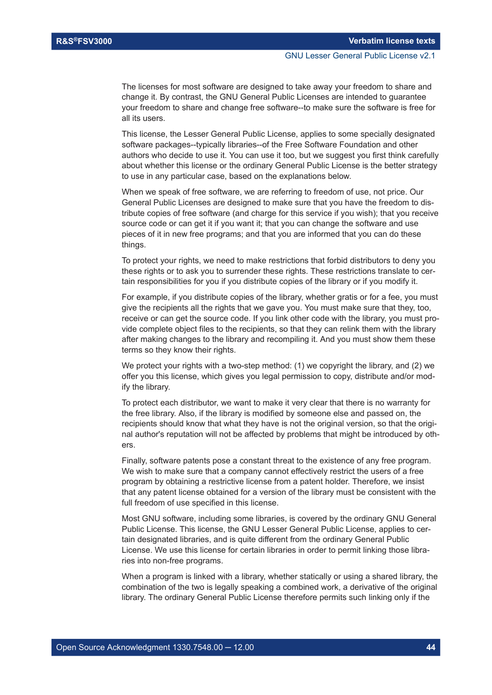The licenses for most software are designed to take away your freedom to share and change it. By contrast, the GNU General Public Licenses are intended to guarantee your freedom to share and change free software--to make sure the software is free for all its users.

This license, the Lesser General Public License, applies to some specially designated software packages--typically libraries--of the Free Software Foundation and other authors who decide to use it. You can use it too, but we suggest you first think carefully about whether this license or the ordinary General Public License is the better strategy to use in any particular case, based on the explanations below.

When we speak of free software, we are referring to freedom of use, not price. Our General Public Licenses are designed to make sure that you have the freedom to distribute copies of free software (and charge for this service if you wish); that you receive source code or can get it if you want it; that you can change the software and use pieces of it in new free programs; and that you are informed that you can do these things.

To protect your rights, we need to make restrictions that forbid distributors to deny you these rights or to ask you to surrender these rights. These restrictions translate to certain responsibilities for you if you distribute copies of the library or if you modify it.

For example, if you distribute copies of the library, whether gratis or for a fee, you must give the recipients all the rights that we gave you. You must make sure that they, too, receive or can get the source code. If you link other code with the library, you must provide complete object files to the recipients, so that they can relink them with the library after making changes to the library and recompiling it. And you must show them these terms so they know their rights.

We protect your rights with a two-step method: (1) we copyright the library, and (2) we offer you this license, which gives you legal permission to copy, distribute and/or modify the library.

To protect each distributor, we want to make it very clear that there is no warranty for the free library. Also, if the library is modified by someone else and passed on, the recipients should know that what they have is not the original version, so that the original author's reputation will not be affected by problems that might be introduced by others.

Finally, software patents pose a constant threat to the existence of any free program. We wish to make sure that a company cannot effectively restrict the users of a free program by obtaining a restrictive license from a patent holder. Therefore, we insist that any patent license obtained for a version of the library must be consistent with the full freedom of use specified in this license.

Most GNU software, including some libraries, is covered by the ordinary GNU General Public License. This license, the GNU Lesser General Public License, applies to certain designated libraries, and is quite different from the ordinary General Public License. We use this license for certain libraries in order to permit linking those libraries into non-free programs.

When a program is linked with a library, whether statically or using a shared library, the combination of the two is legally speaking a combined work, a derivative of the original library. The ordinary General Public License therefore permits such linking only if the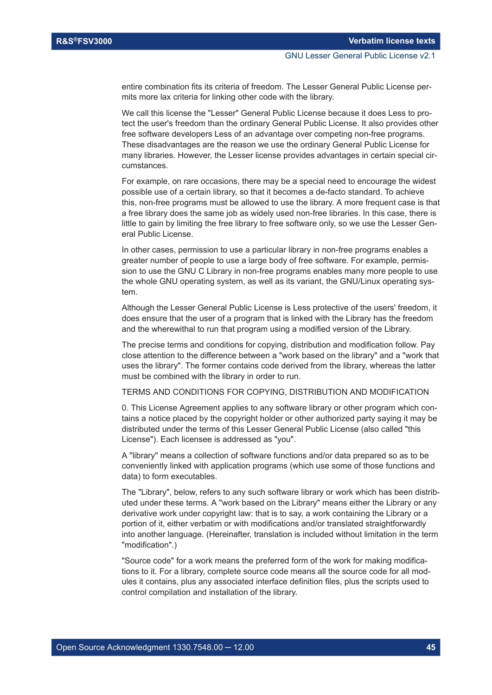entire combination fits its criteria of freedom. The Lesser General Public License permits more lax criteria for linking other code with the library.

We call this license the "Lesser" General Public License because it does Less to protect the user's freedom than the ordinary General Public License. It also provides other free software developers Less of an advantage over competing non-free programs. These disadvantages are the reason we use the ordinary General Public License for many libraries. However, the Lesser license provides advantages in certain special circumstances.

For example, on rare occasions, there may be a special need to encourage the widest possible use of a certain library, so that it becomes a de-facto standard. To achieve this, non-free programs must be allowed to use the library. A more frequent case is that a free library does the same job as widely used non-free libraries. In this case, there is little to gain by limiting the free library to free software only, so we use the Lesser General Public License.

In other cases, permission to use a particular library in non-free programs enables a greater number of people to use a large body of free software. For example, permission to use the GNU C Library in non-free programs enables many more people to use the whole GNU operating system, as well as its variant, the GNU/Linux operating system.

Although the Lesser General Public License is Less protective of the users' freedom, it does ensure that the user of a program that is linked with the Library has the freedom and the wherewithal to run that program using a modified version of the Library.

The precise terms and conditions for copying, distribution and modification follow. Pay close attention to the difference between a "work based on the library" and a "work that uses the library". The former contains code derived from the library, whereas the latter must be combined with the library in order to run.

TERMS AND CONDITIONS FOR COPYING, DISTRIBUTION AND MODIFICATION

0. This License Agreement applies to any software library or other program which contains a notice placed by the copyright holder or other authorized party saying it may be distributed under the terms of this Lesser General Public License (also called "this License"). Each licensee is addressed as "you".

A "library" means a collection of software functions and/or data prepared so as to be conveniently linked with application programs (which use some of those functions and data) to form executables.

The "Library", below, refers to any such software library or work which has been distributed under these terms. A "work based on the Library" means either the Library or any derivative work under copyright law: that is to say, a work containing the Library or a portion of it, either verbatim or with modifications and/or translated straightforwardly into another language. (Hereinafter, translation is included without limitation in the term "modification".)

"Source code" for a work means the preferred form of the work for making modifications to it. For a library, complete source code means all the source code for all modules it contains, plus any associated interface definition files, plus the scripts used to control compilation and installation of the library.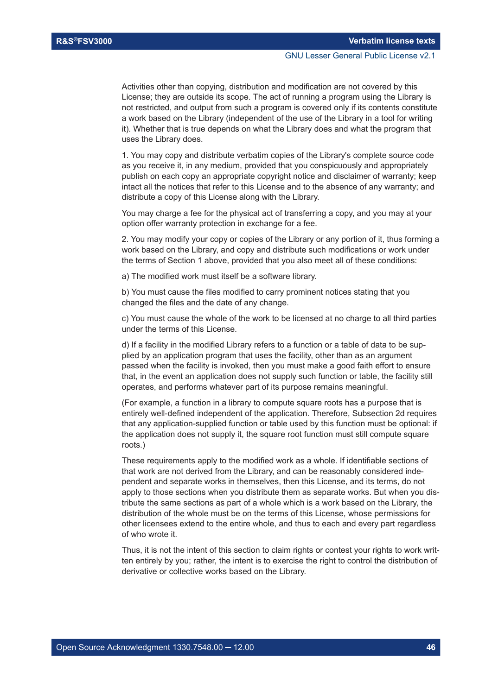Activities other than copying, distribution and modification are not covered by this License; they are outside its scope. The act of running a program using the Library is not restricted, and output from such a program is covered only if its contents constitute a work based on the Library (independent of the use of the Library in a tool for writing it). Whether that is true depends on what the Library does and what the program that uses the Library does.

1. You may copy and distribute verbatim copies of the Library's complete source code as you receive it, in any medium, provided that you conspicuously and appropriately publish on each copy an appropriate copyright notice and disclaimer of warranty; keep intact all the notices that refer to this License and to the absence of any warranty; and distribute a copy of this License along with the Library.

You may charge a fee for the physical act of transferring a copy, and you may at your option offer warranty protection in exchange for a fee.

2. You may modify your copy or copies of the Library or any portion of it, thus forming a work based on the Library, and copy and distribute such modifications or work under the terms of Section 1 above, provided that you also meet all of these conditions:

a) The modified work must itself be a software library.

b) You must cause the files modified to carry prominent notices stating that you changed the files and the date of any change.

c) You must cause the whole of the work to be licensed at no charge to all third parties under the terms of this License.

d) If a facility in the modified Library refers to a function or a table of data to be supplied by an application program that uses the facility, other than as an argument passed when the facility is invoked, then you must make a good faith effort to ensure that, in the event an application does not supply such function or table, the facility still operates, and performs whatever part of its purpose remains meaningful.

(For example, a function in a library to compute square roots has a purpose that is entirely well-defined independent of the application. Therefore, Subsection 2d requires that any application-supplied function or table used by this function must be optional: if the application does not supply it, the square root function must still compute square roots.)

These requirements apply to the modified work as a whole. If identifiable sections of that work are not derived from the Library, and can be reasonably considered independent and separate works in themselves, then this License, and its terms, do not apply to those sections when you distribute them as separate works. But when you distribute the same sections as part of a whole which is a work based on the Library, the distribution of the whole must be on the terms of this License, whose permissions for other licensees extend to the entire whole, and thus to each and every part regardless of who wrote it.

Thus, it is not the intent of this section to claim rights or contest your rights to work written entirely by you; rather, the intent is to exercise the right to control the distribution of derivative or collective works based on the Library.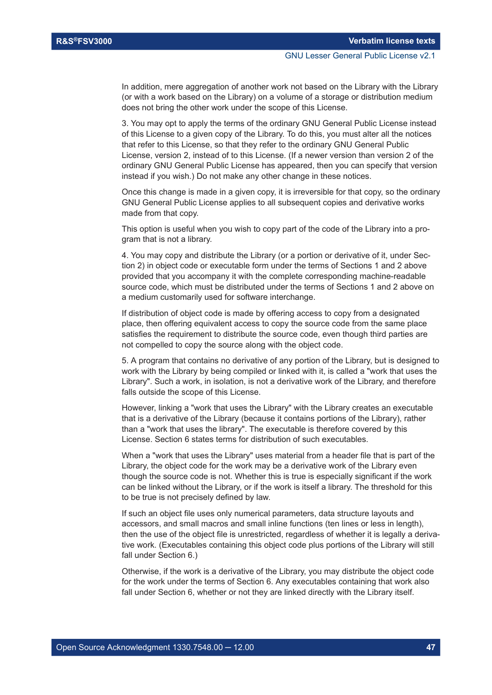In addition, mere aggregation of another work not based on the Library with the Library (or with a work based on the Library) on a volume of a storage or distribution medium does not bring the other work under the scope of this License.

3. You may opt to apply the terms of the ordinary GNU General Public License instead of this License to a given copy of the Library. To do this, you must alter all the notices that refer to this License, so that they refer to the ordinary GNU General Public License, version 2, instead of to this License. (If a newer version than version 2 of the ordinary GNU General Public License has appeared, then you can specify that version instead if you wish.) Do not make any other change in these notices.

Once this change is made in a given copy, it is irreversible for that copy, so the ordinary GNU General Public License applies to all subsequent copies and derivative works made from that copy.

This option is useful when you wish to copy part of the code of the Library into a program that is not a library.

4. You may copy and distribute the Library (or a portion or derivative of it, under Section 2) in object code or executable form under the terms of Sections 1 and 2 above provided that you accompany it with the complete corresponding machine-readable source code, which must be distributed under the terms of Sections 1 and 2 above on a medium customarily used for software interchange.

If distribution of object code is made by offering access to copy from a designated place, then offering equivalent access to copy the source code from the same place satisfies the requirement to distribute the source code, even though third parties are not compelled to copy the source along with the object code.

5. A program that contains no derivative of any portion of the Library, but is designed to work with the Library by being compiled or linked with it, is called a "work that uses the Library". Such a work, in isolation, is not a derivative work of the Library, and therefore falls outside the scope of this License.

However, linking a "work that uses the Library" with the Library creates an executable that is a derivative of the Library (because it contains portions of the Library), rather than a "work that uses the library". The executable is therefore covered by this License. Section 6 states terms for distribution of such executables.

When a "work that uses the Library" uses material from a header file that is part of the Library, the object code for the work may be a derivative work of the Library even though the source code is not. Whether this is true is especially significant if the work can be linked without the Library, or if the work is itself a library. The threshold for this to be true is not precisely defined by law.

If such an object file uses only numerical parameters, data structure layouts and accessors, and small macros and small inline functions (ten lines or less in length), then the use of the object file is unrestricted, regardless of whether it is legally a derivative work. (Executables containing this object code plus portions of the Library will still fall under Section 6.)

Otherwise, if the work is a derivative of the Library, you may distribute the object code for the work under the terms of Section 6. Any executables containing that work also fall under Section 6, whether or not they are linked directly with the Library itself.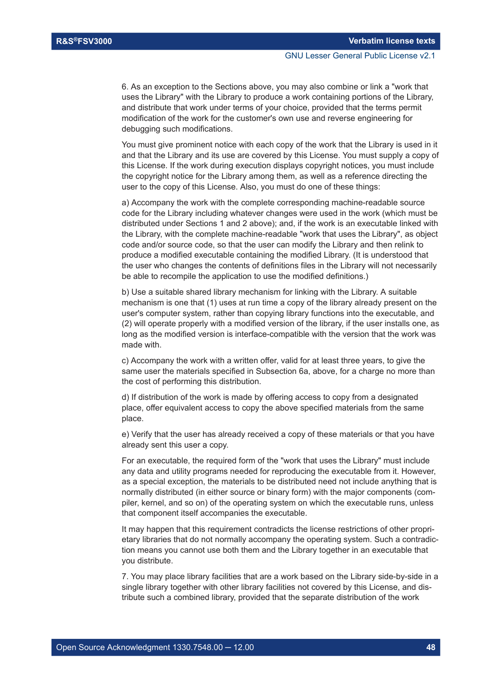6. As an exception to the Sections above, you may also combine or link a "work that uses the Library" with the Library to produce a work containing portions of the Library, and distribute that work under terms of your choice, provided that the terms permit modification of the work for the customer's own use and reverse engineering for debugging such modifications.

You must give prominent notice with each copy of the work that the Library is used in it and that the Library and its use are covered by this License. You must supply a copy of this License. If the work during execution displays copyright notices, you must include the copyright notice for the Library among them, as well as a reference directing the user to the copy of this License. Also, you must do one of these things:

a) Accompany the work with the complete corresponding machine-readable source code for the Library including whatever changes were used in the work (which must be distributed under Sections 1 and 2 above); and, if the work is an executable linked with the Library, with the complete machine-readable "work that uses the Library", as object code and/or source code, so that the user can modify the Library and then relink to produce a modified executable containing the modified Library. (It is understood that the user who changes the contents of definitions files in the Library will not necessarily be able to recompile the application to use the modified definitions.)

b) Use a suitable shared library mechanism for linking with the Library. A suitable mechanism is one that (1) uses at run time a copy of the library already present on the user's computer system, rather than copying library functions into the executable, and (2) will operate properly with a modified version of the library, if the user installs one, as long as the modified version is interface-compatible with the version that the work was made with.

c) Accompany the work with a written offer, valid for at least three years, to give the same user the materials specified in Subsection 6a, above, for a charge no more than the cost of performing this distribution.

d) If distribution of the work is made by offering access to copy from a designated place, offer equivalent access to copy the above specified materials from the same place.

e) Verify that the user has already received a copy of these materials or that you have already sent this user a copy.

For an executable, the required form of the "work that uses the Library" must include any data and utility programs needed for reproducing the executable from it. However, as a special exception, the materials to be distributed need not include anything that is normally distributed (in either source or binary form) with the major components (compiler, kernel, and so on) of the operating system on which the executable runs, unless that component itself accompanies the executable.

It may happen that this requirement contradicts the license restrictions of other proprietary libraries that do not normally accompany the operating system. Such a contradiction means you cannot use both them and the Library together in an executable that you distribute.

7. You may place library facilities that are a work based on the Library side-by-side in a single library together with other library facilities not covered by this License, and distribute such a combined library, provided that the separate distribution of the work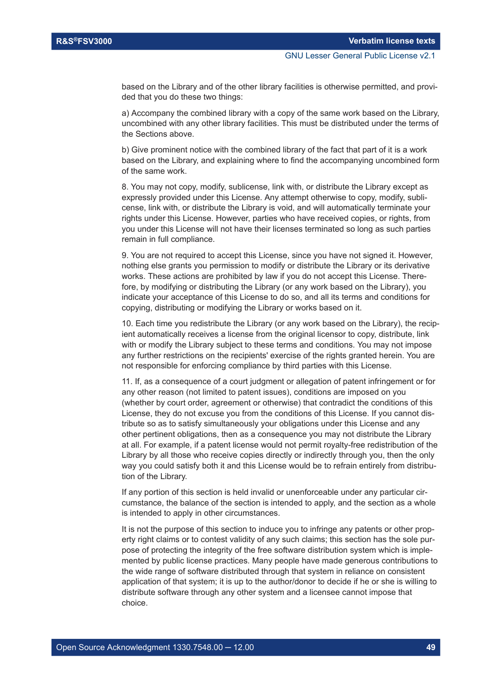based on the Library and of the other library facilities is otherwise permitted, and provided that you do these two things:

a) Accompany the combined library with a copy of the same work based on the Library, uncombined with any other library facilities. This must be distributed under the terms of the Sections above.

b) Give prominent notice with the combined library of the fact that part of it is a work based on the Library, and explaining where to find the accompanying uncombined form of the same work.

8. You may not copy, modify, sublicense, link with, or distribute the Library except as expressly provided under this License. Any attempt otherwise to copy, modify, sublicense, link with, or distribute the Library is void, and will automatically terminate your rights under this License. However, parties who have received copies, or rights, from you under this License will not have their licenses terminated so long as such parties remain in full compliance.

9. You are not required to accept this License, since you have not signed it. However, nothing else grants you permission to modify or distribute the Library or its derivative works. These actions are prohibited by law if you do not accept this License. Therefore, by modifying or distributing the Library (or any work based on the Library), you indicate your acceptance of this License to do so, and all its terms and conditions for copying, distributing or modifying the Library or works based on it.

10. Each time you redistribute the Library (or any work based on the Library), the recipient automatically receives a license from the original licensor to copy, distribute, link with or modify the Library subject to these terms and conditions. You may not impose any further restrictions on the recipients' exercise of the rights granted herein. You are not responsible for enforcing compliance by third parties with this License.

11. If, as a consequence of a court judgment or allegation of patent infringement or for any other reason (not limited to patent issues), conditions are imposed on you (whether by court order, agreement or otherwise) that contradict the conditions of this License, they do not excuse you from the conditions of this License. If you cannot distribute so as to satisfy simultaneously your obligations under this License and any other pertinent obligations, then as a consequence you may not distribute the Library at all. For example, if a patent license would not permit royalty-free redistribution of the Library by all those who receive copies directly or indirectly through you, then the only way you could satisfy both it and this License would be to refrain entirely from distribution of the Library.

If any portion of this section is held invalid or unenforceable under any particular circumstance, the balance of the section is intended to apply, and the section as a whole is intended to apply in other circumstances.

It is not the purpose of this section to induce you to infringe any patents or other property right claims or to contest validity of any such claims; this section has the sole purpose of protecting the integrity of the free software distribution system which is implemented by public license practices. Many people have made generous contributions to the wide range of software distributed through that system in reliance on consistent application of that system; it is up to the author/donor to decide if he or she is willing to distribute software through any other system and a licensee cannot impose that choice.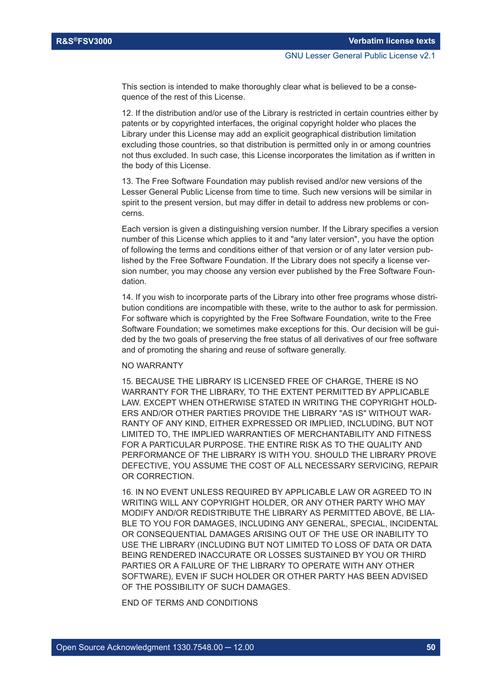This section is intended to make thoroughly clear what is believed to be a consequence of the rest of this License.

12. If the distribution and/or use of the Library is restricted in certain countries either by patents or by copyrighted interfaces, the original copyright holder who places the Library under this License may add an explicit geographical distribution limitation excluding those countries, so that distribution is permitted only in or among countries not thus excluded. In such case, this License incorporates the limitation as if written in the body of this License.

13. The Free Software Foundation may publish revised and/or new versions of the Lesser General Public License from time to time. Such new versions will be similar in spirit to the present version, but may differ in detail to address new problems or concerns.

Each version is given a distinguishing version number. If the Library specifies a version number of this License which applies to it and "any later version", you have the option of following the terms and conditions either of that version or of any later version published by the Free Software Foundation. If the Library does not specify a license version number, you may choose any version ever published by the Free Software Foundation.

14. If you wish to incorporate parts of the Library into other free programs whose distribution conditions are incompatible with these, write to the author to ask for permission. For software which is copyrighted by the Free Software Foundation, write to the Free Software Foundation; we sometimes make exceptions for this. Our decision will be guided by the two goals of preserving the free status of all derivatives of our free software and of promoting the sharing and reuse of software generally.

#### NO WARRANTY

15. BECAUSE THE LIBRARY IS LICENSED FREE OF CHARGE, THERE IS NO WARRANTY FOR THE LIBRARY, TO THE EXTENT PERMITTED BY APPLICABLE LAW. EXCEPT WHEN OTHERWISE STATED IN WRITING THE COPYRIGHT HOLD-ERS AND/OR OTHER PARTIES PROVIDE THE LIBRARY "AS IS" WITHOUT WAR-RANTY OF ANY KIND, EITHER EXPRESSED OR IMPLIED, INCLUDING, BUT NOT LIMITED TO, THE IMPLIED WARRANTIES OF MERCHANTABILITY AND FITNESS FOR A PARTICULAR PURPOSE. THE ENTIRE RISK AS TO THE QUALITY AND PERFORMANCE OF THE LIBRARY IS WITH YOU. SHOULD THE LIBRARY PROVE DEFECTIVE, YOU ASSUME THE COST OF ALL NECESSARY SERVICING, REPAIR OR CORRECTION.

16. IN NO EVENT UNLESS REQUIRED BY APPLICABLE LAW OR AGREED TO IN WRITING WILL ANY COPYRIGHT HOLDER, OR ANY OTHER PARTY WHO MAY MODIFY AND/OR REDISTRIBUTE THE LIBRARY AS PERMITTED ABOVE, BE LIA-BLE TO YOU FOR DAMAGES, INCLUDING ANY GENERAL, SPECIAL, INCIDENTAL OR CONSEQUENTIAL DAMAGES ARISING OUT OF THE USE OR INABILITY TO USE THE LIBRARY (INCLUDING BUT NOT LIMITED TO LOSS OF DATA OR DATA BEING RENDERED INACCURATE OR LOSSES SUSTAINED BY YOU OR THIRD PARTIES OR A FAILURE OF THE LIBRARY TO OPERATE WITH ANY OTHER SOFTWARE), EVEN IF SUCH HOLDER OR OTHER PARTY HAS BEEN ADVISED OF THE POSSIBILITY OF SUCH DAMAGES.

END OF TERMS AND CONDITIONS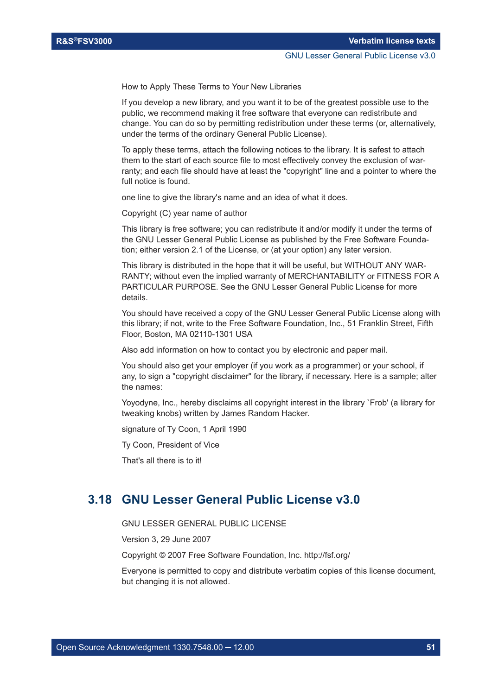How to Apply These Terms to Your New Libraries

If you develop a new library, and you want it to be of the greatest possible use to the public, we recommend making it free software that everyone can redistribute and change. You can do so by permitting redistribution under these terms (or, alternatively, under the terms of the ordinary General Public License).

To apply these terms, attach the following notices to the library. It is safest to attach them to the start of each source file to most effectively convey the exclusion of warranty; and each file should have at least the "copyright" line and a pointer to where the full notice is found.

one line to give the library's name and an idea of what it does.

Copyright (C) year name of author

This library is free software; you can redistribute it and/or modify it under the terms of the GNU Lesser General Public License as published by the Free Software Foundation; either version 2.1 of the License, or (at your option) any later version.

This library is distributed in the hope that it will be useful, but WITHOUT ANY WAR-RANTY; without even the implied warranty of MERCHANTABILITY or FITNESS FOR A PARTICULAR PURPOSE. See the GNU Lesser General Public License for more details.

You should have received a copy of the GNU Lesser General Public License along with this library; if not, write to the Free Software Foundation, Inc., 51 Franklin Street, Fifth Floor, Boston, MA 02110-1301 USA

Also add information on how to contact you by electronic and paper mail.

You should also get your employer (if you work as a programmer) or your school, if any, to sign a "copyright disclaimer" for the library, if necessary. Here is a sample; alter the names:

Yoyodyne, Inc., hereby disclaims all copyright interest in the library `Frob' (a library for tweaking knobs) written by James Random Hacker.

signature of Ty Coon, 1 April 1990

Ty Coon, President of Vice

That's all there is to it!

### **3.18 GNU Lesser General Public License v3.0**

GNU LESSER GENERAL PUBLIC LICENSE

Version 3, 29 June 2007

Copyright © 2007 Free Software Foundation, Inc. http://fsf.org/

Everyone is permitted to copy and distribute verbatim copies of this license document, but changing it is not allowed.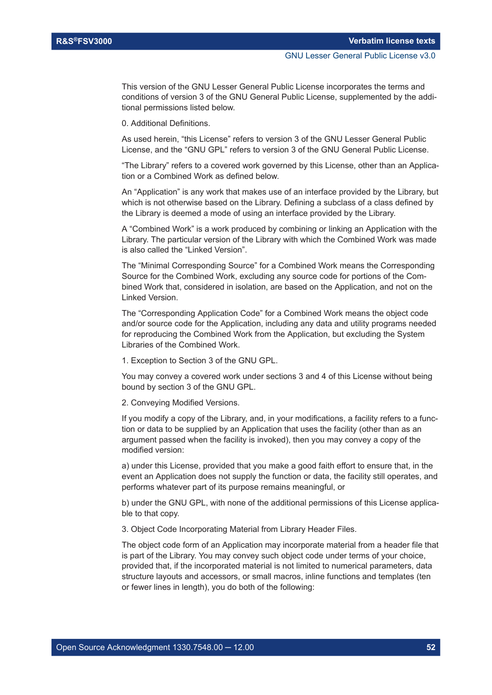This version of the GNU Lesser General Public License incorporates the terms and conditions of version 3 of the GNU General Public License, supplemented by the additional permissions listed below.

0. Additional Definitions.

As used herein, "this License" refers to version 3 of the GNU Lesser General Public License, and the "GNU GPL" refers to version 3 of the GNU General Public License.

"The Library" refers to a covered work governed by this License, other than an Application or a Combined Work as defined below.

An "Application" is any work that makes use of an interface provided by the Library, but which is not otherwise based on the Library. Defining a subclass of a class defined by the Library is deemed a mode of using an interface provided by the Library.

A "Combined Work" is a work produced by combining or linking an Application with the Library. The particular version of the Library with which the Combined Work was made is also called the "Linked Version".

The "Minimal Corresponding Source" for a Combined Work means the Corresponding Source for the Combined Work, excluding any source code for portions of the Combined Work that, considered in isolation, are based on the Application, and not on the Linked Version.

The "Corresponding Application Code" for a Combined Work means the object code and/or source code for the Application, including any data and utility programs needed for reproducing the Combined Work from the Application, but excluding the System Libraries of the Combined Work.

1. Exception to Section 3 of the GNU GPL.

You may convey a covered work under sections 3 and 4 of this License without being bound by section 3 of the GNU GPL.

2. Conveying Modified Versions.

If you modify a copy of the Library, and, in your modifications, a facility refers to a function or data to be supplied by an Application that uses the facility (other than as an argument passed when the facility is invoked), then you may convey a copy of the modified version:

a) under this License, provided that you make a good faith effort to ensure that, in the event an Application does not supply the function or data, the facility still operates, and performs whatever part of its purpose remains meaningful, or

b) under the GNU GPL, with none of the additional permissions of this License applicable to that copy.

3. Object Code Incorporating Material from Library Header Files.

The object code form of an Application may incorporate material from a header file that is part of the Library. You may convey such object code under terms of your choice, provided that, if the incorporated material is not limited to numerical parameters, data structure layouts and accessors, or small macros, inline functions and templates (ten or fewer lines in length), you do both of the following: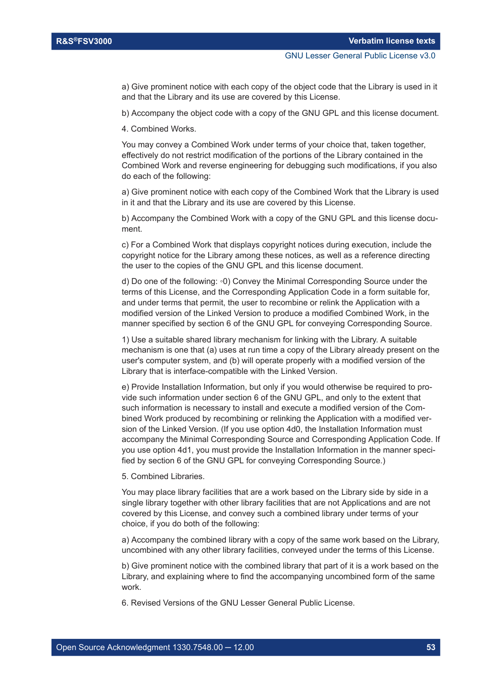a) Give prominent notice with each copy of the object code that the Library is used in it and that the Library and its use are covered by this License.

b) Accompany the object code with a copy of the GNU GPL and this license document.

4. Combined Works.

You may convey a Combined Work under terms of your choice that, taken together, effectively do not restrict modification of the portions of the Library contained in the Combined Work and reverse engineering for debugging such modifications, if you also do each of the following:

a) Give prominent notice with each copy of the Combined Work that the Library is used in it and that the Library and its use are covered by this License.

b) Accompany the Combined Work with a copy of the GNU GPL and this license document.

c) For a Combined Work that displays copyright notices during execution, include the copyright notice for the Library among these notices, as well as a reference directing the user to the copies of the GNU GPL and this license document.

d) Do one of the following: ◦0) Convey the Minimal Corresponding Source under the terms of this License, and the Corresponding Application Code in a form suitable for, and under terms that permit, the user to recombine or relink the Application with a modified version of the Linked Version to produce a modified Combined Work, in the manner specified by section 6 of the GNU GPL for conveying Corresponding Source.

1) Use a suitable shared library mechanism for linking with the Library. A suitable mechanism is one that (a) uses at run time a copy of the Library already present on the user's computer system, and (b) will operate properly with a modified version of the Library that is interface-compatible with the Linked Version.

e) Provide Installation Information, but only if you would otherwise be required to provide such information under section 6 of the GNU GPL, and only to the extent that such information is necessary to install and execute a modified version of the Combined Work produced by recombining or relinking the Application with a modified version of the Linked Version. (If you use option 4d0, the Installation Information must accompany the Minimal Corresponding Source and Corresponding Application Code. If you use option 4d1, you must provide the Installation Information in the manner specified by section 6 of the GNU GPL for conveying Corresponding Source.)

5. Combined Libraries.

You may place library facilities that are a work based on the Library side by side in a single library together with other library facilities that are not Applications and are not covered by this License, and convey such a combined library under terms of your choice, if you do both of the following:

a) Accompany the combined library with a copy of the same work based on the Library, uncombined with any other library facilities, conveyed under the terms of this License.

b) Give prominent notice with the combined library that part of it is a work based on the Library, and explaining where to find the accompanying uncombined form of the same work.

6. Revised Versions of the GNU Lesser General Public License.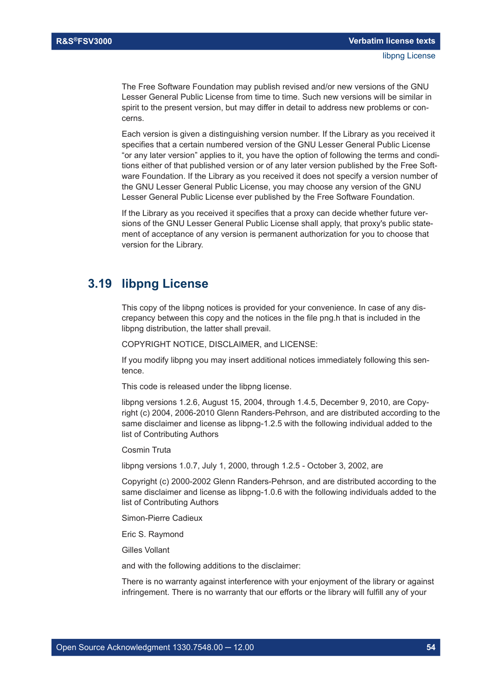The Free Software Foundation may publish revised and/or new versions of the GNU Lesser General Public License from time to time. Such new versions will be similar in spirit to the present version, but may differ in detail to address new problems or concerns.

Each version is given a distinguishing version number. If the Library as you received it specifies that a certain numbered version of the GNU Lesser General Public License "or any later version" applies to it, you have the option of following the terms and conditions either of that published version or of any later version published by the Free Software Foundation. If the Library as you received it does not specify a version number of the GNU Lesser General Public License, you may choose any version of the GNU Lesser General Public License ever published by the Free Software Foundation.

If the Library as you received it specifies that a proxy can decide whether future versions of the GNU Lesser General Public License shall apply, that proxy's public statement of acceptance of any version is permanent authorization for you to choose that version for the Library.

## **3.19 libpng License**

This copy of the libpng notices is provided for your convenience. In case of any discrepancy between this copy and the notices in the file png.h that is included in the libpng distribution, the latter shall prevail.

COPYRIGHT NOTICE, DISCLAIMER, and LICENSE:

If you modify libpng you may insert additional notices immediately following this sentence.

This code is released under the libpng license.

libpng versions 1.2.6, August 15, 2004, through 1.4.5, December 9, 2010, are Copyright (c) 2004, 2006-2010 Glenn Randers-Pehrson, and are distributed according to the same disclaimer and license as libpng-1.2.5 with the following individual added to the list of Contributing Authors

Cosmin Truta

libpng versions 1.0.7, July 1, 2000, through 1.2.5 - October 3, 2002, are

Copyright (c) 2000-2002 Glenn Randers-Pehrson, and are distributed according to the same disclaimer and license as libpng-1.0.6 with the following individuals added to the list of Contributing Authors

Simon-Pierre Cadieux

Eric S. Raymond

Gilles Vollant

and with the following additions to the disclaimer:

There is no warranty against interference with your enjoyment of the library or against infringement. There is no warranty that our efforts or the library will fulfill any of your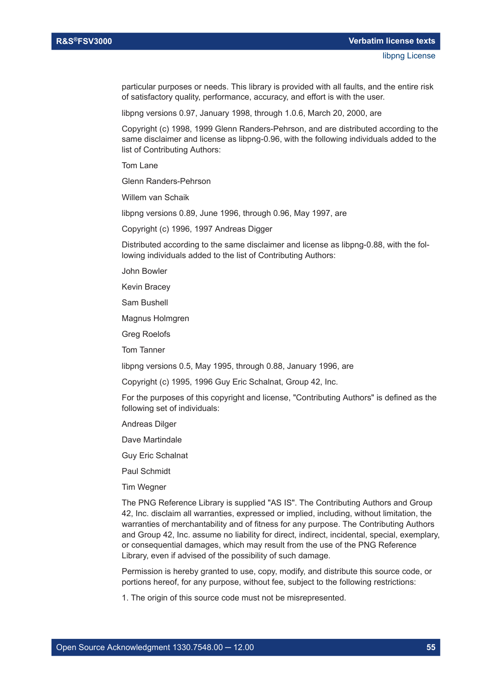particular purposes or needs. This library is provided with all faults, and the entire risk of satisfactory quality, performance, accuracy, and effort is with the user.

libpng versions 0.97, January 1998, through 1.0.6, March 20, 2000, are

Copyright (c) 1998, 1999 Glenn Randers-Pehrson, and are distributed according to the same disclaimer and license as libpng-0.96, with the following individuals added to the list of Contributing Authors:

Tom Lane

Glenn Randers-Pehrson

Willem van Schaik

libpng versions 0.89, June 1996, through 0.96, May 1997, are

Copyright (c) 1996, 1997 Andreas Digger

Distributed according to the same disclaimer and license as libpng-0.88, with the following individuals added to the list of Contributing Authors:

John Bowler

Kevin Bracey

Sam Bushell

Magnus Holmgren

Greg Roelofs

Tom Tanner

libpng versions 0.5, May 1995, through 0.88, January 1996, are

Copyright (c) 1995, 1996 Guy Eric Schalnat, Group 42, Inc.

For the purposes of this copyright and license, "Contributing Authors" is defined as the following set of individuals:

Andreas Dilger

Dave Martindale

Guy Eric Schalnat

Paul Schmidt

Tim Wegner

The PNG Reference Library is supplied "AS IS". The Contributing Authors and Group 42, Inc. disclaim all warranties, expressed or implied, including, without limitation, the warranties of merchantability and of fitness for any purpose. The Contributing Authors and Group 42, Inc. assume no liability for direct, indirect, incidental, special, exemplary, or consequential damages, which may result from the use of the PNG Reference Library, even if advised of the possibility of such damage.

Permission is hereby granted to use, copy, modify, and distribute this source code, or portions hereof, for any purpose, without fee, subject to the following restrictions:

1. The origin of this source code must not be misrepresented.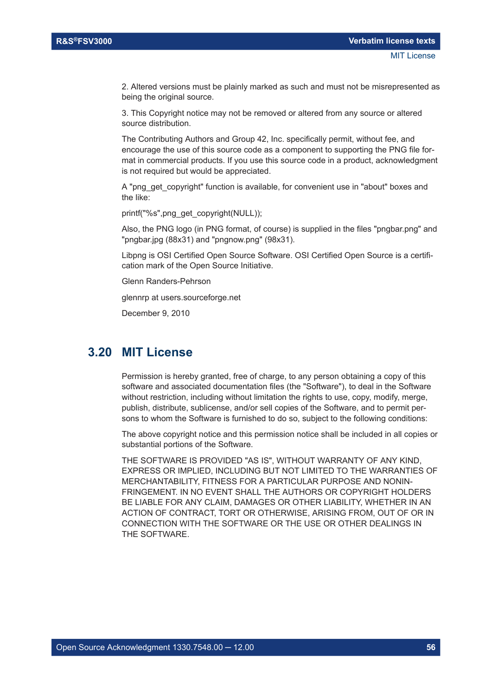2. Altered versions must be plainly marked as such and must not be misrepresented as being the original source.

3. This Copyright notice may not be removed or altered from any source or altered source distribution.

The Contributing Authors and Group 42, Inc. specifically permit, without fee, and encourage the use of this source code as a component to supporting the PNG file format in commercial products. If you use this source code in a product, acknowledgment is not required but would be appreciated.

A "png get copyright" function is available, for convenient use in "about" boxes and the like:

printf("%s",png\_get\_copyright(NULL));

Also, the PNG logo (in PNG format, of course) is supplied in the files "pngbar.png" and "pngbar.jpg (88x31) and "pngnow.png" (98x31).

Libpng is OSI Certified Open Source Software. OSI Certified Open Source is a certification mark of the Open Source Initiative.

Glenn Randers-Pehrson

glennrp at users.sourceforge.net

December 9, 2010

## **3.20 MIT License**

Permission is hereby granted, free of charge, to any person obtaining a copy of this software and associated documentation files (the "Software"), to deal in the Software without restriction, including without limitation the rights to use, copy, modify, merge, publish, distribute, sublicense, and/or sell copies of the Software, and to permit persons to whom the Software is furnished to do so, subject to the following conditions:

The above copyright notice and this permission notice shall be included in all copies or substantial portions of the Software.

THE SOFTWARE IS PROVIDED "AS IS", WITHOUT WARRANTY OF ANY KIND, EXPRESS OR IMPLIED, INCLUDING BUT NOT LIMITED TO THE WARRANTIES OF MERCHANTABILITY, FITNESS FOR A PARTICULAR PURPOSE AND NONIN-FRINGEMENT. IN NO EVENT SHALL THE AUTHORS OR COPYRIGHT HOLDERS BE LIABLE FOR ANY CLAIM, DAMAGES OR OTHER LIABILITY, WHETHER IN AN ACTION OF CONTRACT, TORT OR OTHERWISE, ARISING FROM, OUT OF OR IN CONNECTION WITH THE SOFTWARE OR THE USE OR OTHER DEALINGS IN THE SOFTWARE.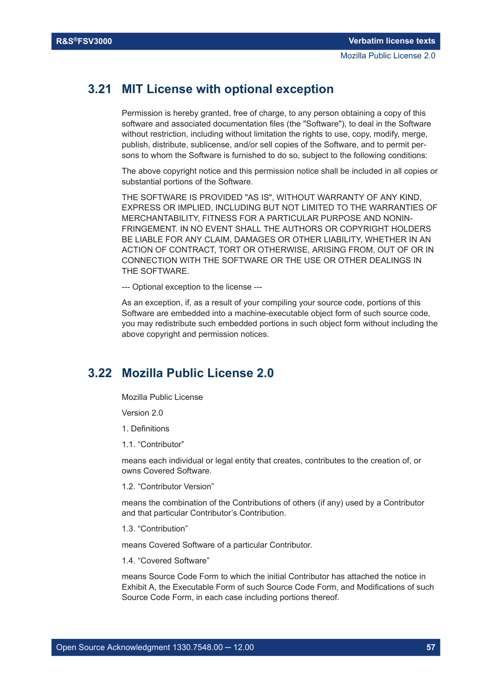### **3.21 MIT License with optional exception**

Permission is hereby granted, free of charge, to any person obtaining a copy of this software and associated documentation files (the "Software"), to deal in the Software without restriction, including without limitation the rights to use, copy, modify, merge, publish, distribute, sublicense, and/or sell copies of the Software, and to permit persons to whom the Software is furnished to do so, subject to the following conditions:

The above copyright notice and this permission notice shall be included in all copies or substantial portions of the Software.

THE SOFTWARE IS PROVIDED "AS IS", WITHOUT WARRANTY OF ANY KIND, EXPRESS OR IMPLIED, INCLUDING BUT NOT LIMITED TO THE WARRANTIES OF MERCHANTABILITY, FITNESS FOR A PARTICULAR PURPOSE AND NONIN-FRINGEMENT. IN NO EVENT SHALL THE AUTHORS OR COPYRIGHT HOLDERS BE LIABLE FOR ANY CLAIM, DAMAGES OR OTHER LIABILITY, WHETHER IN AN ACTION OF CONTRACT, TORT OR OTHERWISE, ARISING FROM, OUT OF OR IN CONNECTION WITH THE SOFTWARE OR THE USE OR OTHER DEALINGS IN THE SOFTWARE.

--- Optional exception to the license ---

As an exception, if, as a result of your compiling your source code, portions of this Software are embedded into a machine-executable object form of such source code, you may redistribute such embedded portions in such object form without including the above copyright and permission notices.

## **3.22 Mozilla Public License 2.0**

Mozilla Public License

Version 2.0

1. Definitions

1.1. "Contributor"

means each individual or legal entity that creates, contributes to the creation of, or owns Covered Software.

1.2. "Contributor Version"

means the combination of the Contributions of others (if any) used by a Contributor and that particular Contributor's Contribution.

1.3. "Contribution"

means Covered Software of a particular Contributor.

1.4. "Covered Software"

means Source Code Form to which the initial Contributor has attached the notice in Exhibit A, the Executable Form of such Source Code Form, and Modifications of such Source Code Form, in each case including portions thereof.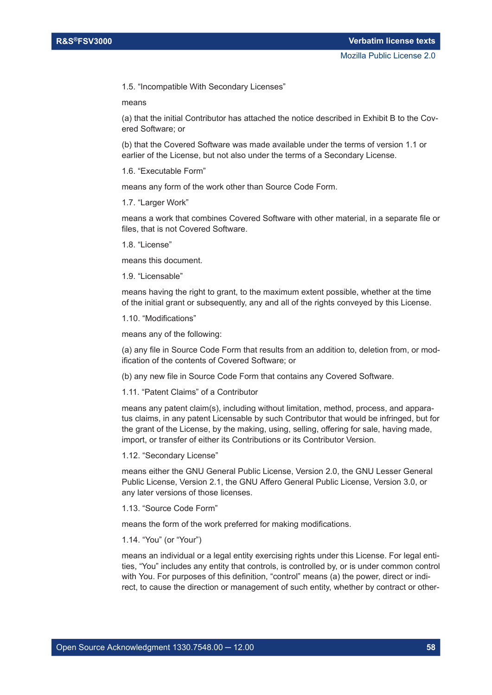1.5. "Incompatible With Secondary Licenses"

means

(a) that the initial Contributor has attached the notice described in Exhibit B to the Covered Software; or

(b) that the Covered Software was made available under the terms of version 1.1 or earlier of the License, but not also under the terms of a Secondary License.

1.6. "Executable Form"

means any form of the work other than Source Code Form.

1.7. "Larger Work"

means a work that combines Covered Software with other material, in a separate file or files, that is not Covered Software.

1.8. "License"

means this document.

1.9. "Licensable"

means having the right to grant, to the maximum extent possible, whether at the time of the initial grant or subsequently, any and all of the rights conveyed by this License.

1.10. "Modifications"

means any of the following:

(a) any file in Source Code Form that results from an addition to, deletion from, or modification of the contents of Covered Software; or

(b) any new file in Source Code Form that contains any Covered Software.

1.11. "Patent Claims" of a Contributor

means any patent claim(s), including without limitation, method, process, and apparatus claims, in any patent Licensable by such Contributor that would be infringed, but for the grant of the License, by the making, using, selling, offering for sale, having made, import, or transfer of either its Contributions or its Contributor Version.

1.12. "Secondary License"

means either the GNU General Public License, Version 2.0, the GNU Lesser General Public License, Version 2.1, the GNU Affero General Public License, Version 3.0, or any later versions of those licenses.

1.13. "Source Code Form"

means the form of the work preferred for making modifications.

1.14. "You" (or "Your")

means an individual or a legal entity exercising rights under this License. For legal entities, "You" includes any entity that controls, is controlled by, or is under common control with You. For purposes of this definition, "control" means (a) the power, direct or indirect, to cause the direction or management of such entity, whether by contract or other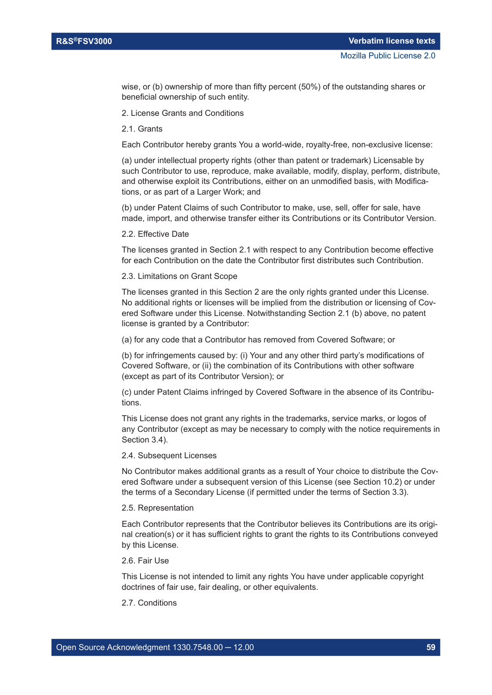wise, or (b) ownership of more than fifty percent (50%) of the outstanding shares or beneficial ownership of such entity.

- 2. License Grants and Conditions
- 2.1. Grants

Each Contributor hereby grants You a world-wide, royalty-free, non-exclusive license:

(a) under intellectual property rights (other than patent or trademark) Licensable by such Contributor to use, reproduce, make available, modify, display, perform, distribute, and otherwise exploit its Contributions, either on an unmodified basis, with Modifications, or as part of a Larger Work; and

(b) under Patent Claims of such Contributor to make, use, sell, offer for sale, have made, import, and otherwise transfer either its Contributions or its Contributor Version.

2.2. Effective Date

The licenses granted in Section 2.1 with respect to any Contribution become effective for each Contribution on the date the Contributor first distributes such Contribution.

2.3. Limitations on Grant Scope

The licenses granted in this Section 2 are the only rights granted under this License. No additional rights or licenses will be implied from the distribution or licensing of Covered Software under this License. Notwithstanding Section 2.1 (b) above, no patent license is granted by a Contributor:

(a) for any code that a Contributor has removed from Covered Software; or

(b) for infringements caused by: (i) Your and any other third party's modifications of Covered Software, or (ii) the combination of its Contributions with other software (except as part of its Contributor Version); or

(c) under Patent Claims infringed by Covered Software in the absence of its Contributions.

This License does not grant any rights in the trademarks, service marks, or logos of any Contributor (except as may be necessary to comply with the notice requirements in Section 3.4).

#### 2.4. Subsequent Licenses

No Contributor makes additional grants as a result of Your choice to distribute the Covered Software under a subsequent version of this License (see Section 10.2) or under the terms of a Secondary License (if permitted under the terms of Section 3.3).

#### 2.5. Representation

Each Contributor represents that the Contributor believes its Contributions are its original creation(s) or it has sufficient rights to grant the rights to its Contributions conveyed by this License.

#### 2.6. Fair Use

This License is not intended to limit any rights You have under applicable copyright doctrines of fair use, fair dealing, or other equivalents.

#### 2.7. Conditions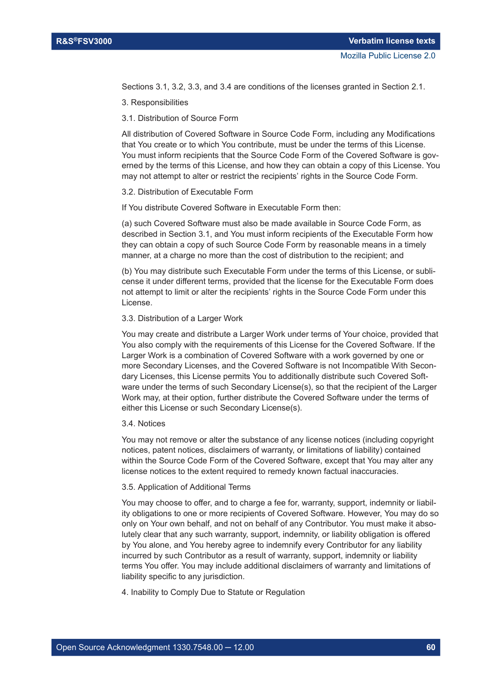Sections 3.1, 3.2, 3.3, and 3.4 are conditions of the licenses granted in Section 2.1.

3. Responsibilities

#### 3.1. Distribution of Source Form

All distribution of Covered Software in Source Code Form, including any Modifications that You create or to which You contribute, must be under the terms of this License. You must inform recipients that the Source Code Form of the Covered Software is governed by the terms of this License, and how they can obtain a copy of this License. You may not attempt to alter or restrict the recipients' rights in the Source Code Form.

#### 3.2. Distribution of Executable Form

#### If You distribute Covered Software in Executable Form then:

(a) such Covered Software must also be made available in Source Code Form, as described in Section 3.1, and You must inform recipients of the Executable Form how they can obtain a copy of such Source Code Form by reasonable means in a timely manner, at a charge no more than the cost of distribution to the recipient; and

(b) You may distribute such Executable Form under the terms of this License, or sublicense it under different terms, provided that the license for the Executable Form does not attempt to limit or alter the recipients' rights in the Source Code Form under this License.

#### 3.3. Distribution of a Larger Work

You may create and distribute a Larger Work under terms of Your choice, provided that You also comply with the requirements of this License for the Covered Software. If the Larger Work is a combination of Covered Software with a work governed by one or more Secondary Licenses, and the Covered Software is not Incompatible With Secondary Licenses, this License permits You to additionally distribute such Covered Software under the terms of such Secondary License(s), so that the recipient of the Larger Work may, at their option, further distribute the Covered Software under the terms of either this License or such Secondary License(s).

#### 3.4. Notices

You may not remove or alter the substance of any license notices (including copyright notices, patent notices, disclaimers of warranty, or limitations of liability) contained within the Source Code Form of the Covered Software, except that You may alter any license notices to the extent required to remedy known factual inaccuracies.

#### 3.5. Application of Additional Terms

You may choose to offer, and to charge a fee for, warranty, support, indemnity or liability obligations to one or more recipients of Covered Software. However, You may do so only on Your own behalf, and not on behalf of any Contributor. You must make it absolutely clear that any such warranty, support, indemnity, or liability obligation is offered by You alone, and You hereby agree to indemnify every Contributor for any liability incurred by such Contributor as a result of warranty, support, indemnity or liability terms You offer. You may include additional disclaimers of warranty and limitations of liability specific to any jurisdiction.

4. Inability to Comply Due to Statute or Regulation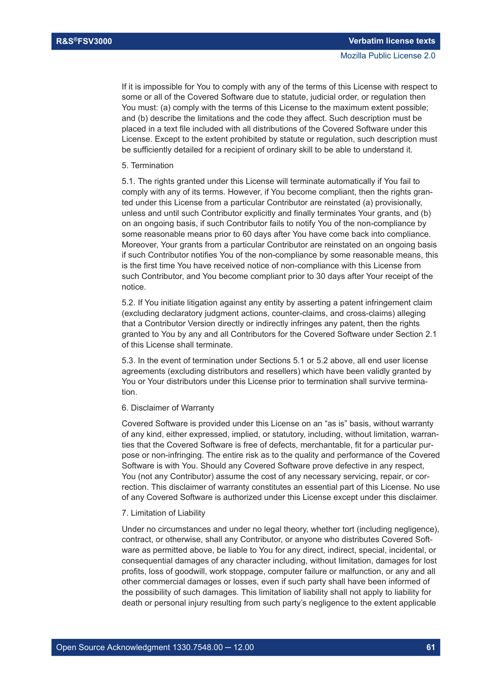If it is impossible for You to comply with any of the terms of this License with respect to some or all of the Covered Software due to statute, judicial order, or regulation then You must: (a) comply with the terms of this License to the maximum extent possible; and (b) describe the limitations and the code they affect. Such description must be placed in a text file included with all distributions of the Covered Software under this License. Except to the extent prohibited by statute or regulation, such description must be sufficiently detailed for a recipient of ordinary skill to be able to understand it.

#### 5. Termination

5.1. The rights granted under this License will terminate automatically if You fail to comply with any of its terms. However, if You become compliant, then the rights granted under this License from a particular Contributor are reinstated (a) provisionally, unless and until such Contributor explicitly and finally terminates Your grants, and (b) on an ongoing basis, if such Contributor fails to notify You of the non-compliance by some reasonable means prior to 60 days after You have come back into compliance. Moreover, Your grants from a particular Contributor are reinstated on an ongoing basis if such Contributor notifies You of the non-compliance by some reasonable means, this is the first time You have received notice of non-compliance with this License from such Contributor, and You become compliant prior to 30 days after Your receipt of the notice.

5.2. If You initiate litigation against any entity by asserting a patent infringement claim (excluding declaratory judgment actions, counter-claims, and cross-claims) alleging that a Contributor Version directly or indirectly infringes any patent, then the rights granted to You by any and all Contributors for the Covered Software under Section 2.1 of this License shall terminate.

5.3. In the event of termination under Sections 5.1 or 5.2 above, all end user license agreements (excluding distributors and resellers) which have been validly granted by You or Your distributors under this License prior to termination shall survive termination.

#### 6. Disclaimer of Warranty

Covered Software is provided under this License on an "as is" basis, without warranty of any kind, either expressed, implied, or statutory, including, without limitation, warranties that the Covered Software is free of defects, merchantable, fit for a particular purpose or non-infringing. The entire risk as to the quality and performance of the Covered Software is with You. Should any Covered Software prove defective in any respect, You (not any Contributor) assume the cost of any necessary servicing, repair, or correction. This disclaimer of warranty constitutes an essential part of this License. No use of any Covered Software is authorized under this License except under this disclaimer.

#### 7. Limitation of Liability

Under no circumstances and under no legal theory, whether tort (including negligence), contract, or otherwise, shall any Contributor, or anyone who distributes Covered Software as permitted above, be liable to You for any direct, indirect, special, incidental, or consequential damages of any character including, without limitation, damages for lost profits, loss of goodwill, work stoppage, computer failure or malfunction, or any and all other commercial damages or losses, even if such party shall have been informed of the possibility of such damages. This limitation of liability shall not apply to liability for death or personal injury resulting from such party's negligence to the extent applicable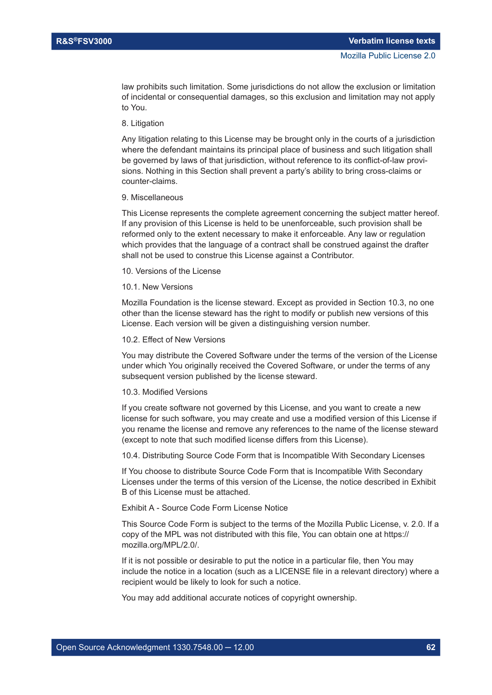law prohibits such limitation. Some jurisdictions do not allow the exclusion or limitation of incidental or consequential damages, so this exclusion and limitation may not apply to You.

8. Litigation

Any litigation relating to this License may be brought only in the courts of a jurisdiction where the defendant maintains its principal place of business and such litigation shall be governed by laws of that jurisdiction, without reference to its conflict-of-law provisions. Nothing in this Section shall prevent a party's ability to bring cross-claims or counter-claims.

#### 9. Miscellaneous

This License represents the complete agreement concerning the subject matter hereof. If any provision of this License is held to be unenforceable, such provision shall be reformed only to the extent necessary to make it enforceable. Any law or regulation which provides that the language of a contract shall be construed against the drafter shall not be used to construe this License against a Contributor.

10. Versions of the License

#### 10.1. New Versions

Mozilla Foundation is the license steward. Except as provided in Section 10.3, no one other than the license steward has the right to modify or publish new versions of this License. Each version will be given a distinguishing version number.

#### 10.2. Effect of New Versions

You may distribute the Covered Software under the terms of the version of the License under which You originally received the Covered Software, or under the terms of any subsequent version published by the license steward.

#### 10.3. Modified Versions

If you create software not governed by this License, and you want to create a new license for such software, you may create and use a modified version of this License if you rename the license and remove any references to the name of the license steward (except to note that such modified license differs from this License).

10.4. Distributing Source Code Form that is Incompatible With Secondary Licenses

If You choose to distribute Source Code Form that is Incompatible With Secondary Licenses under the terms of this version of the License, the notice described in Exhibit B of this License must be attached.

#### Exhibit A - Source Code Form License Notice

This Source Code Form is subject to the terms of the Mozilla Public License, v. 2.0. If a copy of the MPL was not distributed with this file, You can obtain one at https:// mozilla.org/MPL/2.0/.

If it is not possible or desirable to put the notice in a particular file, then You may include the notice in a location (such as a LICENSE file in a relevant directory) where a recipient would be likely to look for such a notice.

You may add additional accurate notices of copyright ownership.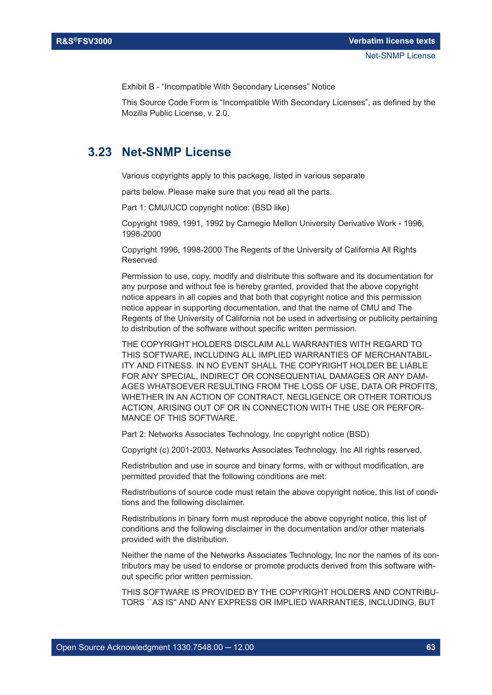Exhibit B - "Incompatible With Secondary Licenses" Notice

This Source Code Form is "Incompatible With Secondary Licenses", as defined by the Mozilla Public License, v. 2.0.

## **3.23 Net-SNMP License**

Various copyrights apply to this package, listed in various separate

parts below. Please make sure that you read all the parts.

Part 1: CMU/UCD copyright notice: (BSD like)

Copyright 1989, 1991, 1992 by Carnegie Mellon University Derivative Work - 1996, 1998-2000

Copyright 1996, 1998-2000 The Regents of the University of California All Rights Reserved

Permission to use, copy, modify and distribute this software and its documentation for any purpose and without fee is hereby granted, provided that the above copyright notice appears in all copies and that both that copyright notice and this permission notice appear in supporting documentation, and that the name of CMU and The Regents of the University of California not be used in advertising or publicity pertaining to distribution of the software without specific written permission.

THE COPYRIGHT HOLDERS DISCLAIM ALL WARRANTIES WITH REGARD TO THIS SOFTWARE, INCLUDING ALL IMPLIED WARRANTIES OF MERCHANTABIL-ITY AND FITNESS. IN NO EVENT SHALL THE COPYRIGHT HOLDER BE LIABLE FOR ANY SPECIAL, INDIRECT OR CONSEQUENTIAL DAMAGES OR ANY DAM-AGES WHATSOEVER RESULTING FROM THE LOSS OF USE, DATA OR PROFITS, WHETHER IN AN ACTION OF CONTRACT, NEGLIGENCE OR OTHER TORTIOUS ACTION, ARISING OUT OF OR IN CONNECTION WITH THE USE OR PERFOR-MANCE OF THIS SOFTWARE.

Part 2: Networks Associates Technology, Inc copyright notice (BSD)

Copyright (c) 2001-2003, Networks Associates Technology, Inc All rights reserved.

Redistribution and use in source and binary forms, with or without modification, are permitted provided that the following conditions are met:

Redistributions of source code must retain the above copyright notice, this list of conditions and the following disclaimer.

Redistributions in binary form must reproduce the above copyright notice, this list of conditions and the following disclaimer in the documentation and/or other materials provided with the distribution.

Neither the name of the Networks Associates Technology, Inc nor the names of its contributors may be used to endorse or promote products derived from this software without specific prior written permission.

THIS SOFTWARE IS PROVIDED BY THE COPYRIGHT HOLDERS AND CONTRIBU-TORS ``AS IS'' AND ANY EXPRESS OR IMPLIED WARRANTIES, INCLUDING, BUT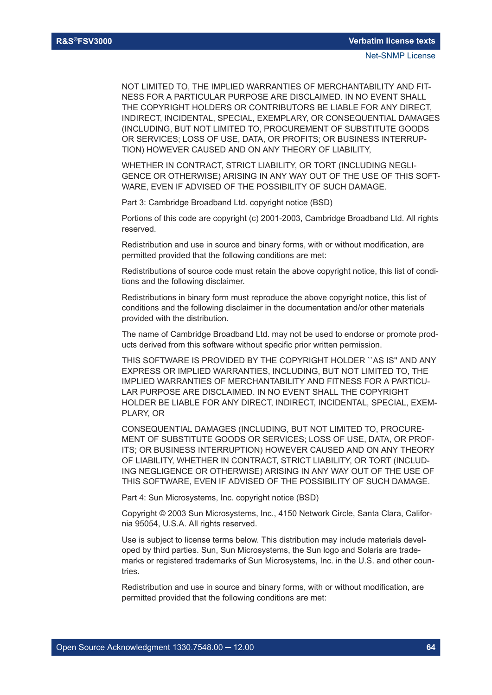NOT LIMITED TO, THE IMPLIED WARRANTIES OF MERCHANTABILITY AND FIT-NESS FOR A PARTICULAR PURPOSE ARE DISCLAIMED. IN NO EVENT SHALL THE COPYRIGHT HOLDERS OR CONTRIBUTORS BE LIABLE FOR ANY DIRECT, INDIRECT, INCIDENTAL, SPECIAL, EXEMPLARY, OR CONSEQUENTIAL DAMAGES (INCLUDING, BUT NOT LIMITED TO, PROCUREMENT OF SUBSTITUTE GOODS OR SERVICES; LOSS OF USE, DATA, OR PROFITS; OR BUSINESS INTERRUP-TION) HOWEVER CAUSED AND ON ANY THEORY OF LIABILITY,

WHETHER IN CONTRACT, STRICT LIABILITY, OR TORT (INCLUDING NEGLI-GENCE OR OTHERWISE) ARISING IN ANY WAY OUT OF THE USE OF THIS SOFT-WARE, EVEN IF ADVISED OF THE POSSIBILITY OF SUCH DAMAGE.

Part 3: Cambridge Broadband Ltd. copyright notice (BSD)

Portions of this code are copyright (c) 2001-2003, Cambridge Broadband Ltd. All rights reserved.

Redistribution and use in source and binary forms, with or without modification, are permitted provided that the following conditions are met:

Redistributions of source code must retain the above copyright notice, this list of conditions and the following disclaimer.

Redistributions in binary form must reproduce the above copyright notice, this list of conditions and the following disclaimer in the documentation and/or other materials provided with the distribution.

The name of Cambridge Broadband Ltd. may not be used to endorse or promote products derived from this software without specific prior written permission.

THIS SOFTWARE IS PROVIDED BY THE COPYRIGHT HOLDER ``AS IS'' AND ANY EXPRESS OR IMPLIED WARRANTIES, INCLUDING, BUT NOT LIMITED TO, THE IMPLIED WARRANTIES OF MERCHANTABILITY AND FITNESS FOR A PARTICU-LAR PURPOSE ARE DISCLAIMED. IN NO EVENT SHALL THE COPYRIGHT HOLDER BE LIABLE FOR ANY DIRECT, INDIRECT, INCIDENTAL, SPECIAL, EXEM-PLARY, OR

CONSEQUENTIAL DAMAGES (INCLUDING, BUT NOT LIMITED TO, PROCURE-MENT OF SUBSTITUTE GOODS OR SERVICES; LOSS OF USE, DATA, OR PROF-ITS; OR BUSINESS INTERRUPTION) HOWEVER CAUSED AND ON ANY THEORY OF LIABILITY, WHETHER IN CONTRACT, STRICT LIABILITY, OR TORT (INCLUD-ING NEGLIGENCE OR OTHERWISE) ARISING IN ANY WAY OUT OF THE USE OF THIS SOFTWARE, EVEN IF ADVISED OF THE POSSIBILITY OF SUCH DAMAGE.

Part 4: Sun Microsystems, Inc. copyright notice (BSD)

Copyright © 2003 Sun Microsystems, Inc., 4150 Network Circle, Santa Clara, California 95054, U.S.A. All rights reserved.

Use is subject to license terms below. This distribution may include materials developed by third parties. Sun, Sun Microsystems, the Sun logo and Solaris are trademarks or registered trademarks of Sun Microsystems, Inc. in the U.S. and other countries.

Redistribution and use in source and binary forms, with or without modification, are permitted provided that the following conditions are met: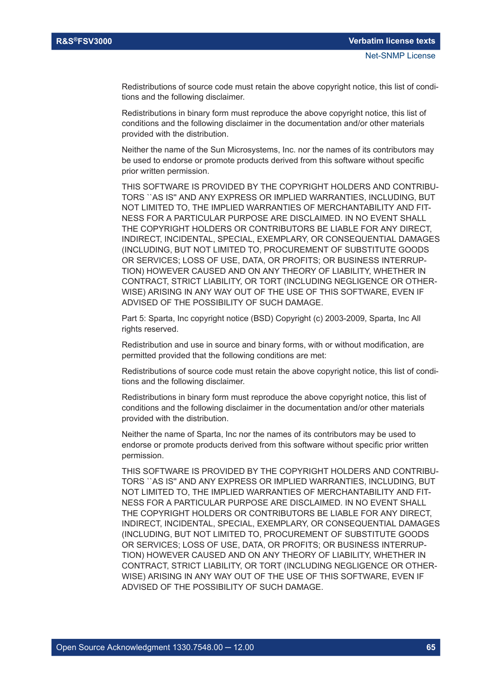Redistributions of source code must retain the above copyright notice, this list of conditions and the following disclaimer.

Redistributions in binary form must reproduce the above copyright notice, this list of conditions and the following disclaimer in the documentation and/or other materials provided with the distribution.

Neither the name of the Sun Microsystems, Inc. nor the names of its contributors may be used to endorse or promote products derived from this software without specific prior written permission.

THIS SOFTWARE IS PROVIDED BY THE COPYRIGHT HOLDERS AND CONTRIBU-TORS ``AS IS'' AND ANY EXPRESS OR IMPLIED WARRANTIES, INCLUDING, BUT NOT LIMITED TO, THE IMPLIED WARRANTIES OF MERCHANTABILITY AND FIT-NESS FOR A PARTICULAR PURPOSE ARE DISCLAIMED. IN NO EVENT SHALL THE COPYRIGHT HOLDERS OR CONTRIBUTORS BE LIABLE FOR ANY DIRECT, INDIRECT, INCIDENTAL, SPECIAL, EXEMPLARY, OR CONSEQUENTIAL DAMAGES (INCLUDING, BUT NOT LIMITED TO, PROCUREMENT OF SUBSTITUTE GOODS OR SERVICES; LOSS OF USE, DATA, OR PROFITS; OR BUSINESS INTERRUP-TION) HOWEVER CAUSED AND ON ANY THEORY OF LIABILITY, WHETHER IN CONTRACT, STRICT LIABILITY, OR TORT (INCLUDING NEGLIGENCE OR OTHER-WISE) ARISING IN ANY WAY OUT OF THE USE OF THIS SOFTWARE, EVEN IF ADVISED OF THE POSSIBILITY OF SUCH DAMAGE.

Part 5: Sparta, Inc copyright notice (BSD) Copyright (c) 2003-2009, Sparta, Inc All rights reserved.

Redistribution and use in source and binary forms, with or without modification, are permitted provided that the following conditions are met:

Redistributions of source code must retain the above copyright notice, this list of conditions and the following disclaimer.

Redistributions in binary form must reproduce the above copyright notice, this list of conditions and the following disclaimer in the documentation and/or other materials provided with the distribution.

Neither the name of Sparta, Inc nor the names of its contributors may be used to endorse or promote products derived from this software without specific prior written permission.

THIS SOFTWARE IS PROVIDED BY THE COPYRIGHT HOLDERS AND CONTRIBU-TORS ``AS IS'' AND ANY EXPRESS OR IMPLIED WARRANTIES, INCLUDING, BUT NOT LIMITED TO, THE IMPLIED WARRANTIES OF MERCHANTABILITY AND FIT-NESS FOR A PARTICULAR PURPOSE ARE DISCLAIMED. IN NO EVENT SHALL THE COPYRIGHT HOLDERS OR CONTRIBUTORS BE LIABLE FOR ANY DIRECT, INDIRECT, INCIDENTAL, SPECIAL, EXEMPLARY, OR CONSEQUENTIAL DAMAGES (INCLUDING, BUT NOT LIMITED TO, PROCUREMENT OF SUBSTITUTE GOODS OR SERVICES; LOSS OF USE, DATA, OR PROFITS; OR BUSINESS INTERRUP-TION) HOWEVER CAUSED AND ON ANY THEORY OF LIABILITY, WHETHER IN CONTRACT, STRICT LIABILITY, OR TORT (INCLUDING NEGLIGENCE OR OTHER-WISE) ARISING IN ANY WAY OUT OF THE USE OF THIS SOFTWARE, EVEN IF ADVISED OF THE POSSIBILITY OF SUCH DAMAGE.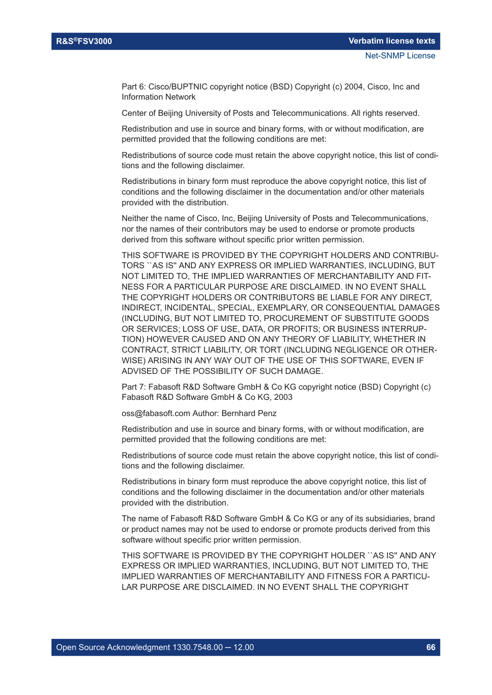Part 6: Cisco/BUPTNIC copyright notice (BSD) Copyright (c) 2004, Cisco, Inc and Information Network

Center of Beijing University of Posts and Telecommunications. All rights reserved.

Redistribution and use in source and binary forms, with or without modification, are permitted provided that the following conditions are met:

Redistributions of source code must retain the above copyright notice, this list of conditions and the following disclaimer.

Redistributions in binary form must reproduce the above copyright notice, this list of conditions and the following disclaimer in the documentation and/or other materials provided with the distribution.

Neither the name of Cisco, Inc, Beijing University of Posts and Telecommunications, nor the names of their contributors may be used to endorse or promote products derived from this software without specific prior written permission.

THIS SOFTWARE IS PROVIDED BY THE COPYRIGHT HOLDERS AND CONTRIBU-TORS ``AS IS'' AND ANY EXPRESS OR IMPLIED WARRANTIES, INCLUDING, BUT NOT LIMITED TO, THE IMPLIED WARRANTIES OF MERCHANTABILITY AND FIT-NESS FOR A PARTICULAR PURPOSE ARE DISCLAIMED. IN NO EVENT SHALL THE COPYRIGHT HOLDERS OR CONTRIBUTORS BE LIABLE FOR ANY DIRECT, INDIRECT, INCIDENTAL, SPECIAL, EXEMPLARY, OR CONSEQUENTIAL DAMAGES (INCLUDING, BUT NOT LIMITED TO, PROCUREMENT OF SUBSTITUTE GOODS OR SERVICES; LOSS OF USE, DATA, OR PROFITS; OR BUSINESS INTERRUP-TION) HOWEVER CAUSED AND ON ANY THEORY OF LIABILITY, WHETHER IN CONTRACT, STRICT LIABILITY, OR TORT (INCLUDING NEGLIGENCE OR OTHER-WISE) ARISING IN ANY WAY OUT OF THE USE OF THIS SOFTWARE, EVEN IF ADVISED OF THE POSSIBILITY OF SUCH DAMAGE.

Part 7: Fabasoft R&D Software GmbH & Co KG copyright notice (BSD) Copyright (c) Fabasoft R&D Software GmbH & Co KG, 2003

oss@fabasoft.com Author: Bernhard Penz

Redistribution and use in source and binary forms, with or without modification, are permitted provided that the following conditions are met:

Redistributions of source code must retain the above copyright notice, this list of conditions and the following disclaimer.

Redistributions in binary form must reproduce the above copyright notice, this list of conditions and the following disclaimer in the documentation and/or other materials provided with the distribution.

The name of Fabasoft R&D Software GmbH & Co KG or any of its subsidiaries, brand or product names may not be used to endorse or promote products derived from this software without specific prior written permission.

THIS SOFTWARE IS PROVIDED BY THE COPYRIGHT HOLDER ``AS IS'' AND ANY EXPRESS OR IMPLIED WARRANTIES, INCLUDING, BUT NOT LIMITED TO, THE IMPLIED WARRANTIES OF MERCHANTABILITY AND FITNESS FOR A PARTICU-LAR PURPOSE ARE DISCLAIMED. IN NO EVENT SHALL THE COPYRIGHT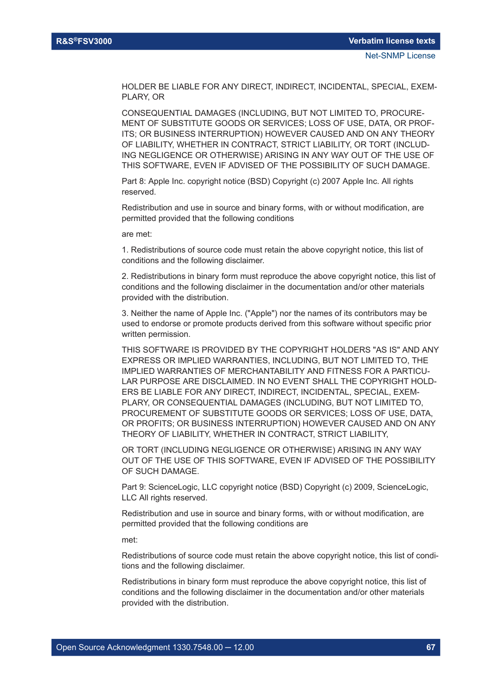HOLDER BE LIABLE FOR ANY DIRECT, INDIRECT, INCIDENTAL, SPECIAL, EXEM-PLARY, OR

CONSEQUENTIAL DAMAGES (INCLUDING, BUT NOT LIMITED TO, PROCURE-MENT OF SUBSTITUTE GOODS OR SERVICES; LOSS OF USE, DATA, OR PROF-ITS; OR BUSINESS INTERRUPTION) HOWEVER CAUSED AND ON ANY THEORY OF LIABILITY, WHETHER IN CONTRACT, STRICT LIABILITY, OR TORT (INCLUD-ING NEGLIGENCE OR OTHERWISE) ARISING IN ANY WAY OUT OF THE USE OF THIS SOFTWARE, EVEN IF ADVISED OF THE POSSIBILITY OF SUCH DAMAGE.

Part 8: Apple Inc. copyright notice (BSD) Copyright (c) 2007 Apple Inc. All rights reserved.

Redistribution and use in source and binary forms, with or without modification, are permitted provided that the following conditions

are met:

1. Redistributions of source code must retain the above copyright notice, this list of conditions and the following disclaimer.

2. Redistributions in binary form must reproduce the above copyright notice, this list of conditions and the following disclaimer in the documentation and/or other materials provided with the distribution.

3. Neither the name of Apple Inc. ("Apple") nor the names of its contributors may be used to endorse or promote products derived from this software without specific prior written permission.

THIS SOFTWARE IS PROVIDED BY THE COPYRIGHT HOLDERS "AS IS" AND ANY EXPRESS OR IMPLIED WARRANTIES, INCLUDING, BUT NOT LIMITED TO, THE IMPLIED WARRANTIES OF MERCHANTABILITY AND FITNESS FOR A PARTICU-LAR PURPOSE ARE DISCLAIMED. IN NO EVENT SHALL THE COPYRIGHT HOLD-ERS BE LIABLE FOR ANY DIRECT, INDIRECT, INCIDENTAL, SPECIAL, EXEM-PLARY, OR CONSEQUENTIAL DAMAGES (INCLUDING, BUT NOT LIMITED TO, PROCUREMENT OF SUBSTITUTE GOODS OR SERVICES; LOSS OF USE, DATA, OR PROFITS; OR BUSINESS INTERRUPTION) HOWEVER CAUSED AND ON ANY THEORY OF LIABILITY, WHETHER IN CONTRACT, STRICT LIABILITY,

OR TORT (INCLUDING NEGLIGENCE OR OTHERWISE) ARISING IN ANY WAY OUT OF THE USE OF THIS SOFTWARE, EVEN IF ADVISED OF THE POSSIBILITY OF SUCH DAMAGE.

Part 9: ScienceLogic, LLC copyright notice (BSD) Copyright (c) 2009, ScienceLogic, LLC All rights reserved.

Redistribution and use in source and binary forms, with or without modification, are permitted provided that the following conditions are

met:

Redistributions of source code must retain the above copyright notice, this list of conditions and the following disclaimer.

Redistributions in binary form must reproduce the above copyright notice, this list of conditions and the following disclaimer in the documentation and/or other materials provided with the distribution.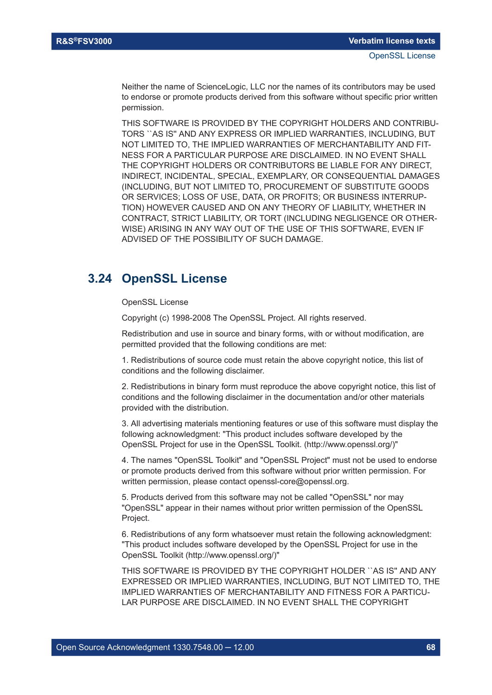Neither the name of ScienceLogic, LLC nor the names of its contributors may be used to endorse or promote products derived from this software without specific prior written permission.

THIS SOFTWARE IS PROVIDED BY THE COPYRIGHT HOLDERS AND CONTRIBU-TORS ``AS IS'' AND ANY EXPRESS OR IMPLIED WARRANTIES, INCLUDING, BUT NOT LIMITED TO, THE IMPLIED WARRANTIES OF MERCHANTABILITY AND FIT-NESS FOR A PARTICULAR PURPOSE ARE DISCLAIMED. IN NO EVENT SHALL THE COPYRIGHT HOLDERS OR CONTRIBUTORS BE LIABLE FOR ANY DIRECT, INDIRECT, INCIDENTAL, SPECIAL, EXEMPLARY, OR CONSEQUENTIAL DAMAGES (INCLUDING, BUT NOT LIMITED TO, PROCUREMENT OF SUBSTITUTE GOODS OR SERVICES; LOSS OF USE, DATA, OR PROFITS; OR BUSINESS INTERRUP-TION) HOWEVER CAUSED AND ON ANY THEORY OF LIABILITY, WHETHER IN CONTRACT, STRICT LIABILITY, OR TORT (INCLUDING NEGLIGENCE OR OTHER-WISE) ARISING IN ANY WAY OUT OF THE USE OF THIS SOFTWARE, EVEN IF ADVISED OF THE POSSIBILITY OF SUCH DAMAGE.

## **3.24 OpenSSL License**

OpenSSL License

Copyright (c) 1998-2008 The OpenSSL Project. All rights reserved.

Redistribution and use in source and binary forms, with or without modification, are permitted provided that the following conditions are met:

1. Redistributions of source code must retain the above copyright notice, this list of conditions and the following disclaimer.

2. Redistributions in binary form must reproduce the above copyright notice, this list of conditions and the following disclaimer in the documentation and/or other materials provided with the distribution.

3. All advertising materials mentioning features or use of this software must display the following acknowledgment: "This product includes software developed by the OpenSSL Project for use in the OpenSSL Toolkit. (http://www.openssl.org/)"

4. The names "OpenSSL Toolkit" and "OpenSSL Project" must not be used to endorse or promote products derived from this software without prior written permission. For written permission, please contact openssl-core@openssl.org.

5. Products derived from this software may not be called "OpenSSL" nor may "OpenSSL" appear in their names without prior written permission of the OpenSSL Project.

6. Redistributions of any form whatsoever must retain the following acknowledgment: "This product includes software developed by the OpenSSL Project for use in the OpenSSL Toolkit (http://www.openssl.org/)"

THIS SOFTWARE IS PROVIDED BY THE COPYRIGHT HOLDER ``AS IS'' AND ANY EXPRESSED OR IMPLIED WARRANTIES, INCLUDING, BUT NOT LIMITED TO, THE IMPLIED WARRANTIES OF MERCHANTABILITY AND FITNESS FOR A PARTICU-LAR PURPOSE ARE DISCLAIMED. IN NO EVENT SHALL THE COPYRIGHT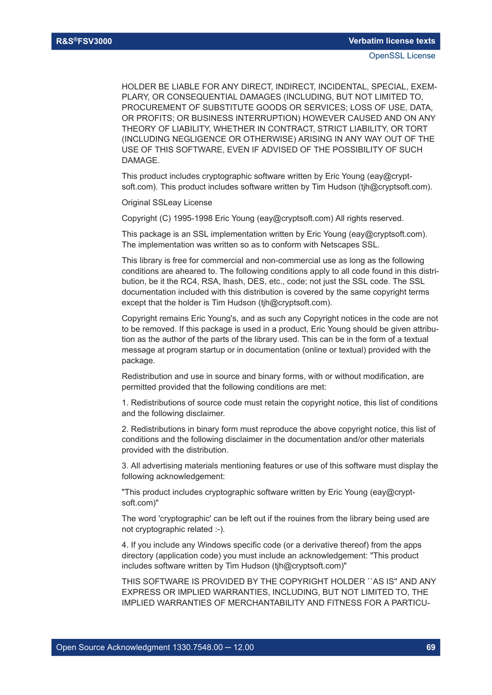HOLDER BE LIABLE FOR ANY DIRECT, INDIRECT, INCIDENTAL, SPECIAL, EXEM-PLARY, OR CONSEQUENTIAL DAMAGES (INCLUDING, BUT NOT LIMITED TO, PROCUREMENT OF SUBSTITUTE GOODS OR SERVICES; LOSS OF USE, DATA, OR PROFITS; OR BUSINESS INTERRUPTION) HOWEVER CAUSED AND ON ANY THEORY OF LIABILITY, WHETHER IN CONTRACT, STRICT LIABILITY, OR TORT (INCLUDING NEGLIGENCE OR OTHERWISE) ARISING IN ANY WAY OUT OF THE USE OF THIS SOFTWARE, EVEN IF ADVISED OF THE POSSIBILITY OF SUCH DAMAGE.

This product includes cryptographic software written by Eric Young (eay@cryptsoft.com). This product includes software written by Tim Hudson (tjh@cryptsoft.com).

Original SSLeay License

Copyright (C) 1995-1998 Eric Young (eay@cryptsoft.com) All rights reserved.

This package is an SSL implementation written by Eric Young (eay@cryptsoft.com). The implementation was written so as to conform with Netscapes SSL.

This library is free for commercial and non-commercial use as long as the following conditions are aheared to. The following conditions apply to all code found in this distribution, be it the RC4, RSA, lhash, DES, etc., code; not just the SSL code. The SSL documentation included with this distribution is covered by the same copyright terms except that the holder is Tim Hudson (tjh@cryptsoft.com).

Copyright remains Eric Young's, and as such any Copyright notices in the code are not to be removed. If this package is used in a product, Eric Young should be given attribution as the author of the parts of the library used. This can be in the form of a textual message at program startup or in documentation (online or textual) provided with the package.

Redistribution and use in source and binary forms, with or without modification, are permitted provided that the following conditions are met:

1. Redistributions of source code must retain the copyright notice, this list of conditions and the following disclaimer.

2. Redistributions in binary form must reproduce the above copyright notice, this list of conditions and the following disclaimer in the documentation and/or other materials provided with the distribution.

3. All advertising materials mentioning features or use of this software must display the following acknowledgement:

"This product includes cryptographic software written by Eric Young (eay@cryptsoft.com)"

The word 'cryptographic' can be left out if the rouines from the library being used are not cryptographic related :-).

4. If you include any Windows specific code (or a derivative thereof) from the apps directory (application code) you must include an acknowledgement: "This product includes software written by Tim Hudson (tjh@cryptsoft.com)"

THIS SOFTWARE IS PROVIDED BY THE COPYRIGHT HOLDER ``AS IS'' AND ANY EXPRESS OR IMPLIED WARRANTIES, INCLUDING, BUT NOT LIMITED TO, THE IMPLIED WARRANTIES OF MERCHANTABILITY AND FITNESS FOR A PARTICU-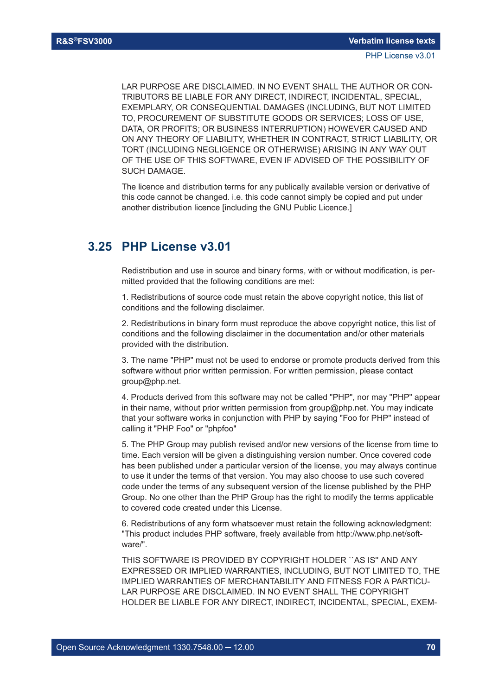LAR PURPOSE ARE DISCLAIMED. IN NO EVENT SHALL THE AUTHOR OR CON-TRIBUTORS BE LIABLE FOR ANY DIRECT, INDIRECT, INCIDENTAL, SPECIAL, EXEMPLARY, OR CONSEQUENTIAL DAMAGES (INCLUDING, BUT NOT LIMITED TO, PROCUREMENT OF SUBSTITUTE GOODS OR SERVICES; LOSS OF USE, DATA, OR PROFITS; OR BUSINESS INTERRUPTION) HOWEVER CAUSED AND ON ANY THEORY OF LIABILITY, WHETHER IN CONTRACT, STRICT LIABILITY, OR TORT (INCLUDING NEGLIGENCE OR OTHERWISE) ARISING IN ANY WAY OUT OF THE USE OF THIS SOFTWARE, EVEN IF ADVISED OF THE POSSIBILITY OF SUCH DAMAGE.

The licence and distribution terms for any publically available version or derivative of this code cannot be changed. i.e. this code cannot simply be copied and put under another distribution licence [including the GNU Public Licence.]

## **3.25 PHP License v3.01**

Redistribution and use in source and binary forms, with or without modification, is permitted provided that the following conditions are met:

1. Redistributions of source code must retain the above copyright notice, this list of conditions and the following disclaimer.

2. Redistributions in binary form must reproduce the above copyright notice, this list of conditions and the following disclaimer in the documentation and/or other materials provided with the distribution.

3. The name "PHP" must not be used to endorse or promote products derived from this software without prior written permission. For written permission, please contact group@php.net.

4. Products derived from this software may not be called "PHP", nor may "PHP" appear in their name, without prior written permission from group@php.net. You may indicate that your software works in conjunction with PHP by saying "Foo for PHP" instead of calling it "PHP Foo" or "phpfoo"

5. The PHP Group may publish revised and/or new versions of the license from time to time. Each version will be given a distinguishing version number. Once covered code has been published under a particular version of the license, you may always continue to use it under the terms of that version. You may also choose to use such covered code under the terms of any subsequent version of the license published by the PHP Group. No one other than the PHP Group has the right to modify the terms applicable to covered code created under this License.

6. Redistributions of any form whatsoever must retain the following acknowledgment: "This product includes PHP software, freely available from http://www.php.net/software/".

THIS SOFTWARE IS PROVIDED BY COPYRIGHT HOLDER ``AS IS'' AND ANY EXPRESSED OR IMPLIED WARRANTIES, INCLUDING, BUT NOT LIMITED TO, THE IMPLIED WARRANTIES OF MERCHANTABILITY AND FITNESS FOR A PARTICU-LAR PURPOSE ARE DISCLAIMED. IN NO EVENT SHALL THE COPYRIGHT HOLDER BE LIABLE FOR ANY DIRECT, INDIRECT, INCIDENTAL, SPECIAL, EXEM-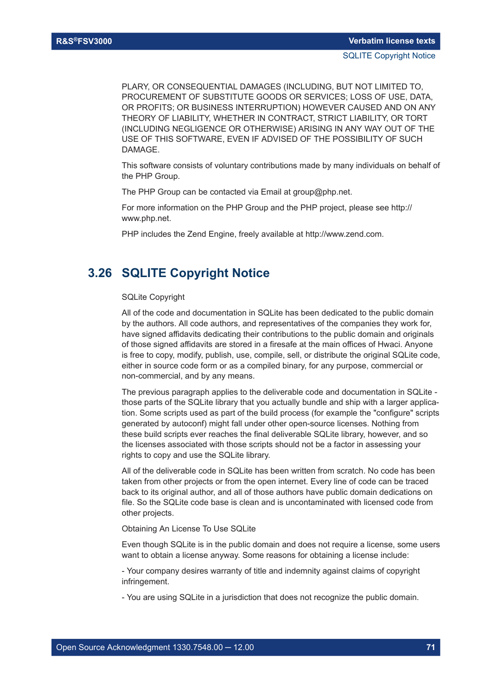PLARY, OR CONSEQUENTIAL DAMAGES (INCLUDING, BUT NOT LIMITED TO, PROCUREMENT OF SUBSTITUTE GOODS OR SERVICES; LOSS OF USE, DATA, OR PROFITS; OR BUSINESS INTERRUPTION) HOWEVER CAUSED AND ON ANY THEORY OF LIABILITY, WHETHER IN CONTRACT, STRICT LIABILITY, OR TORT (INCLUDING NEGLIGENCE OR OTHERWISE) ARISING IN ANY WAY OUT OF THE USE OF THIS SOFTWARE, EVEN IF ADVISED OF THE POSSIBILITY OF SUCH DAMAGE.

This software consists of voluntary contributions made by many individuals on behalf of the PHP Group.

The PHP Group can be contacted via Email at group@php.net.

For more information on the PHP Group and the PHP project, please see http:// www.php.net.

PHP includes the Zend Engine, freely available at http://www.zend.com.

# **3.26 SQLITE Copyright Notice**

#### SQLite Copyright

All of the code and documentation in SQLite has been dedicated to the public domain by the authors. All code authors, and representatives of the companies they work for, have signed affidavits dedicating their contributions to the public domain and originals of those signed affidavits are stored in a firesafe at the main offices of Hwaci. Anyone is free to copy, modify, publish, use, compile, sell, or distribute the original SQLite code, either in source code form or as a compiled binary, for any purpose, commercial or non-commercial, and by any means.

The previous paragraph applies to the deliverable code and documentation in SQLite those parts of the SQLite library that you actually bundle and ship with a larger application. Some scripts used as part of the build process (for example the "configure" scripts generated by autoconf) might fall under other open-source licenses. Nothing from these build scripts ever reaches the final deliverable SQLite library, however, and so the licenses associated with those scripts should not be a factor in assessing your rights to copy and use the SQLite library.

All of the deliverable code in SQLite has been written from scratch. No code has been taken from other projects or from the open internet. Every line of code can be traced back to its original author, and all of those authors have public domain dedications on file. So the SQLite code base is clean and is uncontaminated with licensed code from other projects.

Obtaining An License To Use SQLite

Even though SQLite is in the public domain and does not require a license, some users want to obtain a license anyway. Some reasons for obtaining a license include:

- Your company desires warranty of title and indemnity against claims of copyright infringement.

- You are using SQLite in a jurisdiction that does not recognize the public domain.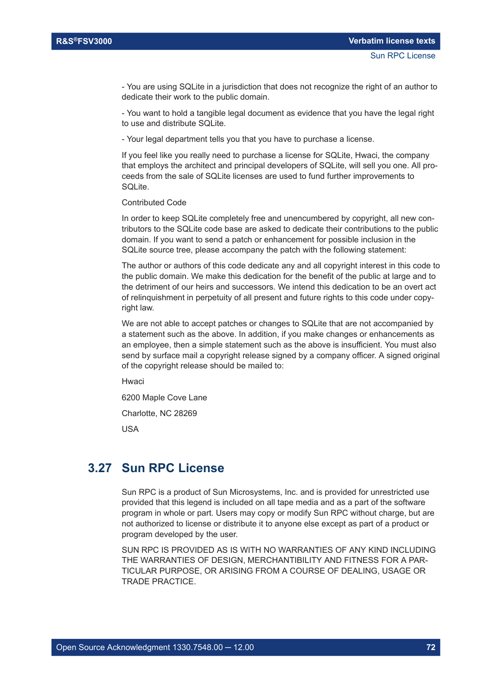- You are using SQLite in a jurisdiction that does not recognize the right of an author to dedicate their work to the public domain.

- You want to hold a tangible legal document as evidence that you have the legal right to use and distribute SQLite.

- Your legal department tells you that you have to purchase a license.

If you feel like you really need to purchase a license for SQLite, Hwaci, the company that employs the architect and principal developers of SQLite, will sell you one. All proceeds from the sale of SQLite licenses are used to fund further improvements to SQLite.

Contributed Code

In order to keep SQLite completely free and unencumbered by copyright, all new contributors to the SQLite code base are asked to dedicate their contributions to the public domain. If you want to send a patch or enhancement for possible inclusion in the SQLite source tree, please accompany the patch with the following statement:

The author or authors of this code dedicate any and all copyright interest in this code to the public domain. We make this dedication for the benefit of the public at large and to the detriment of our heirs and successors. We intend this dedication to be an overt act of relinquishment in perpetuity of all present and future rights to this code under copyright law.

We are not able to accept patches or changes to SQLite that are not accompanied by a statement such as the above. In addition, if you make changes or enhancements as an employee, then a simple statement such as the above is insufficient. You must also send by surface mail a copyright release signed by a company officer. A signed original of the copyright release should be mailed to:

Hwaci

6200 Maple Cove Lane

Charlotte, NC 28269

USA

## **3.27 Sun RPC License**

Sun RPC is a product of Sun Microsystems, Inc. and is provided for unrestricted use provided that this legend is included on all tape media and as a part of the software program in whole or part. Users may copy or modify Sun RPC without charge, but are not authorized to license or distribute it to anyone else except as part of a product or program developed by the user.

SUN RPC IS PROVIDED AS IS WITH NO WARRANTIES OF ANY KIND INCLUDING THE WARRANTIES OF DESIGN, MERCHANTIBILITY AND FITNESS FOR A PAR-TICULAR PURPOSE, OR ARISING FROM A COURSE OF DEALING, USAGE OR TRADE PRACTICE.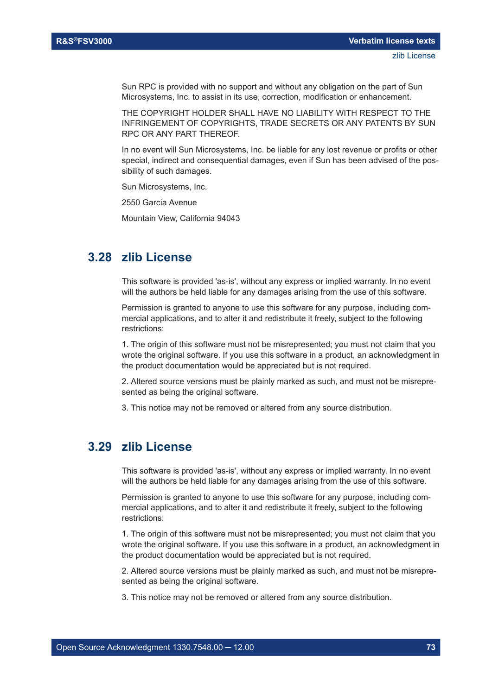Sun RPC is provided with no support and without any obligation on the part of Sun Microsystems, Inc. to assist in its use, correction, modification or enhancement.

THE COPYRIGHT HOLDER SHALL HAVE NO LIABILITY WITH RESPECT TO THE INFRINGEMENT OF COPYRIGHTS, TRADE SECRETS OR ANY PATENTS BY SUN RPC OR ANY PART THEREOF.

In no event will Sun Microsystems, Inc. be liable for any lost revenue or profits or other special, indirect and consequential damages, even if Sun has been advised of the possibility of such damages.

Sun Microsystems, Inc.

2550 Garcia Avenue

Mountain View, California 94043

#### **3.28 zlib License**

This software is provided 'as-is', without any express or implied warranty. In no event will the authors be held liable for any damages arising from the use of this software.

Permission is granted to anyone to use this software for any purpose, including commercial applications, and to alter it and redistribute it freely, subject to the following restrictions:

1. The origin of this software must not be misrepresented; you must not claim that you wrote the original software. If you use this software in a product, an acknowledgment in the product documentation would be appreciated but is not required.

2. Altered source versions must be plainly marked as such, and must not be misrepresented as being the original software.

3. This notice may not be removed or altered from any source distribution.

#### **3.29 zlib License**

This software is provided 'as-is', without any express or implied warranty. In no event will the authors be held liable for any damages arising from the use of this software.

Permission is granted to anyone to use this software for any purpose, including commercial applications, and to alter it and redistribute it freely, subject to the following restrictions:

1. The origin of this software must not be misrepresented; you must not claim that you wrote the original software. If you use this software in a product, an acknowledgment in the product documentation would be appreciated but is not required.

2. Altered source versions must be plainly marked as such, and must not be misrepresented as being the original software.

3. This notice may not be removed or altered from any source distribution.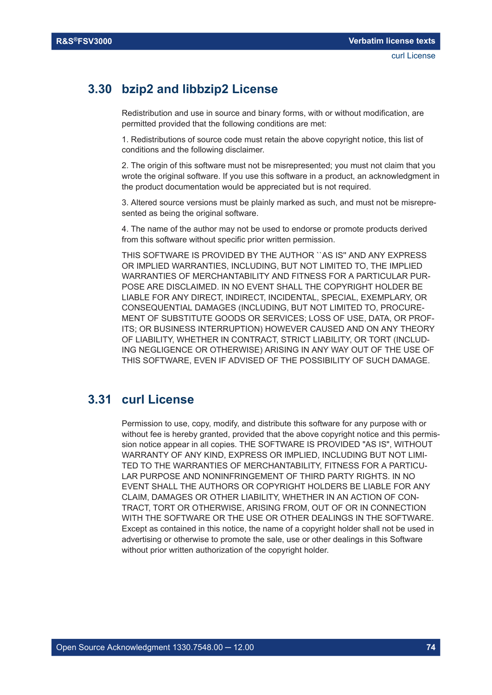#### **3.30 bzip2 and libbzip2 License**

Redistribution and use in source and binary forms, with or without modification, are permitted provided that the following conditions are met:

1. Redistributions of source code must retain the above copyright notice, this list of conditions and the following disclaimer.

2. The origin of this software must not be misrepresented; you must not claim that you wrote the original software. If you use this software in a product, an acknowledgment in the product documentation would be appreciated but is not required.

3. Altered source versions must be plainly marked as such, and must not be misrepresented as being the original software.

4. The name of the author may not be used to endorse or promote products derived from this software without specific prior written permission.

THIS SOFTWARE IS PROVIDED BY THE AUTHOR ``AS IS'' AND ANY EXPRESS OR IMPLIED WARRANTIES, INCLUDING, BUT NOT LIMITED TO, THE IMPLIED WARRANTIES OF MERCHANTABILITY AND FITNESS FOR A PARTICULAR PUR-POSE ARE DISCLAIMED. IN NO EVENT SHALL THE COPYRIGHT HOLDER BE LIABLE FOR ANY DIRECT, INDIRECT, INCIDENTAL, SPECIAL, EXEMPLARY, OR CONSEQUENTIAL DAMAGES (INCLUDING, BUT NOT LIMITED TO, PROCURE-MENT OF SUBSTITUTE GOODS OR SERVICES; LOSS OF USE, DATA, OR PROF-ITS; OR BUSINESS INTERRUPTION) HOWEVER CAUSED AND ON ANY THEORY OF LIABILITY, WHETHER IN CONTRACT, STRICT LIABILITY, OR TORT (INCLUD-ING NEGLIGENCE OR OTHERWISE) ARISING IN ANY WAY OUT OF THE USE OF THIS SOFTWARE, EVEN IF ADVISED OF THE POSSIBILITY OF SUCH DAMAGE.

#### **3.31 curl License**

Permission to use, copy, modify, and distribute this software for any purpose with or without fee is hereby granted, provided that the above copyright notice and this permission notice appear in all copies. THE SOFTWARE IS PROVIDED "AS IS", WITHOUT WARRANTY OF ANY KIND, EXPRESS OR IMPLIED, INCLUDING BUT NOT LIMI-TED TO THE WARRANTIES OF MERCHANTABILITY, FITNESS FOR A PARTICU-LAR PURPOSE AND NONINFRINGEMENT OF THIRD PARTY RIGHTS. IN NO EVENT SHALL THE AUTHORS OR COPYRIGHT HOLDERS BE LIABLE FOR ANY CLAIM, DAMAGES OR OTHER LIABILITY, WHETHER IN AN ACTION OF CON-TRACT, TORT OR OTHERWISE, ARISING FROM, OUT OF OR IN CONNECTION WITH THE SOFTWARE OR THE USE OR OTHER DEALINGS IN THE SOFTWARE. Except as contained in this notice, the name of a copyright holder shall not be used in advertising or otherwise to promote the sale, use or other dealings in this Software without prior written authorization of the copyright holder.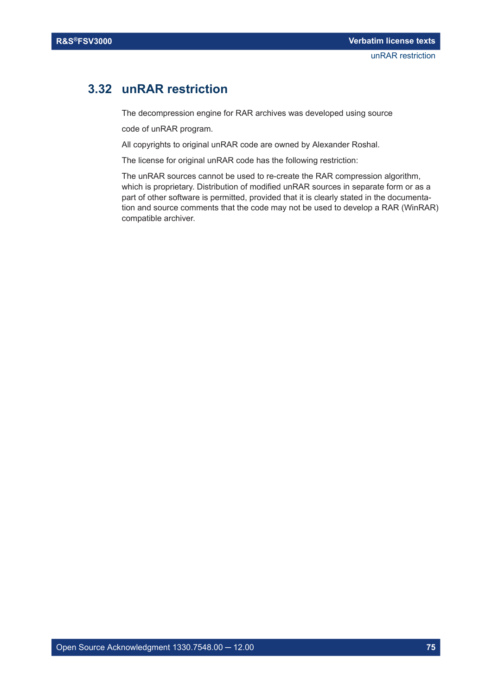#### **3.32 unRAR restriction**

The decompression engine for RAR archives was developed using source

code of unRAR program.

All copyrights to original unRAR code are owned by Alexander Roshal.

The license for original unRAR code has the following restriction:

The unRAR sources cannot be used to re-create the RAR compression algorithm, which is proprietary. Distribution of modified unRAR sources in separate form or as a part of other software is permitted, provided that it is clearly stated in the documentation and source comments that the code may not be used to develop a RAR (WinRAR) compatible archiver.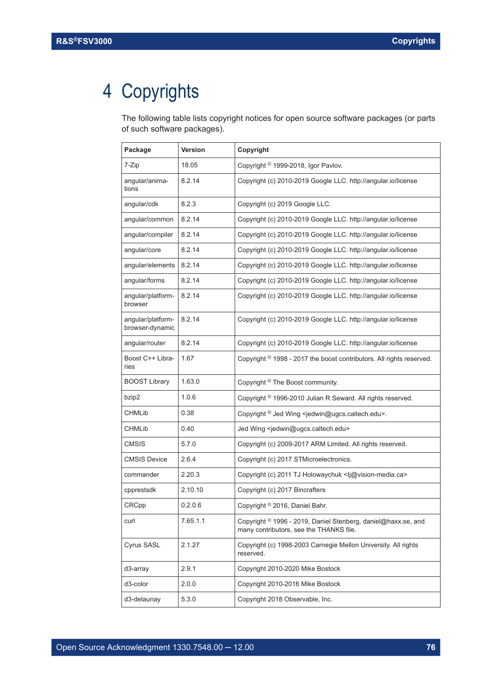## 4 Copyrights

The following table lists copyright notices for open source software packages (or parts of such software packages).

| Package                              | <b>Version</b> | Copyright                                                                                                           |
|--------------------------------------|----------------|---------------------------------------------------------------------------------------------------------------------|
| 7-Zip                                | 18.05          | Copyright <sup>©</sup> 1999-2018, Igor Pavlov.                                                                      |
| angular/anima-<br>tions              | 8.2.14         | Copyright (c) 2010-2019 Google LLC. http://angular.io/license                                                       |
| angular/cdk                          | 8.2.3          | Copyright (c) 2019 Google LLC.                                                                                      |
| angular/common                       | 8.2.14         | Copyright (c) 2010-2019 Google LLC. http://angular.io/license                                                       |
| angular/compiler                     | 8.2.14         | Copyright (c) 2010-2019 Google LLC. http://angular.io/license                                                       |
| angular/core                         | 8.2.14         | Copyright (c) 2010-2019 Google LLC. http://angular.io/license                                                       |
| angular/elements                     | 8.2.14         | Copyright (c) 2010-2019 Google LLC. http://angular.io/license                                                       |
| angular/forms                        | 8.2.14         | Copyright (c) 2010-2019 Google LLC. http://angular.io/license                                                       |
| angular/platform-<br>browser         | 8.2.14         | Copyright (c) 2010-2019 Google LLC. http://angular.io/license                                                       |
| angular/platform-<br>browser-dynamic | 8.2.14         | Copyright (c) 2010-2019 Google LLC. http://angular.io/license                                                       |
| angular/router                       | 8.2.14         | Copyright (c) 2010-2019 Google LLC. http://angular.io/license                                                       |
| Boost C++ Libra-<br>ries             | 1.67           | Copyright <sup>©</sup> 1998 - 2017 the boost contributors. All rights reserved.                                     |
| <b>BOOST Library</b>                 | 1.63.0         | Copyright <sup>©</sup> The Boost community.                                                                         |
| bzip2                                | 1.0.6          | Copyright <sup>©</sup> 1996-2010 Julian R Seward. All rights reserved.                                              |
| <b>CHMLib</b>                        | 0.38           | Copyright <sup>©</sup> Jed Wing <jedwin@ugcs.caltech.edu>.</jedwin@ugcs.caltech.edu>                                |
| CHMLib                               | 0.40           | Jed Wing <jedwin@ugcs.caltech.edu></jedwin@ugcs.caltech.edu>                                                        |
| <b>CMSIS</b>                         | 5.7.0          | Copyright (c) 2009-2017 ARM Limited. All rights reserved.                                                           |
| <b>CMSIS Device</b>                  | 2.6.4          | Copyright (c) 2017 STMicroelectronics.                                                                              |
| commander                            | 2.20.3         | Copyright (c) 2011 TJ Holowaychuk <tj@vision-media.ca></tj@vision-media.ca>                                         |
| cpprestsdk                           | 2.10.10        | Copyright (c) 2017 Bincrafters                                                                                      |
| <b>CRCpp</b>                         | 0.2.0.6        | Copyright <sup>©</sup> 2016, Daniel Bahr.                                                                           |
| curl                                 | 7.65.1.1       | Copyright <sup>®</sup> 1996 - 2019, Daniel Stenberg, daniel@haxx.se, and<br>many contributors, see the THANKS file. |
| Cyrus SASL                           | 2.1.27         | Copyright (c) 1998-2003 Carnegie Mellon University. All rights<br>reserved.                                         |
| d3-array                             | 2.9.1          | Copyright 2010-2020 Mike Bostock                                                                                    |
| d3-color                             | 2.0.0          | Copyright 2010-2016 Mike Bostock                                                                                    |
| d3-delaunay                          | 5.3.0          | Copyright 2018 Observable, Inc.                                                                                     |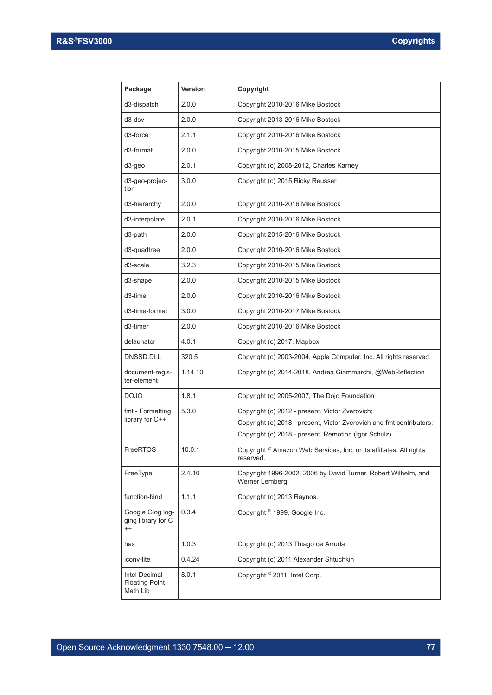| Package                                            | <b>Version</b> | Copyright                                                                                                                                                                       |
|----------------------------------------------------|----------------|---------------------------------------------------------------------------------------------------------------------------------------------------------------------------------|
| d3-dispatch                                        | 2.0.0          | Copyright 2010-2016 Mike Bostock                                                                                                                                                |
| d3-dsv                                             | 2.0.0          | Copyright 2013-2016 Mike Bostock                                                                                                                                                |
| d3-force                                           | 2.1.1          | Copyright 2010-2016 Mike Bostock                                                                                                                                                |
| d3-format                                          | 2.0.0          | Copyright 2010-2015 Mike Bostock                                                                                                                                                |
| d3-geo                                             | 2.0.1          | Copyright (c) 2008-2012, Charles Karney                                                                                                                                         |
| d3-geo-projec-<br>tion                             | 3.0.0          | Copyright (c) 2015 Ricky Reusser                                                                                                                                                |
| d3-hierarchy                                       | 2.0.0          | Copyright 2010-2016 Mike Bostock                                                                                                                                                |
| d3-interpolate                                     | 2.0.1          | Copyright 2010-2016 Mike Bostock                                                                                                                                                |
| d3-path                                            | 2.0.0          | Copyright 2015-2016 Mike Bostock                                                                                                                                                |
| d3-quadtree                                        | 2.0.0          | Copyright 2010-2016 Mike Bostock                                                                                                                                                |
| d3-scale                                           | 3.2.3          | Copyright 2010-2015 Mike Bostock                                                                                                                                                |
| d3-shape                                           | 2.0.0          | Copyright 2010-2015 Mike Bostock                                                                                                                                                |
| d3-time                                            | 2.0.0          | Copyright 2010-2016 Mike Bostock                                                                                                                                                |
| d3-time-format                                     | 3.0.0          | Copyright 2010-2017 Mike Bostock                                                                                                                                                |
| d3-timer                                           | 2.0.0          | Copyright 2010-2016 Mike Bostock                                                                                                                                                |
| delaunator                                         | 4.0.1          | Copyright (c) 2017, Mapbox                                                                                                                                                      |
| DNSSD.DLL                                          | 320.5          | Copyright (c) 2003-2004, Apple Computer, Inc. All rights reserved.                                                                                                              |
| document-regis-<br>ter-element                     | 1.14.10        | Copyright (c) 2014-2018, Andrea Giammarchi, @WebReflection                                                                                                                      |
| <b>DOJO</b>                                        | 1.8.1          | Copyright (c) 2005-2007, The Dojo Foundation                                                                                                                                    |
| fmt - Formatting<br>library for C++                | 5.3.0          | Copyright (c) 2012 - present, Victor Zverovich;<br>Copyright (c) 2018 - present, Victor Zverovich and fmt contributors;<br>Copyright (c) 2018 - present, Remotion (Igor Schulz) |
| FreeRTOS                                           | 10.0.1         | Copyright <sup>@</sup> Amazon Web Services, Inc. or its affiliates. All rights<br>reserved.                                                                                     |
| FreeType                                           | 2.4.10         | Copyright 1996-2002, 2006 by David Turner, Robert Wilhelm, and<br>Werner Lemberg                                                                                                |
| function-bind                                      | 1.1.1          | Copyright (c) 2013 Raynos.                                                                                                                                                      |
| Google Glog log-<br>ging library for C<br>$^{++}$  | 0.3.4          | Copyright <sup>©</sup> 1999, Google Inc.                                                                                                                                        |
| has                                                | 1.0.3          | Copyright (c) 2013 Thiago de Arruda                                                                                                                                             |
| iconv-lite                                         | 0.4.24         | Copyright (c) 2011 Alexander Shtuchkin                                                                                                                                          |
| Intel Decimal<br><b>Floating Point</b><br>Math Lib | 8.0.1          | Copyright <sup>©</sup> 2011, Intel Corp.                                                                                                                                        |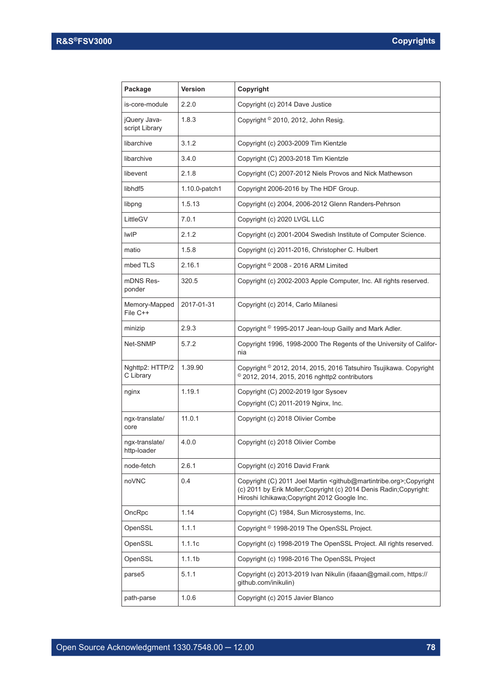| Package                        | <b>Version</b>     | Copyright                                                                                                                                                                                 |
|--------------------------------|--------------------|-------------------------------------------------------------------------------------------------------------------------------------------------------------------------------------------|
| is-core-module                 | 2.2.0              | Copyright (c) 2014 Dave Justice                                                                                                                                                           |
| jQuery Java-<br>script Library | 1.8.3              | Copyright <sup>©</sup> 2010, 2012, John Resig.                                                                                                                                            |
| libarchive                     | 3.1.2              | Copyright (c) 2003-2009 Tim Kientzle                                                                                                                                                      |
| libarchive                     | 3.4.0              | Copyright (C) 2003-2018 Tim Kientzle                                                                                                                                                      |
| libevent                       | 2.1.8              | Copyright (C) 2007-2012 Niels Provos and Nick Mathewson                                                                                                                                   |
| libhdf5                        | 1.10.0-patch1      | Copyright 2006-2016 by The HDF Group.                                                                                                                                                     |
| libpng                         | 1.5.13             | Copyright (c) 2004, 2006-2012 Glenn Randers-Pehrson                                                                                                                                       |
| LittleGV                       | 7.0.1              | Copyright (c) 2020 LVGL LLC                                                                                                                                                               |
| <b>IwIP</b>                    | 2.1.2              | Copyright (c) 2001-2004 Swedish Institute of Computer Science.                                                                                                                            |
| matio                          | 1.5.8              | Copyright (c) 2011-2016, Christopher C. Hulbert                                                                                                                                           |
| mbed TLS                       | 2.16.1             | Copyright © 2008 - 2016 ARM Limited                                                                                                                                                       |
| mDNS Res-<br>ponder            | 320.5              | Copyright (c) 2002-2003 Apple Computer, Inc. All rights reserved.                                                                                                                         |
| Memory-Mapped<br>File C++      | 2017-01-31         | Copyright (c) 2014, Carlo Milanesi                                                                                                                                                        |
| minizip                        | 2.9.3              | Copyright <sup>©</sup> 1995-2017 Jean-loup Gailly and Mark Adler.                                                                                                                         |
| Net-SNMP                       | 5.7.2              | Copyright 1996, 1998-2000 The Regents of the University of Califor-<br>nia                                                                                                                |
| Nghttp2: HTTP/2<br>C Library   | 1.39.90            | Copyright <sup>©</sup> 2012, 2014, 2015, 2016 Tatsuhiro Tsujikawa. Copyright<br>$^\circ$ 2012, 2014, 2015, 2016 nghttp2 contributors                                                      |
| nginx                          | 1.19.1             | Copyright (C) 2002-2019 Igor Sysoev                                                                                                                                                       |
|                                |                    | Copyright (C) 2011-2019 Nginx, Inc.                                                                                                                                                       |
| ngx-translate/<br>core         | 11.0.1             | Copyright (c) 2018 Olivier Combe                                                                                                                                                          |
| ngx-translate/<br>http-loader  | 4.0.0              | Copyright (c) 2018 Olivier Combe                                                                                                                                                          |
| node-fetch                     | 2.6.1              | Copyright (c) 2016 David Frank                                                                                                                                                            |
| noVNC                          | 0.4                | Copyright (C) 2011 Joel Martin < github@martintribe.org>;Copyright<br>(c) 2011 by Erik Moller; Copyright (c) 2014 Denis Radin; Copyright:<br>Hiroshi Ichikawa; Copyright 2012 Google Inc. |
| OncRpc                         | 1.14               | Copyright (C) 1984, Sun Microsystems, Inc.                                                                                                                                                |
| OpenSSL                        | 1.1.1              | Copyright <sup>©</sup> 1998-2019 The OpenSSL Project.                                                                                                                                     |
| OpenSSL                        | 1.1.1c             | Copyright (c) 1998-2019 The OpenSSL Project. All rights reserved.                                                                                                                         |
| OpenSSL                        | 1.1.1 <sub>b</sub> | Copyright (c) 1998-2016 The OpenSSL Project                                                                                                                                               |
| parse5                         | 5.1.1              | Copyright (c) 2013-2019 Ivan Nikulin (ifaaan@gmail.com, https://<br>github.com/inikulin)                                                                                                  |
| path-parse                     | 1.0.6              | Copyright (c) 2015 Javier Blanco                                                                                                                                                          |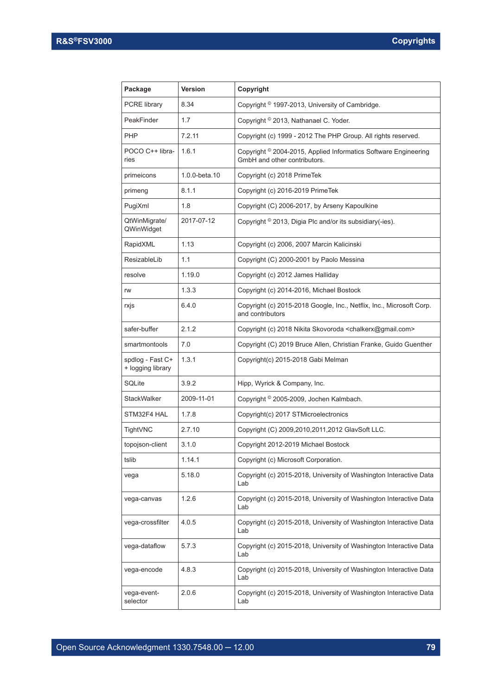| Package                               | <b>Version</b> | Copyright                                                                                       |
|---------------------------------------|----------------|-------------------------------------------------------------------------------------------------|
| PCRE library                          | 8.34           | Copyright <sup>©</sup> 1997-2013, University of Cambridge.                                      |
| PeakFinder                            | 1.7            | Copyright <sup>©</sup> 2013, Nathanael C. Yoder.                                                |
| PHP                                   | 7.2.11         | Copyright (c) 1999 - 2012 The PHP Group. All rights reserved.                                   |
| POCO C++ libra-<br>ries               | 1.6.1          | Copyright © 2004-2015, Applied Informatics Software Engineering<br>GmbH and other contributors. |
| primeicons                            | 1.0.0-beta.10  | Copyright (c) 2018 PrimeTek                                                                     |
| primeng                               | 8.1.1          | Copyright (c) 2016-2019 PrimeTek                                                                |
| PugiXml                               | 1.8            | Copyright (C) 2006-2017, by Arseny Kapoulkine                                                   |
| QtWinMigrate/<br>QWinWidget           | 2017-07-12     | Copyright <sup>©</sup> 2013, Digia Plc and/or its subsidiary(-ies).                             |
| RapidXML                              | 1.13           | Copyright (c) 2006, 2007 Marcin Kalicinski                                                      |
| ResizableLib                          | 1.1            | Copyright (C) 2000-2001 by Paolo Messina                                                        |
| resolve                               | 1.19.0         | Copyright (c) 2012 James Halliday                                                               |
| rw                                    | 1.3.3          | Copyright (c) 2014-2016, Michael Bostock                                                        |
| rxjs                                  | 6.4.0          | Copyright (c) 2015-2018 Google, Inc., Netflix, Inc., Microsoft Corp.<br>and contributors        |
| safer-buffer                          | 2.1.2          | Copyright (c) 2018 Nikita Skovoroda <chalkerx@gmail.com></chalkerx@gmail.com>                   |
| smartmontools                         | 7.0            | Copyright (C) 2019 Bruce Allen, Christian Franke, Guido Guenther                                |
| spdlog - Fast C+<br>+ logging library | 1.3.1          | Copyright(c) 2015-2018 Gabi Melman                                                              |
| SQLite                                | 3.9.2          | Hipp, Wyrick & Company, Inc.                                                                    |
| <b>StackWalker</b>                    | 2009-11-01     | Copyright <sup>©</sup> 2005-2009, Jochen Kalmbach.                                              |
| STM32F4 HAL                           | 1.7.8          | Copyright(c) 2017 STMicroelectronics                                                            |
| <b>TightVNC</b>                       | 2.7.10         | Copyright (C) 2009, 2010, 2011, 2012 GlavSoft LLC.                                              |
| topojson-client                       | 3.1.0          | Copyright 2012-2019 Michael Bostock                                                             |
| tslib                                 | 1.14.1         | Copyright (c) Microsoft Corporation.                                                            |
| vega                                  | 5.18.0         | Copyright (c) 2015-2018, University of Washington Interactive Data<br>Lab                       |
| vega-canvas                           | 1.2.6          | Copyright (c) 2015-2018, University of Washington Interactive Data<br>Lab                       |
| vega-crossfilter                      | 4.0.5          | Copyright (c) 2015-2018, University of Washington Interactive Data<br>Lab                       |
| vega-dataflow                         | 5.7.3          | Copyright (c) 2015-2018, University of Washington Interactive Data<br>Lab                       |
| vega-encode                           | 4.8.3          | Copyright (c) 2015-2018, University of Washington Interactive Data<br>Lab                       |
| vega-event-<br>selector               | 2.0.6          | Copyright (c) 2015-2018, University of Washington Interactive Data<br>Lab                       |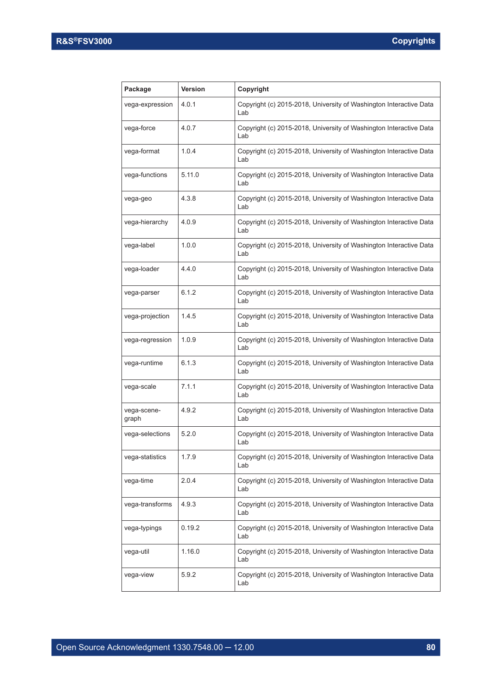| Package              | <b>Version</b> | Copyright                                                                 |
|----------------------|----------------|---------------------------------------------------------------------------|
| vega-expression      | 4.0.1          | Copyright (c) 2015-2018, University of Washington Interactive Data<br>Lab |
| vega-force           | 4.0.7          | Copyright (c) 2015-2018, University of Washington Interactive Data<br>Lab |
| vega-format          | 1.0.4          | Copyright (c) 2015-2018, University of Washington Interactive Data<br>Lab |
| vega-functions       | 5.11.0         | Copyright (c) 2015-2018, University of Washington Interactive Data<br>Lab |
| vega-geo             | 4.3.8          | Copyright (c) 2015-2018, University of Washington Interactive Data<br>Lab |
| vega-hierarchy       | 4.0.9          | Copyright (c) 2015-2018, University of Washington Interactive Data<br>Lab |
| vega-label           | 1.0.0          | Copyright (c) 2015-2018, University of Washington Interactive Data<br>Lab |
| vega-loader          | 4.4.0          | Copyright (c) 2015-2018, University of Washington Interactive Data<br>Lab |
| vega-parser          | 6.1.2          | Copyright (c) 2015-2018, University of Washington Interactive Data<br>Lab |
| vega-projection      | 1.4.5          | Copyright (c) 2015-2018, University of Washington Interactive Data<br>Lab |
| vega-regression      | 1.0.9          | Copyright (c) 2015-2018, University of Washington Interactive Data<br>Lab |
| vega-runtime         | 6.1.3          | Copyright (c) 2015-2018, University of Washington Interactive Data<br>Lab |
| vega-scale           | 7.1.1          | Copyright (c) 2015-2018, University of Washington Interactive Data<br>Lab |
| vega-scene-<br>graph | 4.9.2          | Copyright (c) 2015-2018, University of Washington Interactive Data<br>Lab |
| vega-selections      | 5.2.0          | Copyright (c) 2015-2018, University of Washington Interactive Data<br>Lab |
| vega-statistics      | 1.7.9          | Copyright (c) 2015-2018, University of Washington Interactive Data<br>Lab |
| vega-time            | 2.0.4          | Copyright (c) 2015-2018, University of Washington Interactive Data<br>Lab |
| vega-transforms      | 4.9.3          | Copyright (c) 2015-2018, University of Washington Interactive Data<br>Lab |
| vega-typings         | 0.19.2         | Copyright (c) 2015-2018, University of Washington Interactive Data<br>Lab |
| vega-util            | 1.16.0         | Copyright (c) 2015-2018, University of Washington Interactive Data<br>Lab |
| vega-view            | 5.9.2          | Copyright (c) 2015-2018, University of Washington Interactive Data<br>Lab |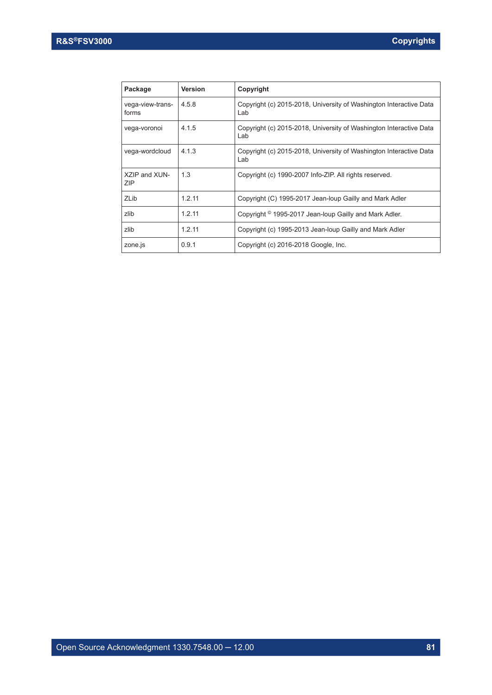| Package                     | <b>Version</b> | Copyright                                                                 |
|-----------------------------|----------------|---------------------------------------------------------------------------|
| vega-view-trans-<br>forms   | 4.5.8          | Copyright (c) 2015-2018, University of Washington Interactive Data<br>Lab |
| vega-voronoi                | 4.1.5          | Copyright (c) 2015-2018, University of Washington Interactive Data<br>Lab |
| vega-wordcloud              | 4.1.3          | Copyright (c) 2015-2018, University of Washington Interactive Data<br>Lab |
| XZIP and XUN-<br><b>ZIP</b> | 1.3            | Copyright (c) 1990-2007 Info-ZIP. All rights reserved.                    |
| <b>ZLib</b>                 | 1.2.11         | Copyright (C) 1995-2017 Jean-loup Gailly and Mark Adler                   |
| zlib                        | 1.2.11         | Copyright <sup>©</sup> 1995-2017 Jean-loup Gailly and Mark Adler.         |
| zlib                        | 1.2.11         | Copyright (c) 1995-2013 Jean-loup Gailly and Mark Adler                   |
| zone.js                     | 0.9.1          | Copyright (c) 2016-2018 Google, Inc.                                      |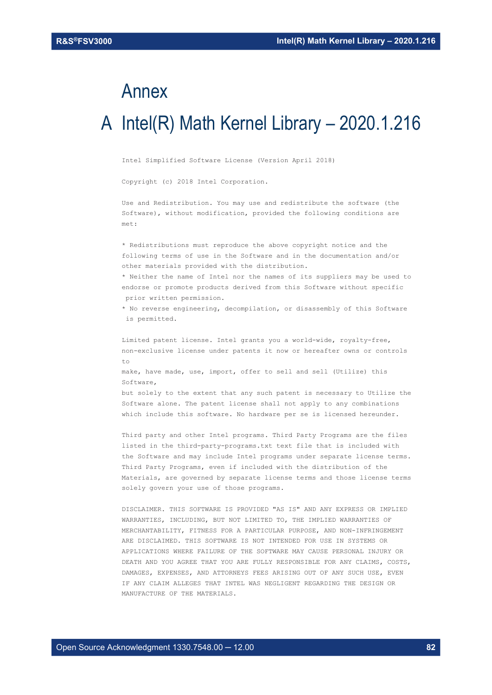# Annex A Intel(R) Math Kernel Library – 2020.1.216

Intel Simplified Software License (Version April 2018)

Copyright (c) 2018 Intel Corporation.

Use and Redistribution. You may use and redistribute the software (the Software), without modification, provided the following conditions are  $m \ominus t$ .

\* Redistributions must reproduce the above copyright notice and the following terms of use in the Software and in the documentation and/or other materials provided with the distribution.

\* Neither the name of Intel nor the names of its suppliers may be used to endorse or promote products derived from this Software without specific prior written permission.

\* No reverse engineering, decompilation, or disassembly of this Software is permitted.

Limited patent license. Intel grants you a world-wide, royalty-free, non-exclusive license under patents it now or hereafter owns or controls to

make, have made, use, import, offer to sell and sell (Utilize) this Software,

but solely to the extent that any such patent is necessary to Utilize the Software alone. The patent license shall not apply to any combinations which include this software. No hardware per se is licensed hereunder.

Third party and other Intel programs. Third Party Programs are the files listed in the third-party-programs.txt text file that is included with the Software and may include Intel programs under separate license terms. Third Party Programs, even if included with the distribution of the Materials, are governed by separate license terms and those license terms solely govern your use of those programs.

DISCLAIMER. THIS SOFTWARE IS PROVIDED "AS IS" AND ANY EXPRESS OR IMPLIED WARRANTIES, INCLUDING, BUT NOT LIMITED TO, THE IMPLIED WARRANTIES OF MERCHANTABILITY, FITNESS FOR A PARTICULAR PURPOSE, AND NON-INFRINGEMENT ARE DISCLAIMED. THIS SOFTWARE IS NOT INTENDED FOR USE IN SYSTEMS OR APPLICATIONS WHERE FAILURE OF THE SOFTWARE MAY CAUSE PERSONAL INJURY OR DEATH AND YOU AGREE THAT YOU ARE FULLY RESPONSIBLE FOR ANY CLAIMS, COSTS, DAMAGES, EXPENSES, AND ATTORNEYS FEES ARISING OUT OF ANY SUCH USE, EVEN IF ANY CLAIM ALLEGES THAT INTEL WAS NEGLIGENT REGARDING THE DESIGN OR MANUFACTURE OF THE MATERIALS.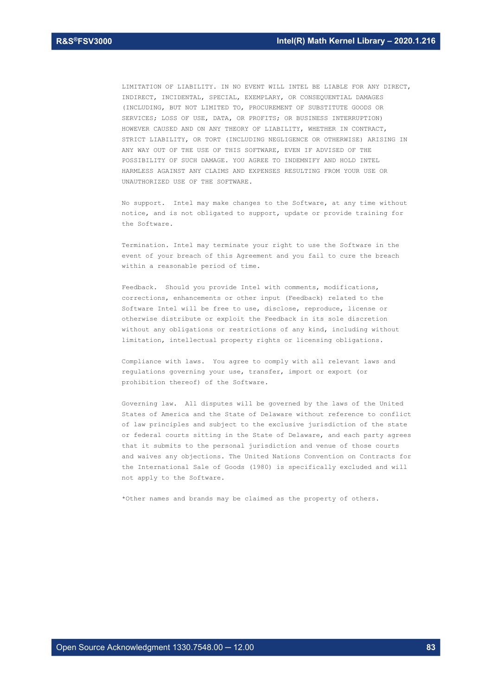LIMITATION OF LIABILITY. IN NO EVENT WILL INTEL BE LIABLE FOR ANY DIRECT, INDIRECT, INCIDENTAL, SPECIAL, EXEMPLARY, OR CONSEQUENTIAL DAMAGES (INCLUDING, BUT NOT LIMITED TO, PROCUREMENT OF SUBSTITUTE GOODS OR SERVICES; LOSS OF USE, DATA, OR PROFITS; OR BUSINESS INTERRUPTION) HOWEVER CAUSED AND ON ANY THEORY OF LIABILITY, WHETHER IN CONTRACT, STRICT LIABILITY, OR TORT (INCLUDING NEGLIGENCE OR OTHERWISE) ARISING IN ANY WAY OUT OF THE USE OF THIS SOFTWARE, EVEN IF ADVISED OF THE POSSIBILITY OF SUCH DAMAGE. YOU AGREE TO INDEMNIFY AND HOLD INTEL HARMLESS AGAINST ANY CLAIMS AND EXPENSES RESULTING FROM YOUR USE OR UNAUTHORIZED USE OF THE SOFTWARE.

No support. Intel may make changes to the Software, at any time without notice, and is not obligated to support, update or provide training for the Software.

Termination. Intel may terminate your right to use the Software in the event of your breach of this Agreement and you fail to cure the breach within a reasonable period of time.

Feedback. Should you provide Intel with comments, modifications, corrections, enhancements or other input (Feedback) related to the Software Intel will be free to use, disclose, reproduce, license or otherwise distribute or exploit the Feedback in its sole discretion without any obligations or restrictions of any kind, including without limitation, intellectual property rights or licensing obligations.

Compliance with laws. You agree to comply with all relevant laws and regulations governing your use, transfer, import or export (or prohibition thereof) of the Software.

Governing law. All disputes will be governed by the laws of the United States of America and the State of Delaware without reference to conflict of law principles and subject to the exclusive jurisdiction of the state or federal courts sitting in the State of Delaware, and each party agrees that it submits to the personal jurisdiction and venue of those courts and waives any objections. The United Nations Convention on Contracts for the International Sale of Goods (1980) is specifically excluded and will not apply to the Software.

\*Other names and brands may be claimed as the property of others.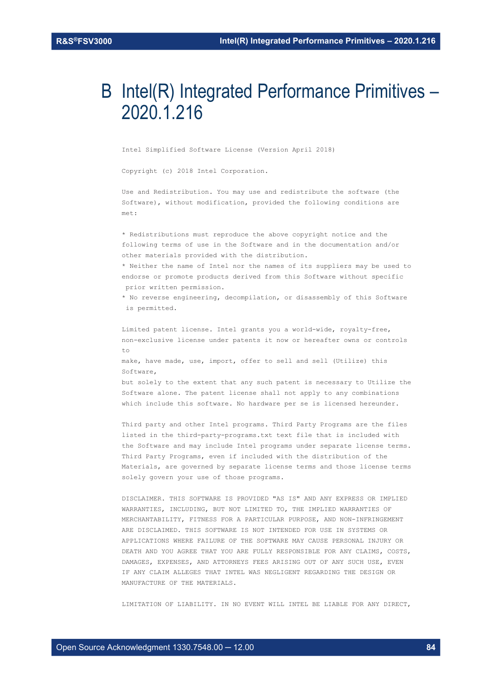### B Intel(R) Integrated Performance Primitives – 2020.1.216

Intel Simplified Software License (Version April 2018)

Copyright (c) 2018 Intel Corporation.

Use and Redistribution. You may use and redistribute the software (the Software), without modification, provided the following conditions are met:

\* Redistributions must reproduce the above copyright notice and the following terms of use in the Software and in the documentation and/or other materials provided with the distribution.

\* Neither the name of Intel nor the names of its suppliers may be used to endorse or promote products derived from this Software without specific prior written permission.

\* No reverse engineering, decompilation, or disassembly of this Software is permitted.

Limited patent license. Intel grants you a world-wide, royalty-free, non-exclusive license under patents it now or hereafter owns or controls  $t \circ$ 

make, have made, use, import, offer to sell and sell (Utilize) this Software,

but solely to the extent that any such patent is necessary to Utilize the Software alone. The patent license shall not apply to any combinations which include this software. No hardware per se is licensed hereunder.

Third party and other Intel programs. Third Party Programs are the files listed in the third-party-programs.txt text file that is included with the Software and may include Intel programs under separate license terms. Third Party Programs, even if included with the distribution of the Materials, are governed by separate license terms and those license terms solely govern your use of those programs.

DISCLAIMER. THIS SOFTWARE IS PROVIDED "AS IS" AND ANY EXPRESS OR IMPLIED WARRANTIES, INCLUDING, BUT NOT LIMITED TO, THE IMPLIED WARRANTIES OF MERCHANTABILITY, FITNESS FOR A PARTICULAR PURPOSE, AND NON-INFRINGEMENT ARE DISCLAIMED. THIS SOFTWARE IS NOT INTENDED FOR USE IN SYSTEMS OR APPLICATIONS WHERE FAILURE OF THE SOFTWARE MAY CAUSE PERSONAL INJURY OR DEATH AND YOU AGREE THAT YOU ARE FULLY RESPONSIBLE FOR ANY CLAIMS, COSTS, DAMAGES, EXPENSES, AND ATTORNEYS FEES ARISING OUT OF ANY SUCH USE, EVEN IF ANY CLAIM ALLEGES THAT INTEL WAS NEGLIGENT REGARDING THE DESIGN OR MANUFACTURE OF THE MATERIALS.

LIMITATION OF LIABILITY. IN NO EVENT WILL INTEL BE LIABLE FOR ANY DIRECT,